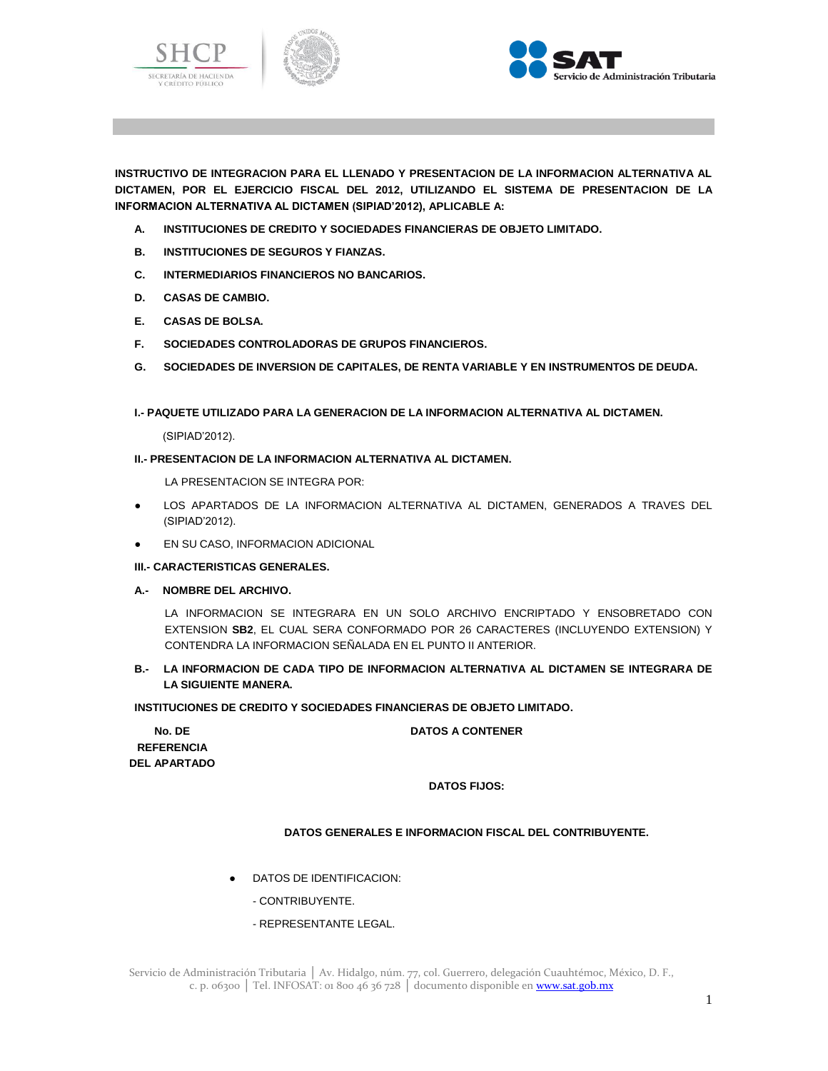





**INSTRUCTIVO DE INTEGRACION PARA EL LLENADO Y PRESENTACION DE LA INFORMACION ALTERNATIVA AL DICTAMEN, POR EL EJERCICIO FISCAL DEL 2012, UTILIZANDO EL SISTEMA DE PRESENTACION DE LA INFORMACION ALTERNATIVA AL DICTAMEN (SIPIAD'2012), APLICABLE A:**

- **A. INSTITUCIONES DE CREDITO Y SOCIEDADES FINANCIERAS DE OBJETO LIMITADO.**
- **B. INSTITUCIONES DE SEGUROS Y FIANZAS.**
- **C. INTERMEDIARIOS FINANCIEROS NO BANCARIOS.**
- **D. CASAS DE CAMBIO.**
- **E. CASAS DE BOLSA.**
- **F. SOCIEDADES CONTROLADORAS DE GRUPOS FINANCIEROS.**
- **G. SOCIEDADES DE INVERSION DE CAPITALES, DE RENTA VARIABLE Y EN INSTRUMENTOS DE DEUDA.**

**I.- PAQUETE UTILIZADO PARA LA GENERACION DE LA INFORMACION ALTERNATIVA AL DICTAMEN.**

(SIPIAD'2012).

## **II.- PRESENTACION DE LA INFORMACION ALTERNATIVA AL DICTAMEN.**

LA PRESENTACION SE INTEGRA POR:

- LOS APARTADOS DE LA INFORMACION ALTERNATIVA AL DICTAMEN, GENERADOS A TRAVES DEL (SIPIAD'2012).
- EN SU CASO, INFORMACION ADICIONAL

## **III.- CARACTERISTICAS GENERALES.**

**A.- NOMBRE DEL ARCHIVO.**

LA INFORMACION SE INTEGRARA EN UN SOLO ARCHIVO ENCRIPTADO Y ENSOBRETADO CON EXTENSION **SB2**, EL CUAL SERA CONFORMADO POR 26 CARACTERES (INCLUYENDO EXTENSION) Y CONTENDRA LA INFORMACION SEÑALADA EN EL PUNTO II ANTERIOR.

# **B.- LA INFORMACION DE CADA TIPO DE INFORMACION ALTERNATIVA AL DICTAMEN SE INTEGRARA DE LA SIGUIENTE MANERA.**

**INSTITUCIONES DE CREDITO Y SOCIEDADES FINANCIERAS DE OBJETO LIMITADO.**

## **DATOS A CONTENER**

**No. DE REFERENCIA DEL APARTADO**

**DATOS FIJOS:**

# **DATOS GENERALES E INFORMACION FISCAL DEL CONTRIBUYENTE.**

- DATOS DE IDENTIFICACION:
	- CONTRIBUYENTE.
	- REPRESENTANTE LEGAL.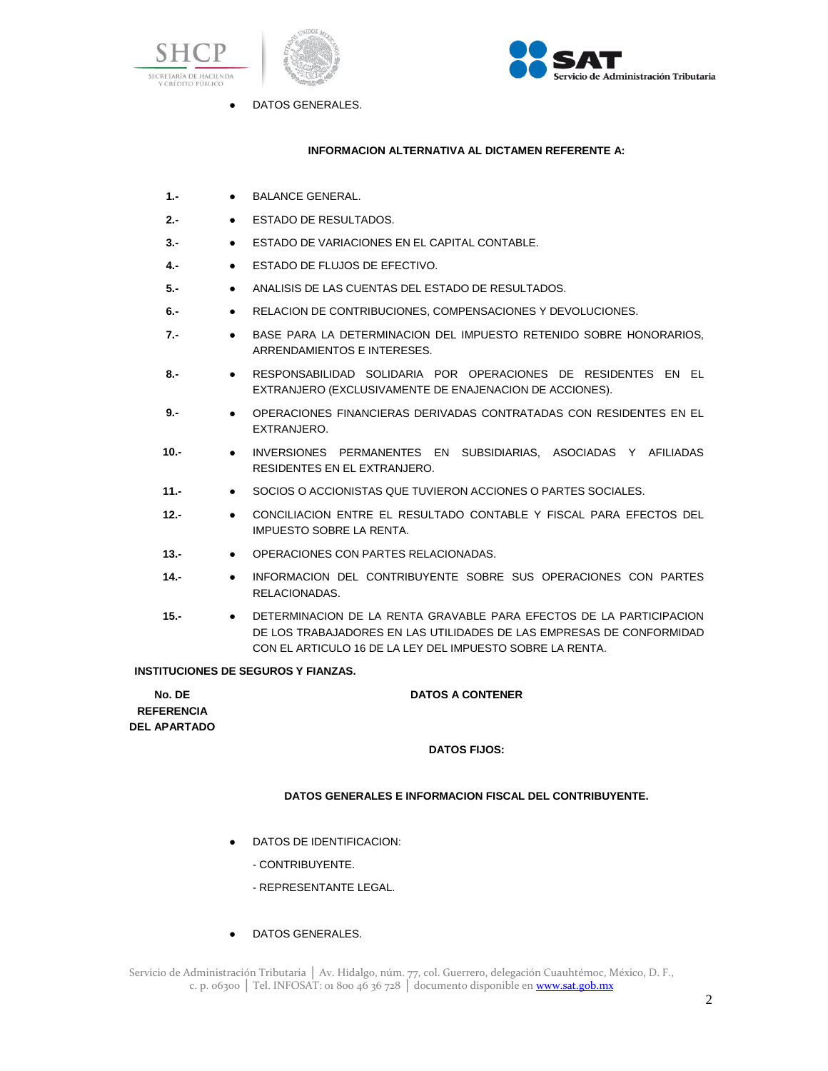





● DATOS GENERALES.

## **INFORMACION ALTERNATIVA AL DICTAMEN REFERENTE A:**

- 1.- **•** BALANCE GENERAL.
- **2.-** ESTADO DE RESULTADOS.
- **3.-** ESTADO DE VARIACIONES EN EL CAPITAL CONTABLE.
- **4.-** ESTADO DE FLUJOS DE EFECTIVO.
- **5.-** ANALISIS DE LAS CUENTAS DEL ESTADO DE RESULTADOS.
- **6.-** RELACION DE CONTRIBUCIONES, COMPENSACIONES Y DEVOLUCIONES.
- **7.-** BASE PARA LA DETERMINACION DEL IMPUESTO RETENIDO SOBRE HONORARIOS, ARRENDAMIENTOS E INTERESES.
- **8.-** RESPONSABILIDAD SOLIDARIA POR OPERACIONES DE RESIDENTES EN EL EXTRANJERO (EXCLUSIVAMENTE DE ENAJENACION DE ACCIONES).
- **9.-** OPERACIONES FINANCIERAS DERIVADAS CONTRATADAS CON RESIDENTES EN EL EXTRANJERO.
- **10.-** INVERSIONES PERMANENTES EN SUBSIDIARIAS, ASOCIADAS Y AFILIADAS RESIDENTES EN EL EXTRANJERO.
- **11.-** SOCIOS O ACCIONISTAS QUE TUVIERON ACCIONES O PARTES SOCIALES.
- **12.-** CONCILIACION ENTRE EL RESULTADO CONTABLE Y FISCAL PARA EFECTOS DEL IMPUESTO SOBRE LA RENTA.
- **13.-** OPERACIONES CON PARTES RELACIONADAS.
- **14.-** INFORMACION DEL CONTRIBUYENTE SOBRE SUS OPERACIONES CON PARTES RELACIONADAS.
- **15.-** DETERMINACION DE LA RENTA GRAVABLE PARA EFECTOS DE LA PARTICIPACION DE LOS TRABAJADORES EN LAS UTILIDADES DE LAS EMPRESAS DE CONFORMIDAD CON EL ARTICULO 16 DE LA LEY DEL IMPUESTO SOBRE LA RENTA.

## **INSTITUCIONES DE SEGUROS Y FIANZAS.**

| No. DE              | <b>DATOS A CONTENER</b> |
|---------------------|-------------------------|
| <b>REFERENCIA</b>   |                         |
| <b>DEL APARTADO</b> |                         |
|                     | <b>DATOS FIJOS:</b>     |

## **DATOS GENERALES E INFORMACION FISCAL DEL CONTRIBUYENTE.**

- DATOS DE IDENTIFICACION:
	- CONTRIBUYENTE.
	- REPRESENTANTE LEGAL.
- DATOS GENERALES.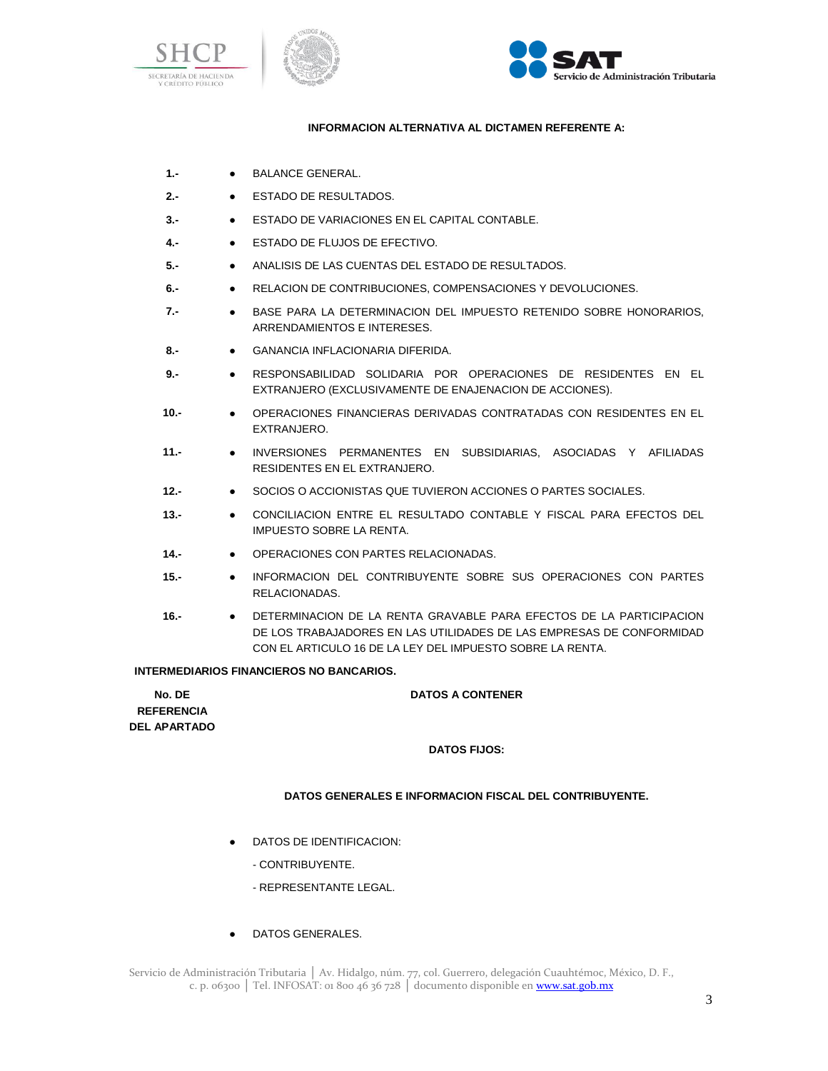





# **INFORMACION ALTERNATIVA AL DICTAMEN REFERENTE A:**

- 1.- BALANCE GENERAL.
- **2.-** ESTADO DE RESULTADOS.
- **3.-** ESTADO DE VARIACIONES EN EL CAPITAL CONTABLE.
- **4.-** ESTADO DE FLUJOS DE EFECTIVO.
- **5.-** ANALISIS DE LAS CUENTAS DEL ESTADO DE RESULTADOS.
- **6.-** RELACION DE CONTRIBUCIONES, COMPENSACIONES Y DEVOLUCIONES.
- **7.-** BASE PARA LA DETERMINACION DEL IMPUESTO RETENIDO SOBRE HONORARIOS, ARRENDAMIENTOS E INTERESES.
- **8.-** GANANCIA INFLACIONARIA DIFERIDA.
- **9.-** RESPONSABILIDAD SOLIDARIA POR OPERACIONES DE RESIDENTES EN EL EXTRANJERO (EXCLUSIVAMENTE DE ENAJENACION DE ACCIONES).
- **10.-** OPERACIONES FINANCIERAS DERIVADAS CONTRATADAS CON RESIDENTES EN EL EXTRANJERO.
- **11.-** INVERSIONES PERMANENTES EN SUBSIDIARIAS, ASOCIADAS Y AFILIADAS RESIDENTES EN EL EXTRANJERO.
- **12.-** SOCIOS O ACCIONISTAS QUE TUVIERON ACCIONES O PARTES SOCIALES.
- **13.-** CONCILIACION ENTRE EL RESULTADO CONTABLE Y FISCAL PARA EFECTOS DEL IMPUESTO SOBRE LA RENTA.
- **14.-** OPERACIONES CON PARTES RELACIONADAS.
- **15.-** INFORMACION DEL CONTRIBUYENTE SOBRE SUS OPERACIONES CON PARTES RELACIONADAS.
- **16.-** DETERMINACION DE LA RENTA GRAVABLE PARA EFECTOS DE LA PARTICIPACION DE LOS TRABAJADORES EN LAS UTILIDADES DE LAS EMPRESAS DE CONFORMIDAD CON EL ARTICULO 16 DE LA LEY DEL IMPUESTO SOBRE LA RENTA.

## **INTERMEDIARIOS FINANCIEROS NO BANCARIOS.**

| No. DE              | <b>DATOS A CONTENER</b> |
|---------------------|-------------------------|
| <b>REFERENCIA</b>   |                         |
| <b>DEL APARTADO</b> |                         |
|                     | <b>DATOR FLIOR.</b>     |

## **DATOS FIJOS:**

## **DATOS GENERALES E INFORMACION FISCAL DEL CONTRIBUYENTE.**

- DATOS DE IDENTIFICACION:
	- CONTRIBUYENTE.
	- REPRESENTANTE LEGAL.
- DATOS GENERALES.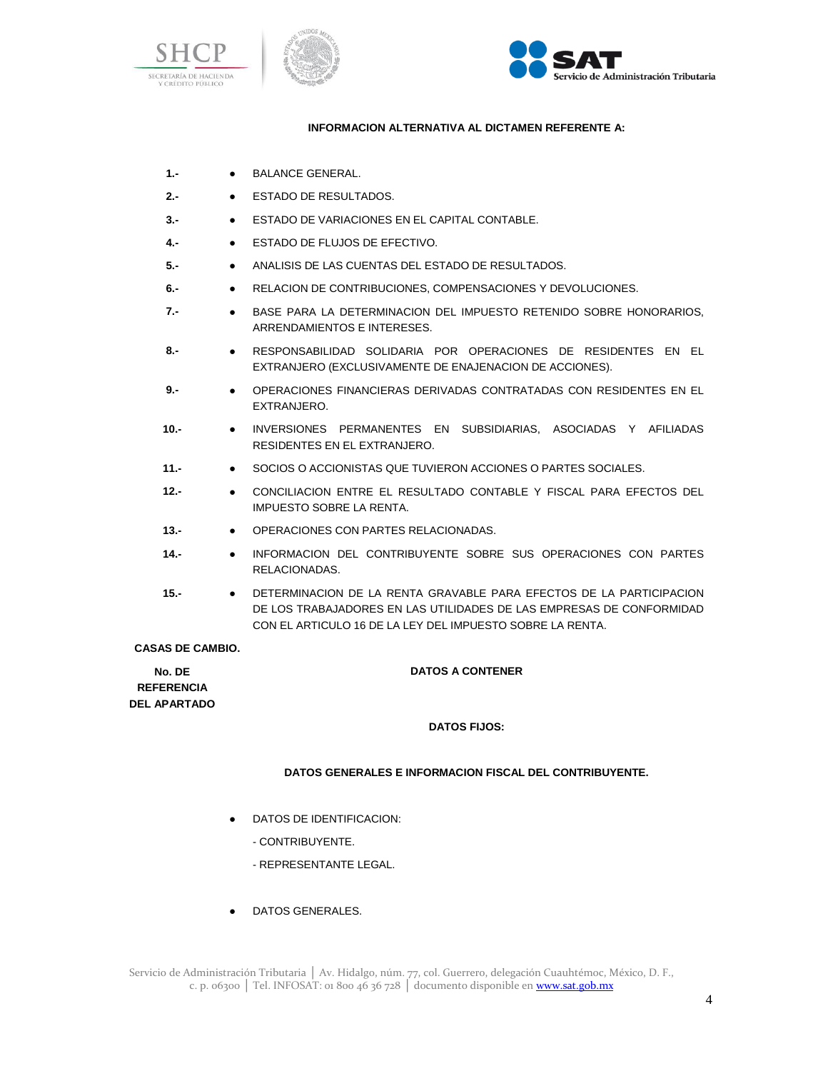





# **INFORMACION ALTERNATIVA AL DICTAMEN REFERENTE A:**

- 1.- BALANCE GENERAL.
- **2.-** ESTADO DE RESULTADOS.
- **3.-** ESTADO DE VARIACIONES EN EL CAPITAL CONTABLE.
- **4.-** ESTADO DE FLUJOS DE EFECTIVO.
- **5.-** ANALISIS DE LAS CUENTAS DEL ESTADO DE RESULTADOS.
- **6.-** RELACION DE CONTRIBUCIONES, COMPENSACIONES Y DEVOLUCIONES.
- **7.-** BASE PARA LA DETERMINACION DEL IMPUESTO RETENIDO SOBRE HONORARIOS, ARRENDAMIENTOS E INTERESES.
- **8.-** RESPONSABILIDAD SOLIDARIA POR OPERACIONES DE RESIDENTES EN EL EXTRANJERO (EXCLUSIVAMENTE DE ENAJENACION DE ACCIONES).
- **9.-** OPERACIONES FINANCIERAS DERIVADAS CONTRATADAS CON RESIDENTES EN EL EXTRANJERO.
- **10.-** INVERSIONES PERMANENTES EN SUBSIDIARIAS, ASOCIADAS Y AFILIADAS RESIDENTES EN EL EXTRANJERO.
- **11.-** SOCIOS O ACCIONISTAS QUE TUVIERON ACCIONES O PARTES SOCIALES.
- **12.-** CONCILIACION ENTRE EL RESULTADO CONTABLE Y FISCAL PARA EFECTOS DEL IMPUESTO SOBRE LA RENTA.
- **13.-** OPERACIONES CON PARTES RELACIONADAS.
- **14.-** INFORMACION DEL CONTRIBUYENTE SOBRE SUS OPERACIONES CON PARTES RELACIONADAS.
- **15.-** DETERMINACION DE LA RENTA GRAVABLE PARA EFECTOS DE LA PARTICIPACION DE LOS TRABAJADORES EN LAS UTILIDADES DE LAS EMPRESAS DE CONFORMIDAD CON EL ARTICULO 16 DE LA LEY DEL IMPUESTO SOBRE LA RENTA.

**CASAS DE CAMBIO.**

**No. DE REFERENCIA DEL APARTADO** **DATOS A CONTENER**

## **DATOS FIJOS:**

## **DATOS GENERALES E INFORMACION FISCAL DEL CONTRIBUYENTE.**

- DATOS DE IDENTIFICACION:
	- CONTRIBUYENTE.
	- REPRESENTANTE LEGAL.
- DATOS GENERALES.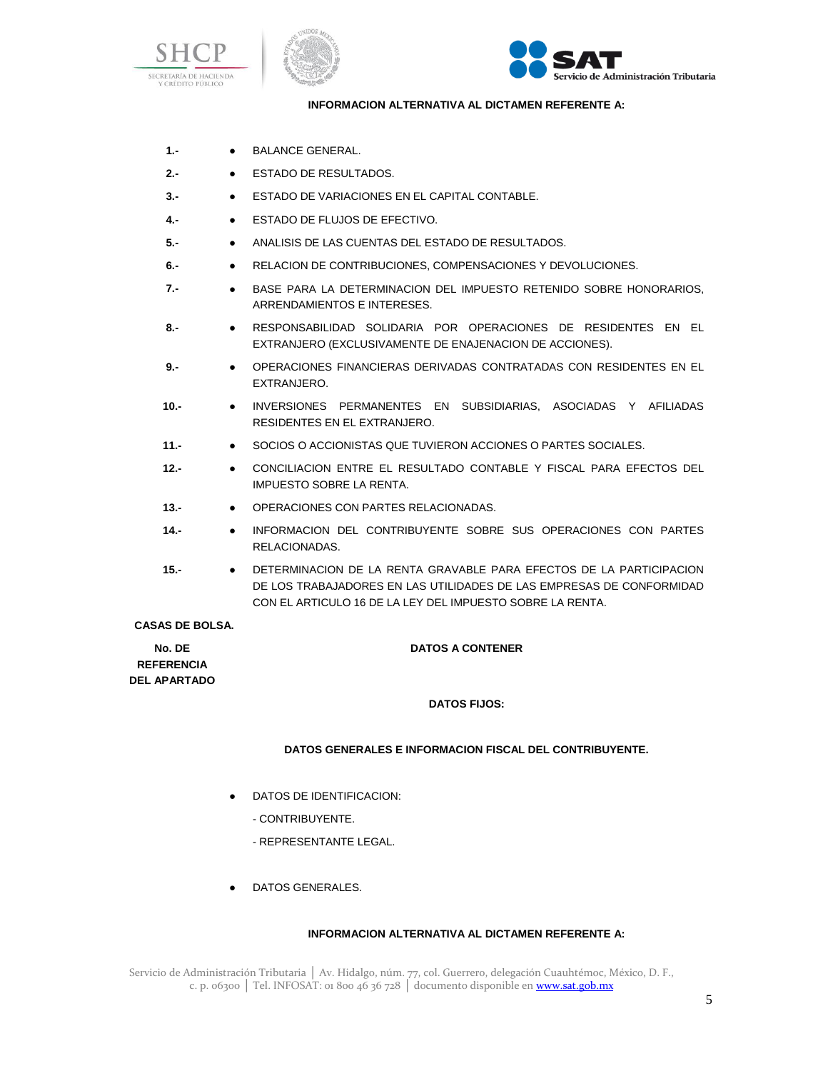





## **INFORMACION ALTERNATIVA AL DICTAMEN REFERENTE A:**

- 1.- **•** BALANCE GENERAL.
- **2.-** ESTADO DE RESULTADOS.
- **3.-** ESTADO DE VARIACIONES EN EL CAPITAL CONTABLE.
- **4.-** ESTADO DE FLUJOS DE EFECTIVO.
- **5.-** ANALISIS DE LAS CUENTAS DEL ESTADO DE RESULTADOS.
- **6.-** RELACION DE CONTRIBUCIONES, COMPENSACIONES Y DEVOLUCIONES.
- **7.-** BASE PARA LA DETERMINACION DEL IMPUESTO RETENIDO SOBRE HONORARIOS, ARRENDAMIENTOS E INTERESES.
- **8.-** RESPONSABILIDAD SOLIDARIA POR OPERACIONES DE RESIDENTES EN EL EXTRANJERO (EXCLUSIVAMENTE DE ENAJENACION DE ACCIONES).
- **9.-** OPERACIONES FINANCIERAS DERIVADAS CONTRATADAS CON RESIDENTES EN EL EXTRANJERO.
- **10.-** INVERSIONES PERMANENTES EN SUBSIDIARIAS, ASOCIADAS Y AFILIADAS RESIDENTES EN EL EXTRANJERO.
- **11.-** SOCIOS O ACCIONISTAS QUE TUVIERON ACCIONES O PARTES SOCIALES.
- **12.-** CONCILIACION ENTRE EL RESULTADO CONTABLE Y FISCAL PARA EFECTOS DEL IMPUESTO SOBRE LA RENTA.
- **13.-** OPERACIONES CON PARTES RELACIONADAS.
- **14.-** INFORMACION DEL CONTRIBUYENTE SOBRE SUS OPERACIONES CON PARTES RELACIONADAS.
- **15.-** DETERMINACION DE LA RENTA GRAVABLE PARA EFECTOS DE LA PARTICIPACION DE LOS TRABAJADORES EN LAS UTILIDADES DE LAS EMPRESAS DE CONFORMIDAD CON EL ARTICULO 16 DE LA LEY DEL IMPUESTO SOBRE LA RENTA.

#### **CASAS DE BOLSA.**

| No. DE              |  |
|---------------------|--|
| <b>REFERENCIA</b>   |  |
| <b>DEL APARTADO</b> |  |

# **DATOS A CONTENER**

## **DATOS FIJOS:**

## **DATOS GENERALES E INFORMACION FISCAL DEL CONTRIBUYENTE.**

- DATOS DE IDENTIFICACION:
	- CONTRIBUYENTE.
	- REPRESENTANTE LEGAL.
- DATOS GENERALES.

# **INFORMACION ALTERNATIVA AL DICTAMEN REFERENTE A:**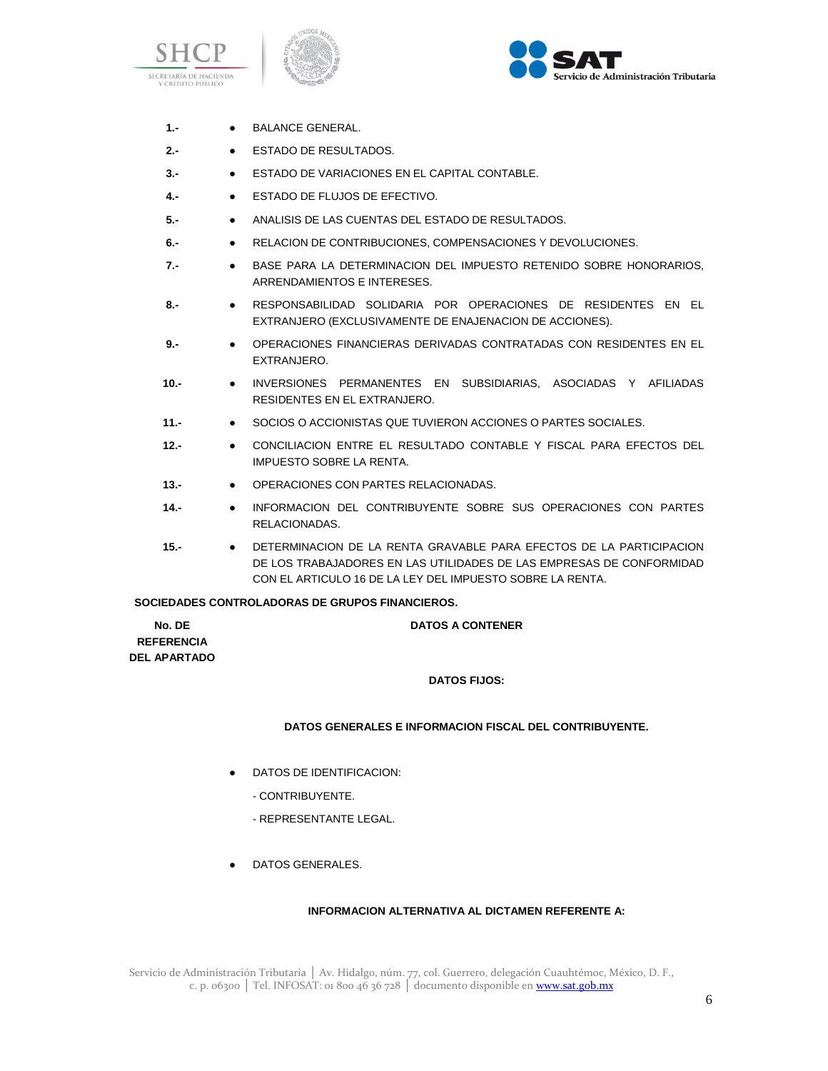





- 1.- BALANCE GENERAL.
- **2.-** ESTADO DE RESULTADOS.
- **3.-** ESTADO DE VARIACIONES EN EL CAPITAL CONTABLE.
- **4.-** ESTADO DE FLUJOS DE EFECTIVO.
- **5.-** ANALISIS DE LAS CUENTAS DEL ESTADO DE RESULTADOS.
- **6.-** RELACION DE CONTRIBUCIONES, COMPENSACIONES Y DEVOLUCIONES.
- **7.-** BASE PARA LA DETERMINACION DEL IMPUESTO RETENIDO SOBRE HONORARIOS, ARRENDAMIENTOS E INTERESES.
- **8.-** RESPONSABILIDAD SOLIDARIA POR OPERACIONES DE RESIDENTES EN EL EXTRANJERO (EXCLUSIVAMENTE DE ENAJENACION DE ACCIONES).
- **9.-** OPERACIONES FINANCIERAS DERIVADAS CONTRATADAS CON RESIDENTES EN EL EXTRANJERO.
- **10.-** INVERSIONES PERMANENTES EN SUBSIDIARIAS, ASOCIADAS Y AFILIADAS RESIDENTES EN EL EXTRANJERO.
- **11.-** SOCIOS O ACCIONISTAS QUE TUVIERON ACCIONES O PARTES SOCIALES.
- **12.-** CONCILIACION ENTRE EL RESULTADO CONTABLE Y FISCAL PARA EFECTOS DEL IMPUESTO SOBRE LA RENTA.
- **13.-** OPERACIONES CON PARTES RELACIONADAS.
- **14.-** INFORMACION DEL CONTRIBUYENTE SOBRE SUS OPERACIONES CON PARTES RELACIONADAS.
- **15.-** DETERMINACION DE LA RENTA GRAVABLE PARA EFECTOS DE LA PARTICIPACION DE LOS TRABAJADORES EN LAS UTILIDADES DE LAS EMPRESAS DE CONFORMIDAD CON EL ARTICULO 16 DE LA LEY DEL IMPUESTO SOBRE LA RENTA.

#### **SOCIEDADES CONTROLADORAS DE GRUPOS FINANCIEROS.**

| No. DE            | <b>DATOS A CONTENER</b> |
|-------------------|-------------------------|
| <b>REFERENCIA</b> |                         |
| DEL APARTADO      |                         |
|                   | <b>DATOS FIJOS:</b>     |

#### **DATOS GENERALES E INFORMACION FISCAL DEL CONTRIBUYENTE.**

- DATOS DE IDENTIFICACION:
	- CONTRIBUYENTE.
	- REPRESENTANTE LEGAL.
- DATOS GENERALES.

## **INFORMACION ALTERNATIVA AL DICTAMEN REFERENTE A:**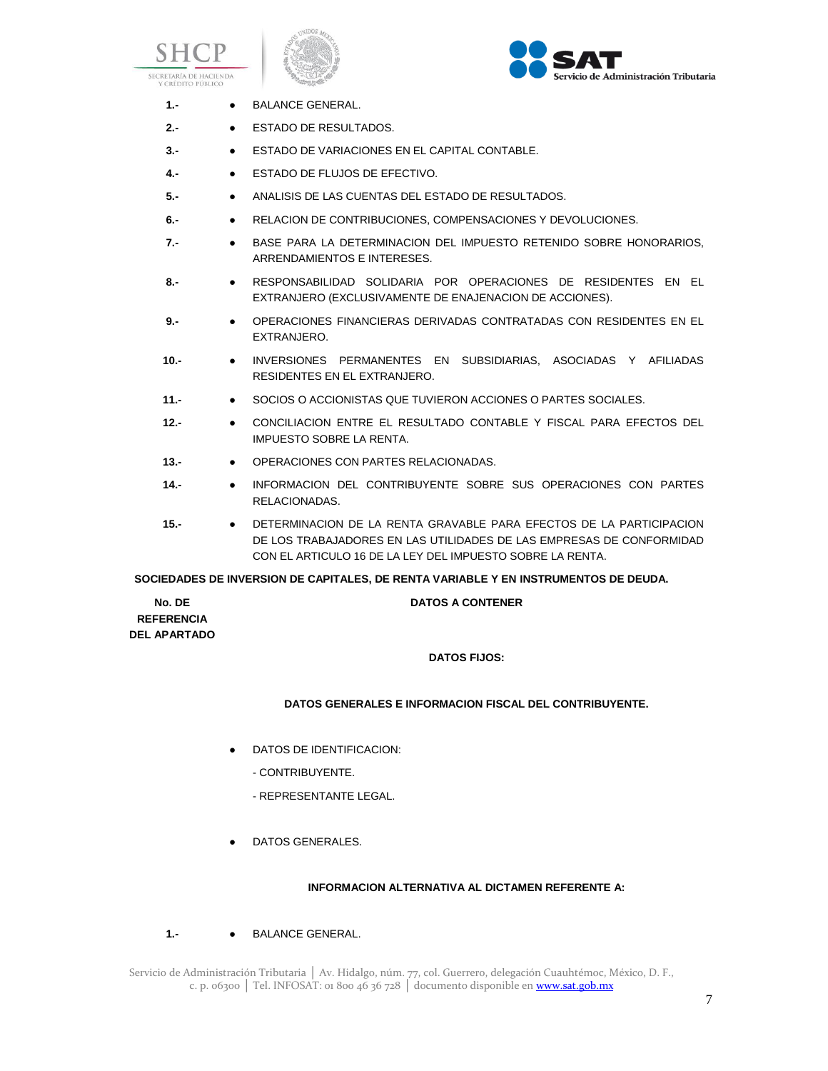





| $1 -$ | <b>BALANCE GENERAL.</b> |
|-------|-------------------------|
|       |                         |

- **2.-** ESTADO DE RESULTADOS.
- **3.-** ESTADO DE VARIACIONES EN EL CAPITAL CONTABLE.
- **4.-** ESTADO DE FLUJOS DE EFECTIVO.
- **5.-** ANALISIS DE LAS CUENTAS DEL ESTADO DE RESULTADOS.
- **6.-** RELACION DE CONTRIBUCIONES, COMPENSACIONES Y DEVOLUCIONES.
- **7.-** BASE PARA LA DETERMINACION DEL IMPUESTO RETENIDO SOBRE HONORARIOS, ARRENDAMIENTOS E INTERESES.
- **8.-** RESPONSABILIDAD SOLIDARIA POR OPERACIONES DE RESIDENTES EN EL EXTRANJERO (EXCLUSIVAMENTE DE ENAJENACION DE ACCIONES).
- **9.-** OPERACIONES FINANCIERAS DERIVADAS CONTRATADAS CON RESIDENTES EN EL EXTRANJERO.
- **10.-** INVERSIONES PERMANENTES EN SUBSIDIARIAS, ASOCIADAS Y AFILIADAS RESIDENTES EN EL EXTRANJERO.
- **11.-** SOCIOS O ACCIONISTAS QUE TUVIERON ACCIONES O PARTES SOCIALES.
- **12.-** CONCILIACION ENTRE EL RESULTADO CONTABLE Y FISCAL PARA EFECTOS DEL IMPUESTO SOBRE LA RENTA.
- **13.-** OPERACIONES CON PARTES RELACIONADAS.
- **14.-** INFORMACION DEL CONTRIBUYENTE SOBRE SUS OPERACIONES CON PARTES RELACIONADAS.
- **15.-** DETERMINACION DE LA RENTA GRAVABLE PARA EFECTOS DE LA PARTICIPACION DE LOS TRABAJADORES EN LAS UTILIDADES DE LAS EMPRESAS DE CONFORMIDAD CON EL ARTICULO 16 DE LA LEY DEL IMPUESTO SOBRE LA RENTA.

**SOCIEDADES DE INVERSION DE CAPITALES, DE RENTA VARIABLE Y EN INSTRUMENTOS DE DEUDA.**

**No. DE REFERENCIA DEL APARTADO**

# **DATOS A CONTENER**

## **DATOS FIJOS:**

## **DATOS GENERALES E INFORMACION FISCAL DEL CONTRIBUYENTE.**

- DATOS DE IDENTIFICACION:
	- CONTRIBUYENTE.
	- REPRESENTANTE LEGAL.
- DATOS GENERALES.

## **INFORMACION ALTERNATIVA AL DICTAMEN REFERENTE A:**

**1.-** ● BALANCE GENERAL.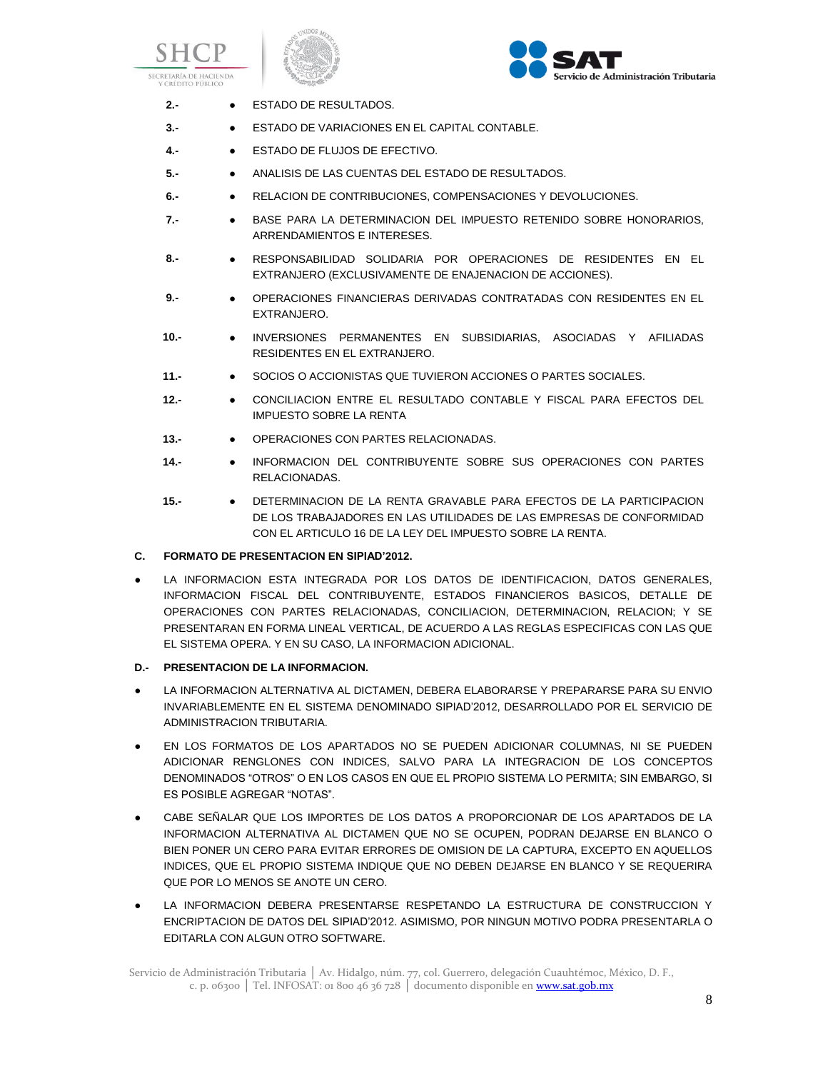





- **2.-** ESTADO DE RESULTADOS.
- **3.-** ESTADO DE VARIACIONES EN EL CAPITAL CONTABLE.
- **4.-** ESTADO DE FLUJOS DE EFECTIVO.
- **5.-** ANALISIS DE LAS CUENTAS DEL ESTADO DE RESULTADOS.
- **6.-** RELACION DE CONTRIBUCIONES, COMPENSACIONES Y DEVOLUCIONES.
- **7.-** BASE PARA LA DETERMINACION DEL IMPUESTO RETENIDO SOBRE HONORARIOS, ARRENDAMIENTOS E INTERESES.
- **8.-** RESPONSABILIDAD SOLIDARIA POR OPERACIONES DE RESIDENTES EN EL EXTRANJERO (EXCLUSIVAMENTE DE ENAJENACION DE ACCIONES).
- **9.-** OPERACIONES FINANCIERAS DERIVADAS CONTRATADAS CON RESIDENTES EN EL EXTRANJERO.
- **10.-** INVERSIONES PERMANENTES EN SUBSIDIARIAS, ASOCIADAS Y AFILIADAS RESIDENTES EN EL EXTRANJERO.
- **11.-** SOCIOS O ACCIONISTAS QUE TUVIERON ACCIONES O PARTES SOCIALES.
- **12.-** CONCILIACION ENTRE EL RESULTADO CONTABLE Y FISCAL PARA EFECTOS DEL IMPUESTO SOBRE LA RENTA
- **13.-** OPERACIONES CON PARTES RELACIONADAS.
- **14.-** INFORMACION DEL CONTRIBUYENTE SOBRE SUS OPERACIONES CON PARTES RELACIONADAS.
- **15.-** DETERMINACION DE LA RENTA GRAVABLE PARA EFECTOS DE LA PARTICIPACION DE LOS TRABAJADORES EN LAS UTILIDADES DE LAS EMPRESAS DE CONFORMIDAD CON EL ARTICULO 16 DE LA LEY DEL IMPUESTO SOBRE LA RENTA.

## **C. FORMATO DE PRESENTACION EN SIPIAD'2012.**

LA INFORMACION ESTA INTEGRADA POR LOS DATOS DE IDENTIFICACION, DATOS GENERALES, INFORMACION FISCAL DEL CONTRIBUYENTE, ESTADOS FINANCIEROS BASICOS, DETALLE DE OPERACIONES CON PARTES RELACIONADAS, CONCILIACION, DETERMINACION, RELACION; Y SE PRESENTARAN EN FORMA LINEAL VERTICAL, DE ACUERDO A LAS REGLAS ESPECIFICAS CON LAS QUE EL SISTEMA OPERA. Y EN SU CASO, LA INFORMACION ADICIONAL.

## **D.- PRESENTACION DE LA INFORMACION.**

- LA INFORMACION ALTERNATIVA AL DICTAMEN, DEBERA ELABORARSE Y PREPARARSE PARA SU ENVIO INVARIABLEMENTE EN EL SISTEMA DENOMINADO SIPIAD'2012, DESARROLLADO POR EL SERVICIO DE ADMINISTRACION TRIBUTARIA.
- EN LOS FORMATOS DE LOS APARTADOS NO SE PUEDEN ADICIONAR COLUMNAS, NI SE PUEDEN ADICIONAR RENGLONES CON INDICES, SALVO PARA LA INTEGRACION DE LOS CONCEPTOS DENOMINADOS "OTROS" O EN LOS CASOS EN QUE EL PROPIO SISTEMA LO PERMITA; SIN EMBARGO, SI ES POSIBLE AGREGAR "NOTAS".
- CABE SEÑALAR QUE LOS IMPORTES DE LOS DATOS A PROPORCIONAR DE LOS APARTADOS DE LA INFORMACION ALTERNATIVA AL DICTAMEN QUE NO SE OCUPEN, PODRAN DEJARSE EN BLANCO O BIEN PONER UN CERO PARA EVITAR ERRORES DE OMISION DE LA CAPTURA, EXCEPTO EN AQUELLOS INDICES, QUE EL PROPIO SISTEMA INDIQUE QUE NO DEBEN DEJARSE EN BLANCO Y SE REQUERIRA QUE POR LO MENOS SE ANOTE UN CERO.
- LA INFORMACION DEBERA PRESENTARSE RESPETANDO LA ESTRUCTURA DE CONSTRUCCION Y ENCRIPTACION DE DATOS DEL SIPIAD'2012. ASIMISMO, POR NINGUN MOTIVO PODRA PRESENTARLA O EDITARLA CON ALGUN OTRO SOFTWARE.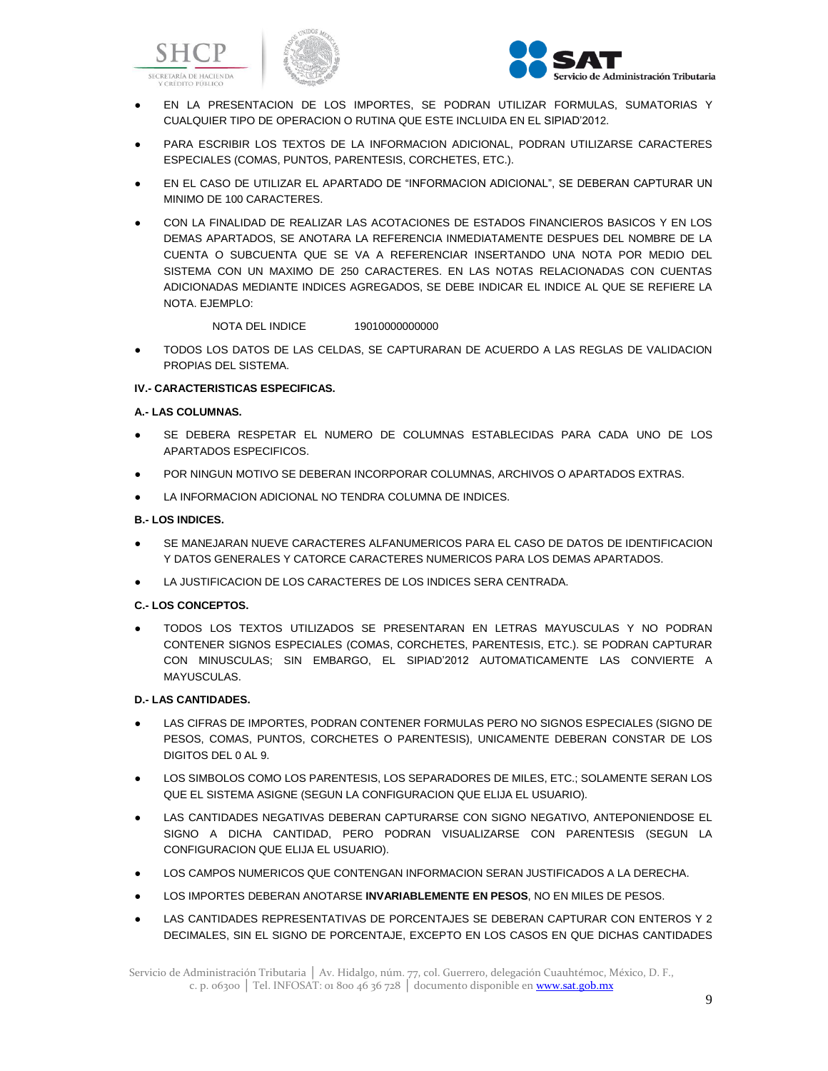





- EN LA PRESENTACION DE LOS IMPORTES, SE PODRAN UTILIZAR FORMULAS, SUMATORIAS Y CUALQUIER TIPO DE OPERACION O RUTINA QUE ESTE INCLUIDA EN EL SIPIAD'2012.
- PARA ESCRIBIR LOS TEXTOS DE LA INFORMACION ADICIONAL, PODRAN UTILIZARSE CARACTERES ESPECIALES (COMAS, PUNTOS, PARENTESIS, CORCHETES, ETC.).
- EN EL CASO DE UTILIZAR EL APARTADO DE "INFORMACION ADICIONAL", SE DEBERAN CAPTURAR UN MINIMO DE 100 CARACTERES.
- CON LA FINALIDAD DE REALIZAR LAS ACOTACIONES DE ESTADOS FINANCIEROS BASICOS Y EN LOS DEMAS APARTADOS, SE ANOTARA LA REFERENCIA INMEDIATAMENTE DESPUES DEL NOMBRE DE LA CUENTA O SUBCUENTA QUE SE VA A REFERENCIAR INSERTANDO UNA NOTA POR MEDIO DEL SISTEMA CON UN MAXIMO DE 250 CARACTERES. EN LAS NOTAS RELACIONADAS CON CUENTAS ADICIONADAS MEDIANTE INDICES AGREGADOS, SE DEBE INDICAR EL INDICE AL QUE SE REFIERE LA NOTA. EJEMPLO:

NOTA DEL INDICE 19010000000000

● TODOS LOS DATOS DE LAS CELDAS, SE CAPTURARAN DE ACUERDO A LAS REGLAS DE VALIDACION PROPIAS DEL SISTEMA.

## **IV.- CARACTERISTICAS ESPECIFICAS.**

## **A.- LAS COLUMNAS.**

- SE DEBERA RESPETAR EL NUMERO DE COLUMNAS ESTABLECIDAS PARA CADA UNO DE LOS APARTADOS ESPECIFICOS.
- POR NINGUN MOTIVO SE DEBERAN INCORPORAR COLUMNAS, ARCHIVOS O APARTADOS EXTRAS.
- LA INFORMACION ADICIONAL NO TENDRA COLUMNA DE INDICES.

#### **B.- LOS INDICES.**

- SE MANEJARAN NUEVE CARACTERES ALFANUMERICOS PARA EL CASO DE DATOS DE IDENTIFICACION Y DATOS GENERALES Y CATORCE CARACTERES NUMERICOS PARA LOS DEMAS APARTADOS.
- LA JUSTIFICACION DE LOS CARACTERES DE LOS INDICES SERA CENTRADA.

## **C.- LOS CONCEPTOS.**

● TODOS LOS TEXTOS UTILIZADOS SE PRESENTARAN EN LETRAS MAYUSCULAS Y NO PODRAN CONTENER SIGNOS ESPECIALES (COMAS, CORCHETES, PARENTESIS, ETC.). SE PODRAN CAPTURAR CON MINUSCULAS; SIN EMBARGO, EL SIPIAD'2012 AUTOMATICAMENTE LAS CONVIERTE A MAYUSCULAS.

## **D.- LAS CANTIDADES.**

- LAS CIFRAS DE IMPORTES, PODRAN CONTENER FORMULAS PERO NO SIGNOS ESPECIALES (SIGNO DE PESOS, COMAS, PUNTOS, CORCHETES O PARENTESIS), UNICAMENTE DEBERAN CONSTAR DE LOS DIGITOS DEL 0 AL 9.
- LOS SIMBOLOS COMO LOS PARENTESIS, LOS SEPARADORES DE MILES, ETC.; SOLAMENTE SERAN LOS QUE EL SISTEMA ASIGNE (SEGUN LA CONFIGURACION QUE ELIJA EL USUARIO).
- LAS CANTIDADES NEGATIVAS DEBERAN CAPTURARSE CON SIGNO NEGATIVO, ANTEPONIENDOSE EL SIGNO A DICHA CANTIDAD, PERO PODRAN VISUALIZARSE CON PARENTESIS (SEGUN LA CONFIGURACION QUE ELIJA EL USUARIO).
- LOS CAMPOS NUMERICOS QUE CONTENGAN INFORMACION SERAN JUSTIFICADOS A LA DERECHA.
- LOS IMPORTES DEBERAN ANOTARSE **INVARIABLEMENTE EN PESOS**, NO EN MILES DE PESOS.
- LAS CANTIDADES REPRESENTATIVAS DE PORCENTAJES SE DEBERAN CAPTURAR CON ENTEROS Y 2 DECIMALES, SIN EL SIGNO DE PORCENTAJE, EXCEPTO EN LOS CASOS EN QUE DICHAS CANTIDADES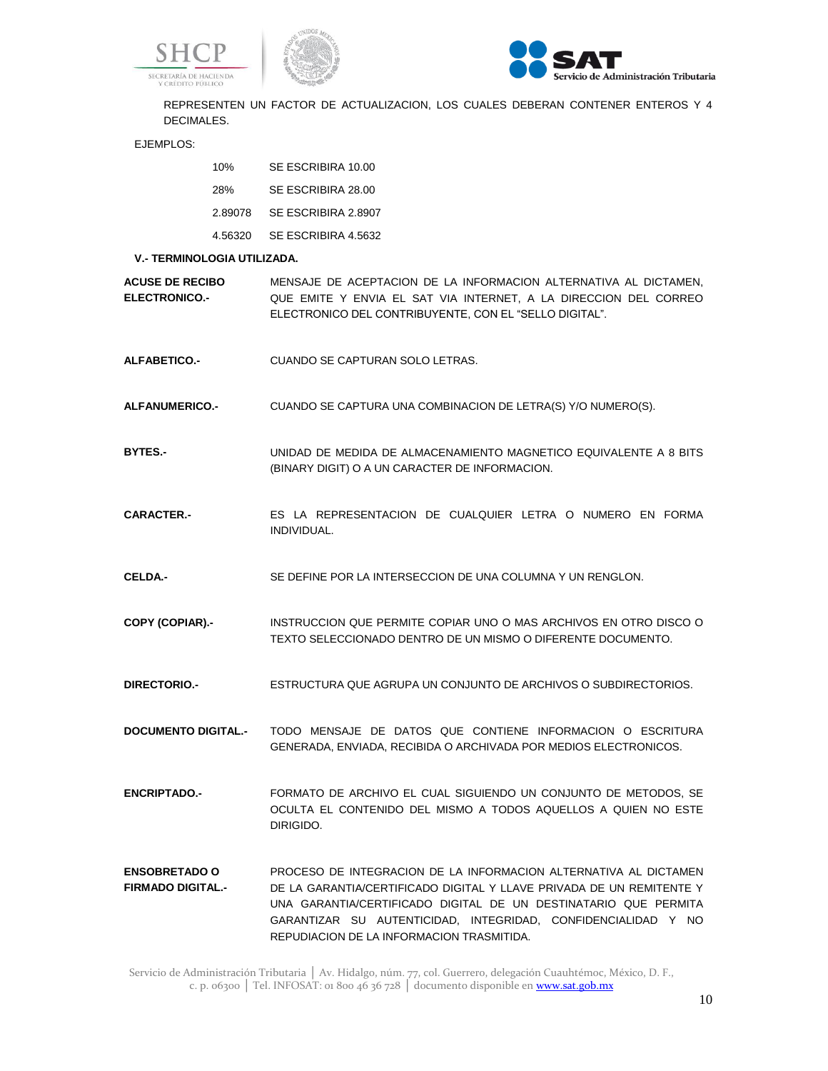





REPRESENTEN UN FACTOR DE ACTUALIZACION, LOS CUALES DEBERAN CONTENER ENTEROS Y 4 DECIMALES.

EJEMPLOS:

| 10%     | SE ESCRIBIRA 10.00  |
|---------|---------------------|
| 28%     | SE ESCRIBIRA 28.00  |
| 2.89078 | SE ESCRIBIRA 2.8907 |
| 4.56320 | SE ESCRIBIRA 4.5632 |

#### **V.- TERMINOLOGIA UTILIZADA.**

**ACUSE DE RECIBO ELECTRONICO.-** MENSAJE DE ACEPTACION DE LA INFORMACION ALTERNATIVA AL DICTAMEN, QUE EMITE Y ENVIA EL SAT VIA INTERNET, A LA DIRECCION DEL CORREO ELECTRONICO DEL CONTRIBUYENTE, CON EL "SELLO DIGITAL".

- **ALFABETICO.-** CUANDO SE CAPTURAN SOLO LETRAS.
- **ALFANUMERICO.-** CUANDO SE CAPTURA UNA COMBINACION DE LETRA(S) Y/O NUMERO(S).
- **BYTES.-** UNIDAD DE MEDIDA DE ALMACENAMIENTO MAGNETICO EQUIVALENTE A 8 BITS (BINARY DIGIT) O A UN CARACTER DE INFORMACION.
- **CARACTER.-** ES LA REPRESENTACION DE CUALQUIER LETRA O NUMERO EN FORMA INDIVIDUAL.
- **CELDA.-** SE DEFINE POR LA INTERSECCION DE UNA COLUMNA Y UN RENGLON.
- **COPY (COPIAR).-** INSTRUCCION QUE PERMITE COPIAR UNO O MAS ARCHIVOS EN OTRO DISCO O TEXTO SELECCIONADO DENTRO DE UN MISMO O DIFERENTE DOCUMENTO.
- **DIRECTORIO.-** ESTRUCTURA QUE AGRUPA UN CONJUNTO DE ARCHIVOS O SUBDIRECTORIOS.

**DOCUMENTO DIGITAL.-** TODO MENSAJE DE DATOS QUE CONTIENE INFORMACION O ESCRITURA GENERADA, ENVIADA, RECIBIDA O ARCHIVADA POR MEDIOS ELECTRONICOS.

**ENCRIPTADO.-** FORMATO DE ARCHIVO EL CUAL SIGUIENDO UN CONJUNTO DE METODOS, SE OCULTA EL CONTENIDO DEL MISMO A TODOS AQUELLOS A QUIEN NO ESTE DIRIGIDO.

**ENSOBRETADO O FIRMADO DIGITAL.-** PROCESO DE INTEGRACION DE LA INFORMACION ALTERNATIVA AL DICTAMEN DE LA GARANTIA/CERTIFICADO DIGITAL Y LLAVE PRIVADA DE UN REMITENTE Y UNA GARANTIA/CERTIFICADO DIGITAL DE UN DESTINATARIO QUE PERMITA GARANTIZAR SU AUTENTICIDAD, INTEGRIDAD, CONFIDENCIALIDAD Y NO REPUDIACION DE LA INFORMACION TRASMITIDA.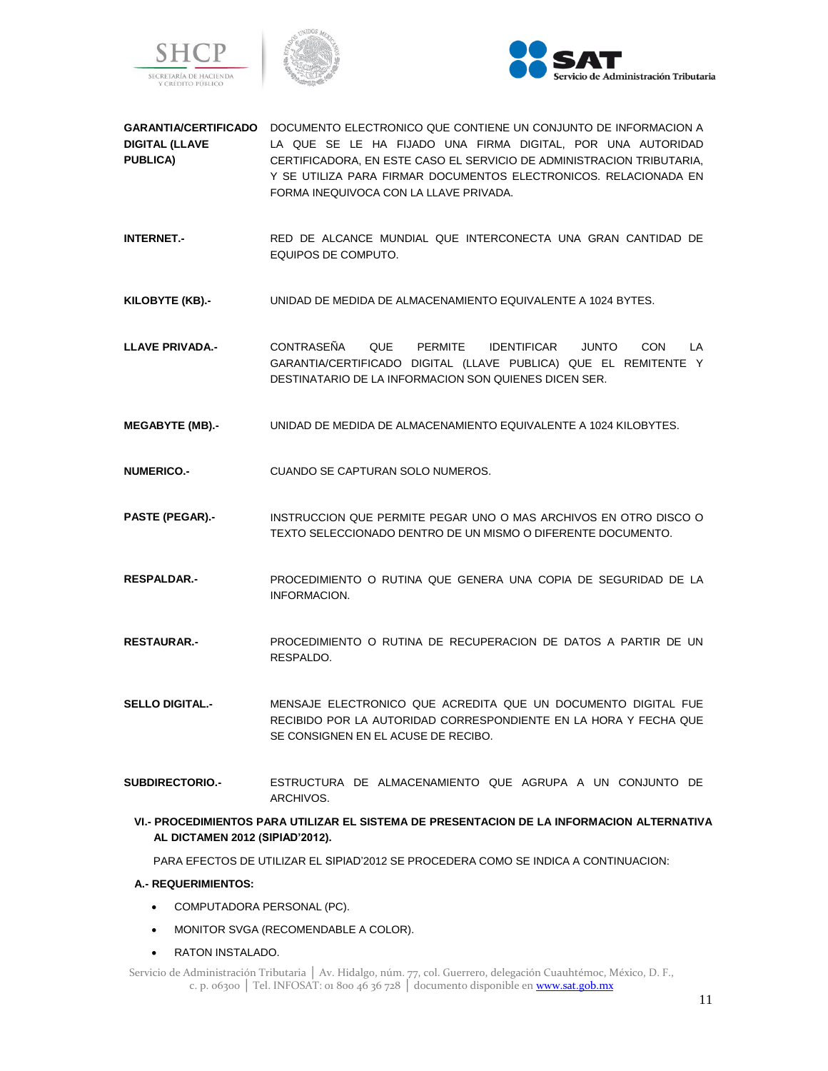





- **GARANTIA/CERTIFICADO**  DOCUMENTO ELECTRONICO QUE CONTIENE UN CONJUNTO DE INFORMACION A **DIGITAL (LLAVE PUBLICA)** LA QUE SE LE HA FIJADO UNA FIRMA DIGITAL, POR UNA AUTORIDAD CERTIFICADORA, EN ESTE CASO EL SERVICIO DE ADMINISTRACION TRIBUTARIA, Y SE UTILIZA PARA FIRMAR DOCUMENTOS ELECTRONICOS. RELACIONADA EN FORMA INEQUIVOCA CON LA LLAVE PRIVADA.
- **INTERNET.-** RED DE ALCANCE MUNDIAL QUE INTERCONECTA UNA GRAN CANTIDAD DE EQUIPOS DE COMPUTO.
- **KILOBYTE (KB).-** UNIDAD DE MEDIDA DE ALMACENAMIENTO EQUIVALENTE A 1024 BYTES.
- **LLAVE PRIVADA.-** CONTRASEÑA QUE PERMITE IDENTIFICAR JUNTO CON LA GARANTIA/CERTIFICADO DIGITAL (LLAVE PUBLICA) QUE EL REMITENTE Y DESTINATARIO DE LA INFORMACION SON QUIENES DICEN SER.
- **MEGABYTE (MB).-** UNIDAD DE MEDIDA DE ALMACENAMIENTO EQUIVALENTE A 1024 KILOBYTES.
- **NUMERICO.-** CUANDO SE CAPTURAN SOLO NUMEROS.
- **PASTE (PEGAR).-** INSTRUCCION QUE PERMITE PEGAR UNO O MAS ARCHIVOS EN OTRO DISCO O TEXTO SELECCIONADO DENTRO DE UN MISMO O DIFERENTE DOCUMENTO.
- **RESPALDAR.-** PROCEDIMIENTO O RUTINA QUE GENERA UNA COPIA DE SEGURIDAD DE LA INFORMACION.
- **RESTAURAR.-** PROCEDIMIENTO O RUTINA DE RECUPERACION DE DATOS A PARTIR DE UN RESPALDO.
- **SELLO DIGITAL.-** MENSAJE ELECTRONICO QUE ACREDITA QUE UN DOCUMENTO DIGITAL FUE RECIBIDO POR LA AUTORIDAD CORRESPONDIENTE EN LA HORA Y FECHA QUE SE CONSIGNEN EN EL ACUSE DE RECIBO.
- **SUBDIRECTORIO.-** ESTRUCTURA DE ALMACENAMIENTO QUE AGRUPA A UN CONJUNTO DE ARCHIVOS.
	- **VI.- PROCEDIMIENTOS PARA UTILIZAR EL SISTEMA DE PRESENTACION DE LA INFORMACION ALTERNATIVA AL DICTAMEN 2012 (SIPIAD'2012).**

PARA EFECTOS DE UTILIZAR EL SIPIAD'2012 SE PROCEDERA COMO SE INDICA A CONTINUACION:

#### **A.- REQUERIMIENTOS:**

- COMPUTADORA PERSONAL (PC).
- MONITOR SVGA (RECOMENDABLE A COLOR).
- RATON INSTALADO.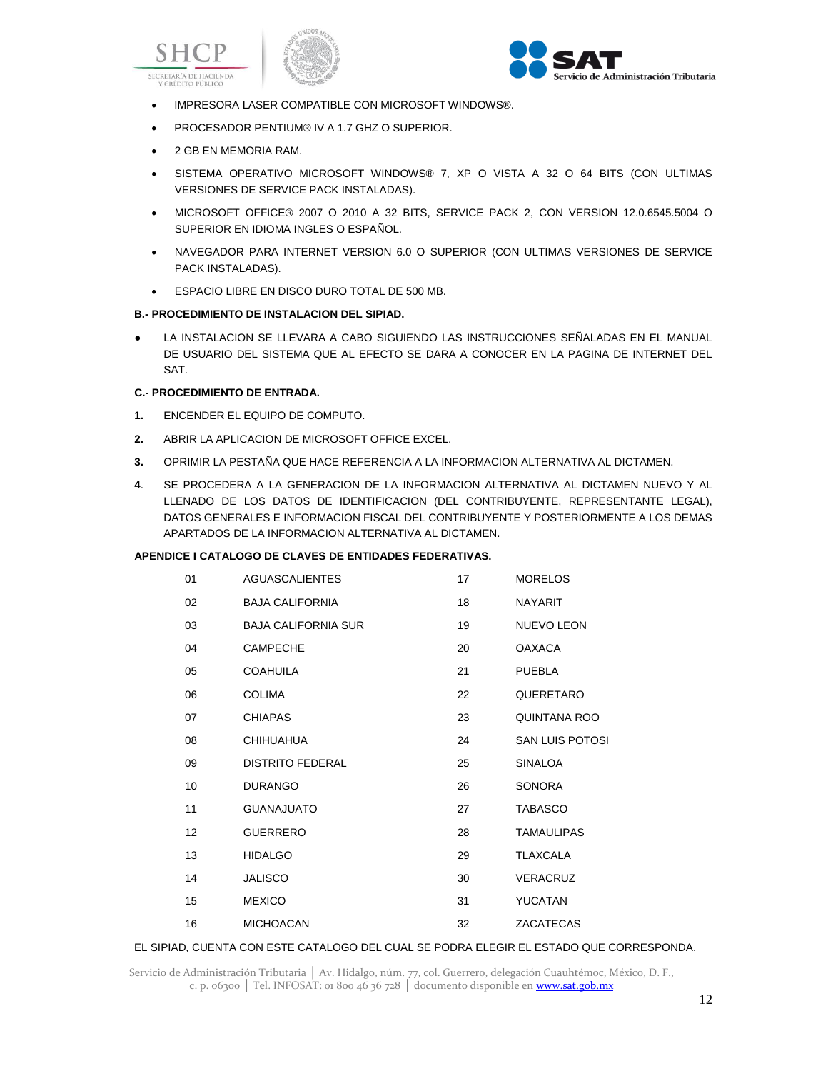





- IMPRESORA LASER COMPATIBLE CON MICROSOFT WINDOWS®.
- PROCESADOR PENTIUM® IV A 1.7 GHZ O SUPERIOR.
- 2 GB EN MEMORIA RAM.
- . SISTEMA OPERATIVO MICROSOFT WINDOWS® 7, XP O VISTA A 32 O 64 BITS (CON ULTIMAS VERSIONES DE SERVICE PACK INSTALADAS).
- MICROSOFT OFFICE® 2007 O 2010 A 32 BITS, SERVICE PACK 2, CON VERSION 12.0.6545.5004 O SUPERIOR EN IDIOMA INGLES O ESPAÑOL.
- NAVEGADOR PARA INTERNET VERSION 6.0 O SUPERIOR (CON ULTIMAS VERSIONES DE SERVICE PACK INSTALADAS).
- **ESPACIO LIBRE EN DISCO DURO TOTAL DE 500 MB.**

## **B.- PROCEDIMIENTO DE INSTALACION DEL SIPIAD.**

● LA INSTALACION SE LLEVARA A CABO SIGUIENDO LAS INSTRUCCIONES SEÑALADAS EN EL MANUAL DE USUARIO DEL SISTEMA QUE AL EFECTO SE DARA A CONOCER EN LA PAGINA DE INTERNET DEL SAT.

#### **C.- PROCEDIMIENTO DE ENTRADA.**

- **1.** ENCENDER EL EQUIPO DE COMPUTO.
- **2.** ABRIR LA APLICACION DE MICROSOFT OFFICE EXCEL.
- **3.** OPRIMIR LA PESTAÑA QUE HACE REFERENCIA A LA INFORMACION ALTERNATIVA AL DICTAMEN.
- **4**. SE PROCEDERA A LA GENERACION DE LA INFORMACION ALTERNATIVA AL DICTAMEN NUEVO Y AL LLENADO DE LOS DATOS DE IDENTIFICACION (DEL CONTRIBUYENTE, REPRESENTANTE LEGAL), DATOS GENERALES E INFORMACION FISCAL DEL CONTRIBUYENTE Y POSTERIORMENTE A LOS DEMAS APARTADOS DE LA INFORMACION ALTERNATIVA AL DICTAMEN.

#### **APENDICE I CATALOGO DE CLAVES DE ENTIDADES FEDERATIVAS.**

| 01 | <b>AGUASCALIENTES</b>      | 17 | <b>MORELOS</b>         |
|----|----------------------------|----|------------------------|
| 02 | <b>BAJA CALIFORNIA</b>     | 18 | <b>NAYARIT</b>         |
| 03 | <b>BAJA CALIFORNIA SUR</b> | 19 | NUEVO LEON             |
| 04 | <b>CAMPECHE</b>            | 20 | <b>OAXACA</b>          |
| 05 | <b>COAHUILA</b>            | 21 | <b>PUEBLA</b>          |
| 06 | <b>COLIMA</b>              | 22 | QUERETARO              |
| 07 | <b>CHIAPAS</b>             | 23 | QUINTANA ROO           |
| 08 | <b>CHIHUAHUA</b>           | 24 | <b>SAN LUIS POTOSI</b> |
| 09 | <b>DISTRITO FEDERAL</b>    | 25 | <b>SINALOA</b>         |
| 10 | <b>DURANGO</b>             | 26 | <b>SONORA</b>          |
| 11 | <b>GUANAJUATO</b>          | 27 | <b>TABASCO</b>         |
| 12 | <b>GUERRERO</b>            | 28 | <b>TAMAULIPAS</b>      |
| 13 | <b>HIDALGO</b>             | 29 | <b>TLAXCALA</b>        |
| 14 | <b>JALISCO</b>             | 30 | VERACRUZ               |
| 15 | <b>MEXICO</b>              | 31 | <b>YUCATAN</b>         |
| 16 | <b>MICHOACAN</b>           | 32 | <b>ZACATECAS</b>       |

## EL SIPIAD, CUENTA CON ESTE CATALOGO DEL CUAL SE PODRA ELEGIR EL ESTADO QUE CORRESPONDA.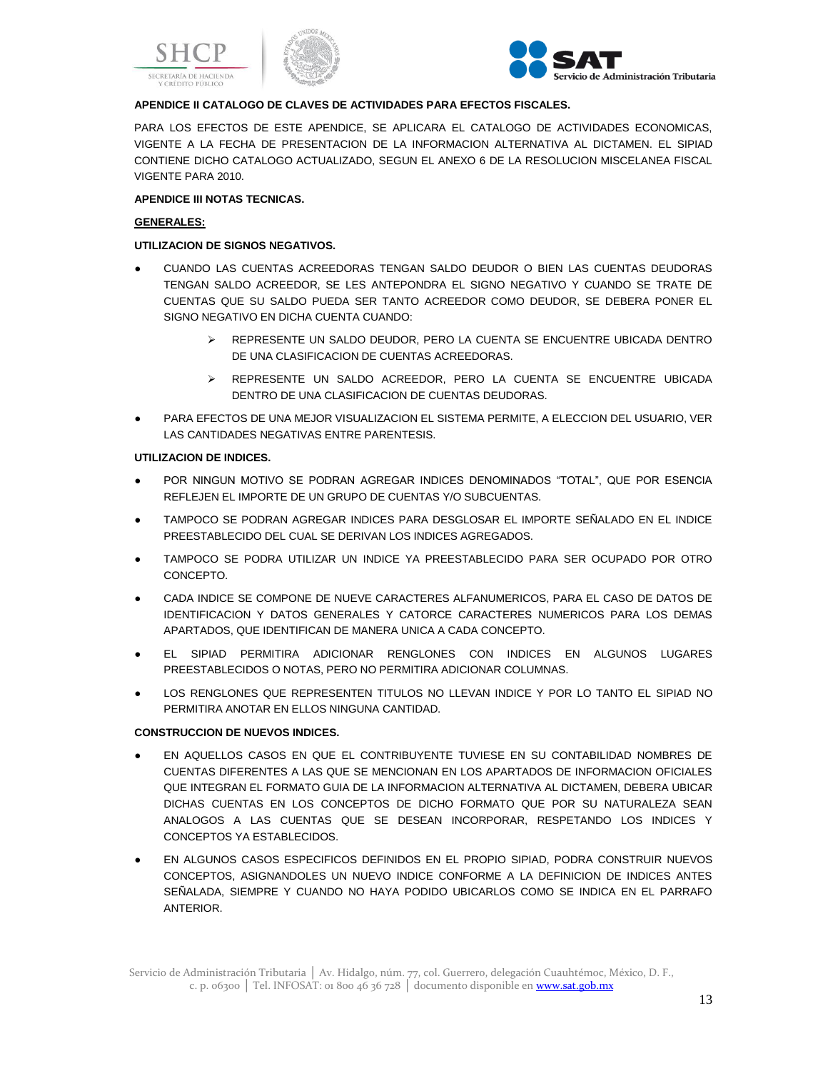





# **APENDICE II CATALOGO DE CLAVES DE ACTIVIDADES PARA EFECTOS FISCALES.**

PARA LOS EFECTOS DE ESTE APENDICE, SE APLICARA EL CATALOGO DE ACTIVIDADES ECONOMICAS, VIGENTE A LA FECHA DE PRESENTACION DE LA INFORMACION ALTERNATIVA AL DICTAMEN. EL SIPIAD CONTIENE DICHO CATALOGO ACTUALIZADO, SEGUN EL ANEXO 6 DE LA RESOLUCION MISCELANEA FISCAL VIGENTE PARA 2010.

## **APENDICE III NOTAS TECNICAS.**

## **GENERALES:**

# **UTILIZACION DE SIGNOS NEGATIVOS.**

- CUANDO LAS CUENTAS ACREEDORAS TENGAN SALDO DEUDOR O BIEN LAS CUENTAS DEUDORAS TENGAN SALDO ACREEDOR, SE LES ANTEPONDRA EL SIGNO NEGATIVO Y CUANDO SE TRATE DE CUENTAS QUE SU SALDO PUEDA SER TANTO ACREEDOR COMO DEUDOR, SE DEBERA PONER EL SIGNO NEGATIVO EN DICHA CUENTA CUANDO:
	- REPRESENTE UN SALDO DEUDOR, PERO LA CUENTA SE ENCUENTRE UBICADA DENTRO DE UNA CLASIFICACION DE CUENTAS ACREEDORAS.
	- REPRESENTE UN SALDO ACREEDOR, PERO LA CUENTA SE ENCUENTRE UBICADA DENTRO DE UNA CLASIFICACION DE CUENTAS DEUDORAS.
- PARA EFECTOS DE UNA MEJOR VISUALIZACION EL SISTEMA PERMITE, A ELECCION DEL USUARIO, VER LAS CANTIDADES NEGATIVAS ENTRE PARENTESIS.

## **UTILIZACION DE INDICES.**

- POR NINGUN MOTIVO SE PODRAN AGREGAR INDICES DENOMINADOS "TOTAL", QUE POR ESENCIA REFLEJEN EL IMPORTE DE UN GRUPO DE CUENTAS Y/O SUBCUENTAS.
- TAMPOCO SE PODRAN AGREGAR INDICES PARA DESGLOSAR EL IMPORTE SEÑALADO EN EL INDICE PREESTABLECIDO DEL CUAL SE DERIVAN LOS INDICES AGREGADOS.
- TAMPOCO SE PODRA UTILIZAR UN INDICE YA PREESTABLECIDO PARA SER OCUPADO POR OTRO CONCEPTO.
- CADA INDICE SE COMPONE DE NUEVE CARACTERES ALFANUMERICOS, PARA EL CASO DE DATOS DE IDENTIFICACION Y DATOS GENERALES Y CATORCE CARACTERES NUMERICOS PARA LOS DEMAS APARTADOS, QUE IDENTIFICAN DE MANERA UNICA A CADA CONCEPTO.
- EL SIPIAD PERMITIRA ADICIONAR RENGLONES CON INDICES EN ALGUNOS LUGARES PREESTABLECIDOS O NOTAS, PERO NO PERMITIRA ADICIONAR COLUMNAS.
- LOS RENGLONES QUE REPRESENTEN TITULOS NO LLEVAN INDICE Y POR LO TANTO EL SIPIAD NO PERMITIRA ANOTAR EN ELLOS NINGUNA CANTIDAD.

## **CONSTRUCCION DE NUEVOS INDICES.**

- EN AQUELLOS CASOS EN QUE EL CONTRIBUYENTE TUVIESE EN SU CONTABILIDAD NOMBRES DE CUENTAS DIFERENTES A LAS QUE SE MENCIONAN EN LOS APARTADOS DE INFORMACION OFICIALES QUE INTEGRAN EL FORMATO GUIA DE LA INFORMACION ALTERNATIVA AL DICTAMEN, DEBERA UBICAR DICHAS CUENTAS EN LOS CONCEPTOS DE DICHO FORMATO QUE POR SU NATURALEZA SEAN ANALOGOS A LAS CUENTAS QUE SE DESEAN INCORPORAR, RESPETANDO LOS INDICES Y CONCEPTOS YA ESTABLECIDOS.
- EN ALGUNOS CASOS ESPECIFICOS DEFINIDOS EN EL PROPIO SIPIAD, PODRA CONSTRUIR NUEVOS CONCEPTOS, ASIGNANDOLES UN NUEVO INDICE CONFORME A LA DEFINICION DE INDICES ANTES SEÑALADA, SIEMPRE Y CUANDO NO HAYA PODIDO UBICARLOS COMO SE INDICA EN EL PARRAFO ANTERIOR.

Servicio de Administración Tributaria │ Av. Hidalgo, núm. 77, col. Guerrero, delegación Cuauhtémoc, México, D. F., c. p. 06300 | Tel. INFOSAT: 01 800 46 36 728 | documento disponible en www.sat.gob.mx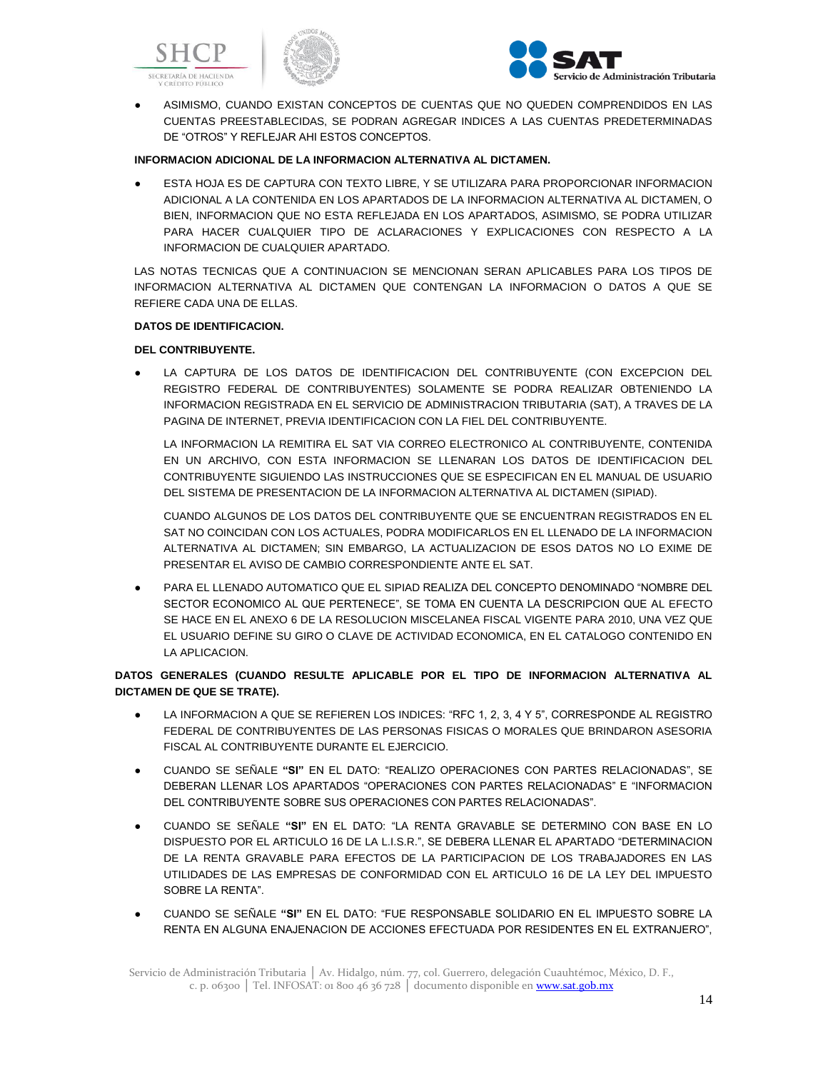





ASIMISMO, CUANDO EXISTAN CONCEPTOS DE CUENTAS QUE NO QUEDEN COMPRENDIDOS EN LAS CUENTAS PREESTABLECIDAS, SE PODRAN AGREGAR INDICES A LAS CUENTAS PREDETERMINADAS DE "OTROS" Y REFLEJAR AHI ESTOS CONCEPTOS.

## **INFORMACION ADICIONAL DE LA INFORMACION ALTERNATIVA AL DICTAMEN.**

**• ESTA HOJA ES DE CAPTURA CON TEXTO LIBRE, Y SE UTILIZARA PARA PROPORCIONAR INFORMACION** ADICIONAL A LA CONTENIDA EN LOS APARTADOS DE LA INFORMACION ALTERNATIVA AL DICTAMEN, O BIEN, INFORMACION QUE NO ESTA REFLEJADA EN LOS APARTADOS, ASIMISMO, SE PODRA UTILIZAR PARA HACER CUALQUIER TIPO DE ACLARACIONES Y EXPLICACIONES CON RESPECTO A LA INFORMACION DE CUALQUIER APARTADO.

LAS NOTAS TECNICAS QUE A CONTINUACION SE MENCIONAN SERAN APLICABLES PARA LOS TIPOS DE INFORMACION ALTERNATIVA AL DICTAMEN QUE CONTENGAN LA INFORMACION O DATOS A QUE SE REFIERE CADA UNA DE ELLAS.

## **DATOS DE IDENTIFICACION.**

# **DEL CONTRIBUYENTE.**

LA CAPTURA DE LOS DATOS DE IDENTIFICACION DEL CONTRIBUYENTE (CON EXCEPCION DEL REGISTRO FEDERAL DE CONTRIBUYENTES) SOLAMENTE SE PODRA REALIZAR OBTENIENDO LA INFORMACION REGISTRADA EN EL SERVICIO DE ADMINISTRACION TRIBUTARIA (SAT), A TRAVES DE LA PAGINA DE INTERNET, PREVIA IDENTIFICACION CON LA FIEL DEL CONTRIBUYENTE.

LA INFORMACION LA REMITIRA EL SAT VIA CORREO ELECTRONICO AL CONTRIBUYENTE, CONTENIDA EN UN ARCHIVO, CON ESTA INFORMACION SE LLENARAN LOS DATOS DE IDENTIFICACION DEL CONTRIBUYENTE SIGUIENDO LAS INSTRUCCIONES QUE SE ESPECIFICAN EN EL MANUAL DE USUARIO DEL SISTEMA DE PRESENTACION DE LA INFORMACION ALTERNATIVA AL DICTAMEN (SIPIAD).

CUANDO ALGUNOS DE LOS DATOS DEL CONTRIBUYENTE QUE SE ENCUENTRAN REGISTRADOS EN EL SAT NO COINCIDAN CON LOS ACTUALES, PODRA MODIFICARLOS EN EL LLENADO DE LA INFORMACION ALTERNATIVA AL DICTAMEN; SIN EMBARGO, LA ACTUALIZACION DE ESOS DATOS NO LO EXIME DE PRESENTAR EL AVISO DE CAMBIO CORRESPONDIENTE ANTE EL SAT.

● PARA EL LLENADO AUTOMATICO QUE EL SIPIAD REALIZA DEL CONCEPTO DENOMINADO "NOMBRE DEL SECTOR ECONOMICO AL QUE PERTENECE", SE TOMA EN CUENTA LA DESCRIPCION QUE AL EFECTO SE HACE EN EL ANEXO 6 DE LA RESOLUCION MISCELANEA FISCAL VIGENTE PARA 2010, UNA VEZ QUE EL USUARIO DEFINE SU GIRO O CLAVE DE ACTIVIDAD ECONOMICA, EN EL CATALOGO CONTENIDO EN LA APLICACION.

# **DATOS GENERALES (CUANDO RESULTE APLICABLE POR EL TIPO DE INFORMACION ALTERNATIVA AL DICTAMEN DE QUE SE TRATE).**

- LA INFORMACION A QUE SE REFIEREN LOS INDICES: "RFC 1, 2, 3, 4 Y 5", CORRESPONDE AL REGISTRO FEDERAL DE CONTRIBUYENTES DE LAS PERSONAS FISICAS O MORALES QUE BRINDARON ASESORIA FISCAL AL CONTRIBUYENTE DURANTE EL EJERCICIO.
- CUANDO SE SEÑALE **"SI"** EN EL DATO: "REALIZO OPERACIONES CON PARTES RELACIONADAS", SE DEBERAN LLENAR LOS APARTADOS "OPERACIONES CON PARTES RELACIONADAS" E "INFORMACION DEL CONTRIBUYENTE SOBRE SUS OPERACIONES CON PARTES RELACIONADAS".
- CUANDO SE SEÑALE **"SI"** EN EL DATO: "LA RENTA GRAVABLE SE DETERMINO CON BASE EN LO DISPUESTO POR EL ARTICULO 16 DE LA L.I.S.R.", SE DEBERA LLENAR EL APARTADO "DETERMINACION DE LA RENTA GRAVABLE PARA EFECTOS DE LA PARTICIPACION DE LOS TRABAJADORES EN LAS UTILIDADES DE LAS EMPRESAS DE CONFORMIDAD CON EL ARTICULO 16 DE LA LEY DEL IMPUESTO SOBRE LA RENTA".
- CUANDO SE SEÑALE **"SI"** EN EL DATO: "FUE RESPONSABLE SOLIDARIO EN EL IMPUESTO SOBRE LA RENTA EN ALGUNA ENAJENACION DE ACCIONES EFECTUADA POR RESIDENTES EN EL EXTRANJERO",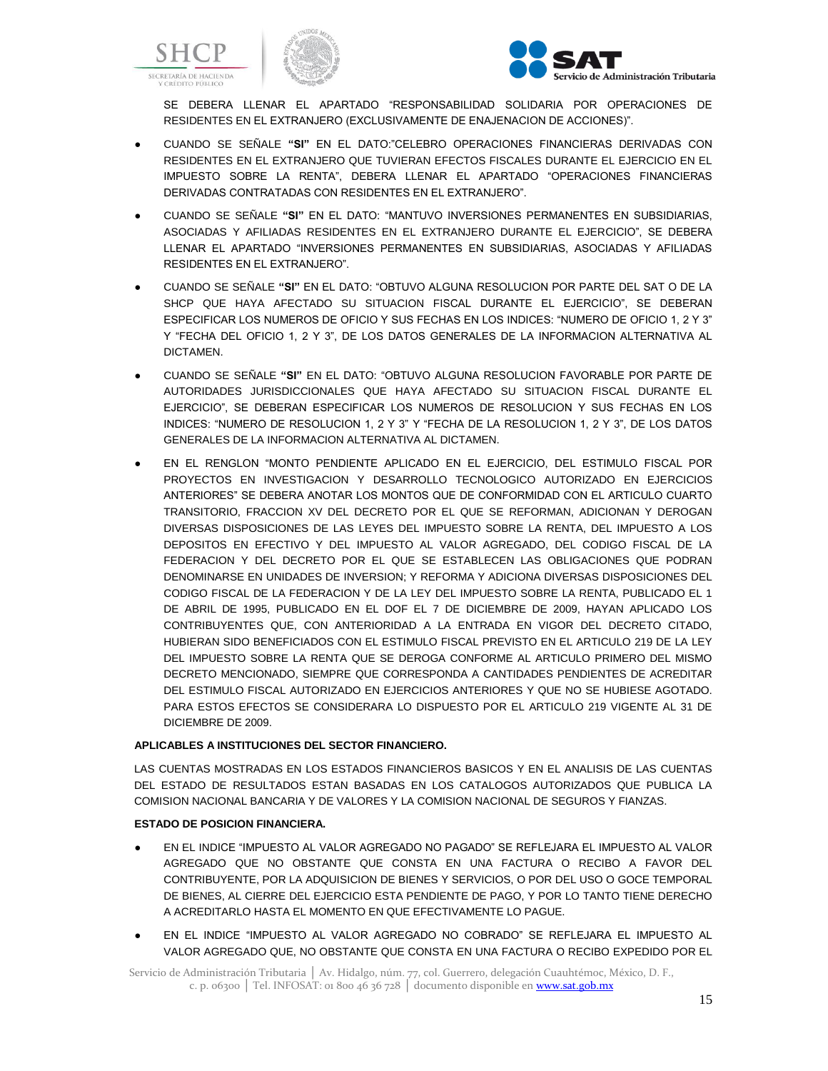





SE DEBERA LLENAR EL APARTADO "RESPONSABILIDAD SOLIDARIA POR OPERACIONES DE RESIDENTES EN EL EXTRANJERO (EXCLUSIVAMENTE DE ENAJENACION DE ACCIONES)".

- CUANDO SE SEÑALE **"SI"** EN EL DATO:"CELEBRO OPERACIONES FINANCIERAS DERIVADAS CON RESIDENTES EN EL EXTRANJERO QUE TUVIERAN EFECTOS FISCALES DURANTE EL EJERCICIO EN EL IMPUESTO SOBRE LA RENTA", DEBERA LLENAR EL APARTADO "OPERACIONES FINANCIERAS DERIVADAS CONTRATADAS CON RESIDENTES EN EL EXTRANJERO".
- CUANDO SE SEÑALE **"SI"** EN EL DATO: "MANTUVO INVERSIONES PERMANENTES EN SUBSIDIARIAS, ASOCIADAS Y AFILIADAS RESIDENTES EN EL EXTRANJERO DURANTE EL EJERCICIO", SE DEBERA LLENAR EL APARTADO "INVERSIONES PERMANENTES EN SUBSIDIARIAS, ASOCIADAS Y AFILIADAS RESIDENTES EN EL EXTRANJERO".
- CUANDO SE SEÑALE **"SI"** EN EL DATO: "OBTUVO ALGUNA RESOLUCION POR PARTE DEL SAT O DE LA SHCP QUE HAYA AFECTADO SU SITUACION FISCAL DURANTE EL EJERCICIO", SE DEBERAN ESPECIFICAR LOS NUMEROS DE OFICIO Y SUS FECHAS EN LOS INDICES: "NUMERO DE OFICIO 1, 2 Y 3" Y "FECHA DEL OFICIO 1, 2 Y 3", DE LOS DATOS GENERALES DE LA INFORMACION ALTERNATIVA AL DICTAMEN.
- CUANDO SE SEÑALE **"SI"** EN EL DATO: "OBTUVO ALGUNA RESOLUCION FAVORABLE POR PARTE DE AUTORIDADES JURISDICCIONALES QUE HAYA AFECTADO SU SITUACION FISCAL DURANTE EL EJERCICIO", SE DEBERAN ESPECIFICAR LOS NUMEROS DE RESOLUCION Y SUS FECHAS EN LOS INDICES: "NUMERO DE RESOLUCION 1, 2 Y 3" Y "FECHA DE LA RESOLUCION 1, 2 Y 3", DE LOS DATOS GENERALES DE LA INFORMACION ALTERNATIVA AL DICTAMEN.
- EN EL RENGLON "MONTO PENDIENTE APLICADO EN EL EJERCICIO, DEL ESTIMULO FISCAL POR PROYECTOS EN INVESTIGACION Y DESARROLLO TECNOLOGICO AUTORIZADO EN EJERCICIOS ANTERIORES" SE DEBERA ANOTAR LOS MONTOS QUE DE CONFORMIDAD CON EL ARTICULO CUARTO TRANSITORIO, FRACCION XV DEL DECRETO POR EL QUE SE REFORMAN, ADICIONAN Y DEROGAN DIVERSAS DISPOSICIONES DE LAS LEYES DEL IMPUESTO SOBRE LA RENTA, DEL IMPUESTO A LOS DEPOSITOS EN EFECTIVO Y DEL IMPUESTO AL VALOR AGREGADO, DEL CODIGO FISCAL DE LA FEDERACION Y DEL DECRETO POR EL QUE SE ESTABLECEN LAS OBLIGACIONES QUE PODRAN DENOMINARSE EN UNIDADES DE INVERSION; Y REFORMA Y ADICIONA DIVERSAS DISPOSICIONES DEL CODIGO FISCAL DE LA FEDERACION Y DE LA LEY DEL IMPUESTO SOBRE LA RENTA, PUBLICADO EL 1 DE ABRIL DE 1995, PUBLICADO EN EL DOF EL 7 DE DICIEMBRE DE 2009, HAYAN APLICADO LOS CONTRIBUYENTES QUE, CON ANTERIORIDAD A LA ENTRADA EN VIGOR DEL DECRETO CITADO, HUBIERAN SIDO BENEFICIADOS CON EL ESTIMULO FISCAL PREVISTO EN EL ARTICULO 219 DE LA LEY DEL IMPUESTO SOBRE LA RENTA QUE SE DEROGA CONFORME AL ARTICULO PRIMERO DEL MISMO DECRETO MENCIONADO, SIEMPRE QUE CORRESPONDA A CANTIDADES PENDIENTES DE ACREDITAR DEL ESTIMULO FISCAL AUTORIZADO EN EJERCICIOS ANTERIORES Y QUE NO SE HUBIESE AGOTADO. PARA ESTOS EFECTOS SE CONSIDERARA LO DISPUESTO POR EL ARTICULO 219 VIGENTE AL 31 DE DICIEMBRE DE 2009.

## **APLICABLES A INSTITUCIONES DEL SECTOR FINANCIERO.**

LAS CUENTAS MOSTRADAS EN LOS ESTADOS FINANCIEROS BASICOS Y EN EL ANALISIS DE LAS CUENTAS DEL ESTADO DE RESULTADOS ESTAN BASADAS EN LOS CATALOGOS AUTORIZADOS QUE PUBLICA LA COMISION NACIONAL BANCARIA Y DE VALORES Y LA COMISION NACIONAL DE SEGUROS Y FIANZAS.

## **ESTADO DE POSICION FINANCIERA.**

- EN EL INDICE "IMPUESTO AL VALOR AGREGADO NO PAGADO" SE REFLEJARA EL IMPUESTO AL VALOR AGREGADO QUE NO OBSTANTE QUE CONSTA EN UNA FACTURA O RECIBO A FAVOR DEL CONTRIBUYENTE, POR LA ADQUISICION DE BIENES Y SERVICIOS, O POR DEL USO O GOCE TEMPORAL DE BIENES, AL CIERRE DEL EJERCICIO ESTA PENDIENTE DE PAGO, Y POR LO TANTO TIENE DERECHO A ACREDITARLO HASTA EL MOMENTO EN QUE EFECTIVAMENTE LO PAGUE.
- EN EL INDICE "IMPUESTO AL VALOR AGREGADO NO COBRADO" SE REFLEJARA EL IMPUESTO AL VALOR AGREGADO QUE, NO OBSTANTE QUE CONSTA EN UNA FACTURA O RECIBO EXPEDIDO POR EL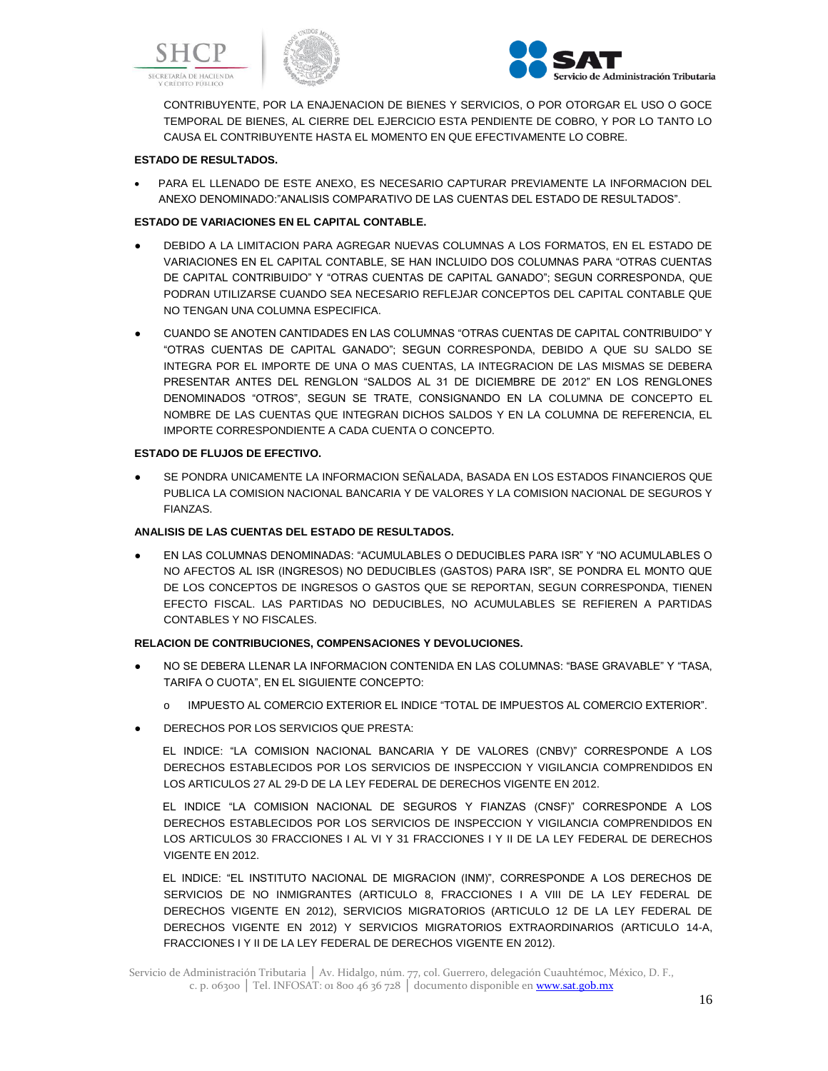





CONTRIBUYENTE, POR LA ENAJENACION DE BIENES Y SERVICIOS, O POR OTORGAR EL USO O GOCE TEMPORAL DE BIENES, AL CIERRE DEL EJERCICIO ESTA PENDIENTE DE COBRO, Y POR LO TANTO LO CAUSA EL CONTRIBUYENTE HASTA EL MOMENTO EN QUE EFECTIVAMENTE LO COBRE.

## **ESTADO DE RESULTADOS.**

 PARA EL LLENADO DE ESTE ANEXO, ES NECESARIO CAPTURAR PREVIAMENTE LA INFORMACION DEL ANEXO DENOMINADO:"ANALISIS COMPARATIVO DE LAS CUENTAS DEL ESTADO DE RESULTADOS".

# **ESTADO DE VARIACIONES EN EL CAPITAL CONTABLE.**

- DEBIDO A LA LIMITACION PARA AGREGAR NUEVAS COLUMNAS A LOS FORMATOS, EN EL ESTADO DE VARIACIONES EN EL CAPITAL CONTABLE, SE HAN INCLUIDO DOS COLUMNAS PARA "OTRAS CUENTAS DE CAPITAL CONTRIBUIDO" Y "OTRAS CUENTAS DE CAPITAL GANADO"; SEGUN CORRESPONDA, QUE PODRAN UTILIZARSE CUANDO SEA NECESARIO REFLEJAR CONCEPTOS DEL CAPITAL CONTABLE QUE NO TENGAN UNA COLUMNA ESPECIFICA.
- CUANDO SE ANOTEN CANTIDADES EN LAS COLUMNAS "OTRAS CUENTAS DE CAPITAL CONTRIBUIDO" Y "OTRAS CUENTAS DE CAPITAL GANADO"; SEGUN CORRESPONDA, DEBIDO A QUE SU SALDO SE INTEGRA POR EL IMPORTE DE UNA O MAS CUENTAS, LA INTEGRACION DE LAS MISMAS SE DEBERA PRESENTAR ANTES DEL RENGLON "SALDOS AL 31 DE DICIEMBRE DE 2012" EN LOS RENGLONES DENOMINADOS "OTROS", SEGUN SE TRATE, CONSIGNANDO EN LA COLUMNA DE CONCEPTO EL NOMBRE DE LAS CUENTAS QUE INTEGRAN DICHOS SALDOS Y EN LA COLUMNA DE REFERENCIA, EL IMPORTE CORRESPONDIENTE A CADA CUENTA O CONCEPTO.

## **ESTADO DE FLUJOS DE EFECTIVO.**

SE PONDRA UNICAMENTE LA INFORMACION SEÑALADA, BASADA EN LOS ESTADOS FINANCIEROS QUE PUBLICA LA COMISION NACIONAL BANCARIA Y DE VALORES Y LA COMISION NACIONAL DE SEGUROS Y FIANZAS.

# **ANALISIS DE LAS CUENTAS DEL ESTADO DE RESULTADOS.**

● EN LAS COLUMNAS DENOMINADAS: "ACUMULABLES O DEDUCIBLES PARA ISR" Y "NO ACUMULABLES O NO AFECTOS AL ISR (INGRESOS) NO DEDUCIBLES (GASTOS) PARA ISR", SE PONDRA EL MONTO QUE DE LOS CONCEPTOS DE INGRESOS O GASTOS QUE SE REPORTAN, SEGUN CORRESPONDA, TIENEN EFECTO FISCAL. LAS PARTIDAS NO DEDUCIBLES, NO ACUMULABLES SE REFIEREN A PARTIDAS CONTABLES Y NO FISCALES.

## **RELACION DE CONTRIBUCIONES, COMPENSACIONES Y DEVOLUCIONES.**

- NO SE DEBERA LLENAR LA INFORMACION CONTENIDA EN LAS COLUMNAS: "BASE GRAVABLE" Y "TASA, TARIFA O CUOTA", EN EL SIGUIENTE CONCEPTO:
	- o IMPUESTO AL COMERCIO EXTERIOR EL INDICE "TOTAL DE IMPUESTOS AL COMERCIO EXTERIOR".
- DERECHOS POR LOS SERVICIOS QUE PRESTA:

EL INDICE: "LA COMISION NACIONAL BANCARIA Y DE VALORES (CNBV)" CORRESPONDE A LOS DERECHOS ESTABLECIDOS POR LOS SERVICIOS DE INSPECCION Y VIGILANCIA COMPRENDIDOS EN LOS ARTICULOS 27 AL 29-D DE LA LEY FEDERAL DE DERECHOS VIGENTE EN 2012.

EL INDICE "LA COMISION NACIONAL DE SEGUROS Y FIANZAS (CNSF)" CORRESPONDE A LOS DERECHOS ESTABLECIDOS POR LOS SERVICIOS DE INSPECCION Y VIGILANCIA COMPRENDIDOS EN LOS ARTICULOS 30 FRACCIONES I AL VI Y 31 FRACCIONES I Y II DE LA LEY FEDERAL DE DERECHOS VIGENTE EN 2012.

EL INDICE: "EL INSTITUTO NACIONAL DE MIGRACION (INM)", CORRESPONDE A LOS DERECHOS DE SERVICIOS DE NO INMIGRANTES (ARTICULO 8, FRACCIONES I A VIII DE LA LEY FEDERAL DE DERECHOS VIGENTE EN 2012), SERVICIOS MIGRATORIOS (ARTICULO 12 DE LA LEY FEDERAL DE DERECHOS VIGENTE EN 2012) Y SERVICIOS MIGRATORIOS EXTRAORDINARIOS (ARTICULO 14-A, FRACCIONES I Y II DE LA LEY FEDERAL DE DERECHOS VIGENTE EN 2012).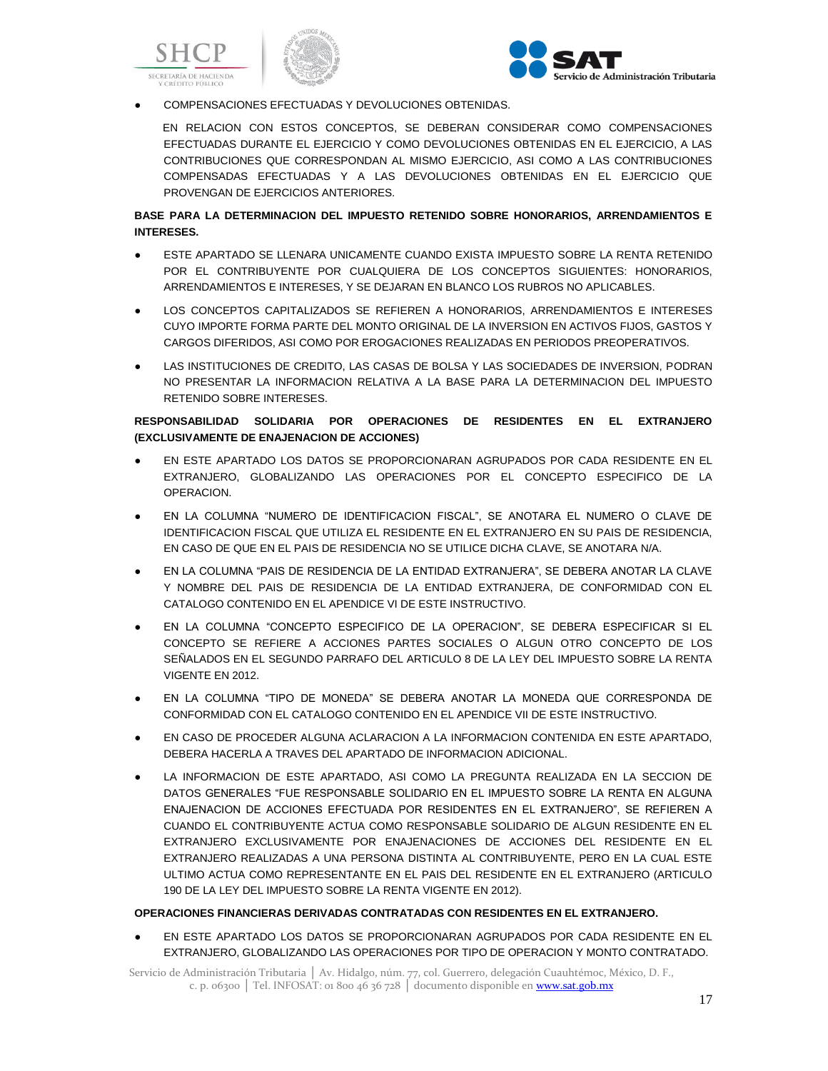





# COMPENSACIONES EFECTUADAS Y DEVOLUCIONES OBTENIDAS.

EN RELACION CON ESTOS CONCEPTOS, SE DEBERAN CONSIDERAR COMO COMPENSACIONES EFECTUADAS DURANTE EL EJERCICIO Y COMO DEVOLUCIONES OBTENIDAS EN EL EJERCICIO, A LAS CONTRIBUCIONES QUE CORRESPONDAN AL MISMO EJERCICIO, ASI COMO A LAS CONTRIBUCIONES COMPENSADAS EFECTUADAS Y A LAS DEVOLUCIONES OBTENIDAS EN EL EJERCICIO QUE PROVENGAN DE EJERCICIOS ANTERIORES.

# **BASE PARA LA DETERMINACION DEL IMPUESTO RETENIDO SOBRE HONORARIOS, ARRENDAMIENTOS E INTERESES.**

- ESTE APARTADO SE LLENARA UNICAMENTE CUANDO EXISTA IMPUESTO SOBRE LA RENTA RETENIDO POR EL CONTRIBUYENTE POR CUALQUIERA DE LOS CONCEPTOS SIGUIENTES: HONORARIOS, ARRENDAMIENTOS E INTERESES, Y SE DEJARAN EN BLANCO LOS RUBROS NO APLICABLES.
- LOS CONCEPTOS CAPITALIZADOS SE REFIEREN A HONORARIOS, ARRENDAMIENTOS E INTERESES CUYO IMPORTE FORMA PARTE DEL MONTO ORIGINAL DE LA INVERSION EN ACTIVOS FIJOS, GASTOS Y CARGOS DIFERIDOS, ASI COMO POR EROGACIONES REALIZADAS EN PERIODOS PREOPERATIVOS.
- LAS INSTITUCIONES DE CREDITO, LAS CASAS DE BOLSA Y LAS SOCIEDADES DE INVERSION, PODRAN NO PRESENTAR LA INFORMACION RELATIVA A LA BASE PARA LA DETERMINACION DEL IMPUESTO RETENIDO SOBRE INTERESES.

# **RESPONSABILIDAD SOLIDARIA POR OPERACIONES DE RESIDENTES EN EL EXTRANJERO (EXCLUSIVAMENTE DE ENAJENACION DE ACCIONES)**

- EN ESTE APARTADO LOS DATOS SE PROPORCIONARAN AGRUPADOS POR CADA RESIDENTE EN EL EXTRANJERO, GLOBALIZANDO LAS OPERACIONES POR EL CONCEPTO ESPECIFICO DE LA OPERACION.
- EN LA COLUMNA "NUMERO DE IDENTIFICACION FISCAL", SE ANOTARA EL NUMERO O CLAVE DE IDENTIFICACION FISCAL QUE UTILIZA EL RESIDENTE EN EL EXTRANJERO EN SU PAIS DE RESIDENCIA, EN CASO DE QUE EN EL PAIS DE RESIDENCIA NO SE UTILICE DICHA CLAVE, SE ANOTARA N/A.
- EN LA COLUMNA "PAIS DE RESIDENCIA DE LA ENTIDAD EXTRANJERA", SE DEBERA ANOTAR LA CLAVE Y NOMBRE DEL PAIS DE RESIDENCIA DE LA ENTIDAD EXTRANJERA, DE CONFORMIDAD CON EL CATALOGO CONTENIDO EN EL APENDICE VI DE ESTE INSTRUCTIVO.
- EN LA COLUMNA "CONCEPTO ESPECIFICO DE LA OPERACION", SE DEBERA ESPECIFICAR SI EL CONCEPTO SE REFIERE A ACCIONES PARTES SOCIALES O ALGUN OTRO CONCEPTO DE LOS SEÑALADOS EN EL SEGUNDO PARRAFO DEL ARTICULO 8 DE LA LEY DEL IMPUESTO SOBRE LA RENTA VIGENTE EN 2012.
- EN LA COLUMNA "TIPO DE MONEDA" SE DEBERA ANOTAR LA MONEDA QUE CORRESPONDA DE CONFORMIDAD CON EL CATALOGO CONTENIDO EN EL APENDICE VII DE ESTE INSTRUCTIVO.
- EN CASO DE PROCEDER ALGUNA ACLARACION A LA INFORMACION CONTENIDA EN ESTE APARTADO, DEBERA HACERLA A TRAVES DEL APARTADO DE INFORMACION ADICIONAL.
- LA INFORMACION DE ESTE APARTADO, ASI COMO LA PREGUNTA REALIZADA EN LA SECCION DE DATOS GENERALES "FUE RESPONSABLE SOLIDARIO EN EL IMPUESTO SOBRE LA RENTA EN ALGUNA ENAJENACION DE ACCIONES EFECTUADA POR RESIDENTES EN EL EXTRANJERO", SE REFIEREN A CUANDO EL CONTRIBUYENTE ACTUA COMO RESPONSABLE SOLIDARIO DE ALGUN RESIDENTE EN EL EXTRANJERO EXCLUSIVAMENTE POR ENAJENACIONES DE ACCIONES DEL RESIDENTE EN EL EXTRANJERO REALIZADAS A UNA PERSONA DISTINTA AL CONTRIBUYENTE, PERO EN LA CUAL ESTE ULTIMO ACTUA COMO REPRESENTANTE EN EL PAIS DEL RESIDENTE EN EL EXTRANJERO (ARTICULO 190 DE LA LEY DEL IMPUESTO SOBRE LA RENTA VIGENTE EN 2012).

## **OPERACIONES FINANCIERAS DERIVADAS CONTRATADAS CON RESIDENTES EN EL EXTRANJERO.**

● EN ESTE APARTADO LOS DATOS SE PROPORCIONARAN AGRUPADOS POR CADA RESIDENTE EN EL EXTRANJERO, GLOBALIZANDO LAS OPERACIONES POR TIPO DE OPERACION Y MONTO CONTRATADO.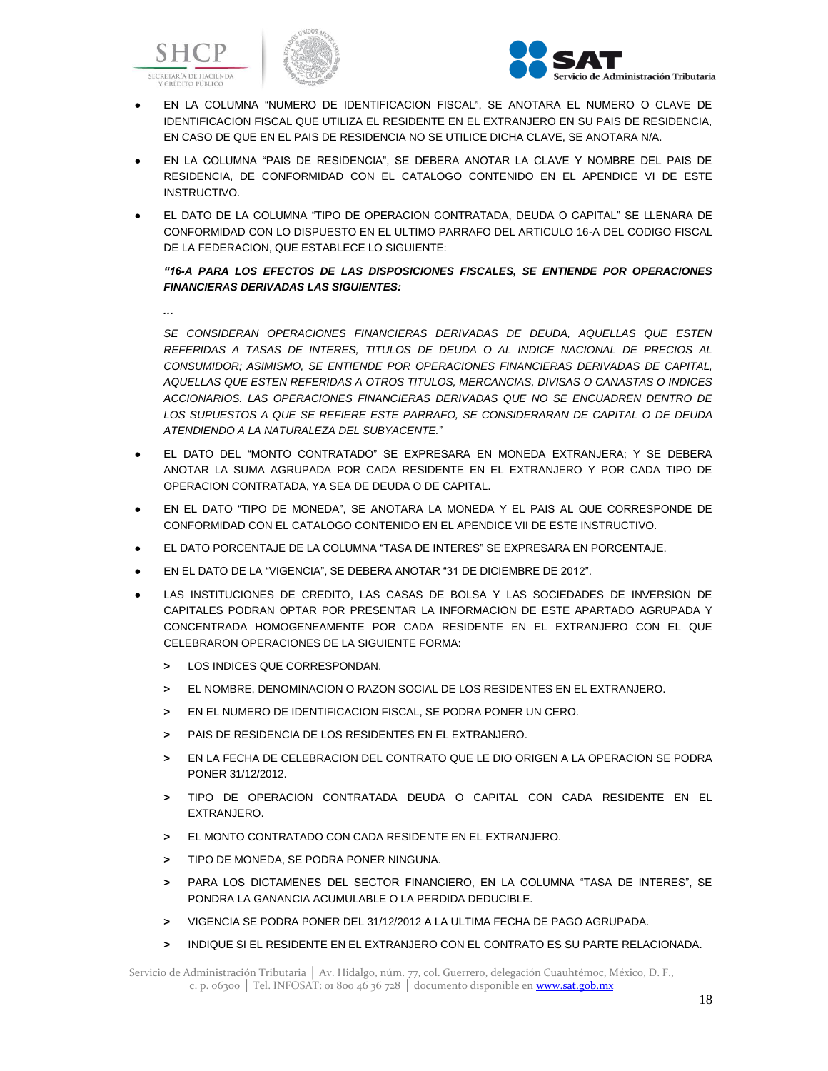





- EN LA COLUMNA "NUMERO DE IDENTIFICACION FISCAL", SE ANOTARA EL NUMERO O CLAVE DE IDENTIFICACION FISCAL QUE UTILIZA EL RESIDENTE EN EL EXTRANJERO EN SU PAIS DE RESIDENCIA, EN CASO DE QUE EN EL PAIS DE RESIDENCIA NO SE UTILICE DICHA CLAVE, SE ANOTARA N/A.
- EN LA COLUMNA "PAIS DE RESIDENCIA", SE DEBERA ANOTAR LA CLAVE Y NOMBRE DEL PAIS DE RESIDENCIA, DE CONFORMIDAD CON EL CATALOGO CONTENIDO EN EL APENDICE VI DE ESTE INSTRUCTIVO.
- EL DATO DE LA COLUMNA "TIPO DE OPERACION CONTRATADA, DEUDA O CAPITAL" SE LLENARA DE CONFORMIDAD CON LO DISPUESTO EN EL ULTIMO PARRAFO DEL ARTICULO 16-A DEL CODIGO FISCAL DE LA FEDERACION, QUE ESTABLECE LO SIGUIENTE:

*"16-A PARA LOS EFECTOS DE LAS DISPOSICIONES FISCALES, SE ENTIENDE POR OPERACIONES FINANCIERAS DERIVADAS LAS SIGUIENTES:*

*…*

*SE CONSIDERAN OPERACIONES FINANCIERAS DERIVADAS DE DEUDA, AQUELLAS QUE ESTEN REFERIDAS A TASAS DE INTERES, TITULOS DE DEUDA O AL INDICE NACIONAL DE PRECIOS AL CONSUMIDOR; ASIMISMO, SE ENTIENDE POR OPERACIONES FINANCIERAS DERIVADAS DE CAPITAL, AQUELLAS QUE ESTEN REFERIDAS A OTROS TITULOS, MERCANCIAS, DIVISAS O CANASTAS O INDICES ACCIONARIOS. LAS OPERACIONES FINANCIERAS DERIVADAS QUE NO SE ENCUADREN DENTRO DE LOS SUPUESTOS A QUE SE REFIERE ESTE PARRAFO, SE CONSIDERARAN DE CAPITAL O DE DEUDA ATENDIENDO A LA NATURALEZA DEL SUBYACENTE.*"

- EL DATO DEL "MONTO CONTRATADO" SE EXPRESARA EN MONEDA EXTRANJERA; Y SE DEBERA ANOTAR LA SUMA AGRUPADA POR CADA RESIDENTE EN EL EXTRANJERO Y POR CADA TIPO DE OPERACION CONTRATADA, YA SEA DE DEUDA O DE CAPITAL.
- EN EL DATO "TIPO DE MONEDA", SE ANOTARA LA MONEDA Y EL PAIS AL QUE CORRESPONDE DE CONFORMIDAD CON EL CATALOGO CONTENIDO EN EL APENDICE VII DE ESTE INSTRUCTIVO.
- EL DATO PORCENTAJE DE LA COLUMNA "TASA DE INTERES" SE EXPRESARA EN PORCENTAJE.
- EN EL DATO DE LA "VIGENCIA", SE DEBERA ANOTAR "31 DE DICIEMBRE DE 2012".
- LAS INSTITUCIONES DE CREDITO, LAS CASAS DE BOLSA Y LAS SOCIEDADES DE INVERSION DE CAPITALES PODRAN OPTAR POR PRESENTAR LA INFORMACION DE ESTE APARTADO AGRUPADA Y CONCENTRADA HOMOGENEAMENTE POR CADA RESIDENTE EN EL EXTRANJERO CON EL QUE CELEBRARON OPERACIONES DE LA SIGUIENTE FORMA:
	- **>** LOS INDICES QUE CORRESPONDAN.
	- **>** EL NOMBRE, DENOMINACION O RAZON SOCIAL DE LOS RESIDENTES EN EL EXTRANJERO.
	- **>** EN EL NUMERO DE IDENTIFICACION FISCAL, SE PODRA PONER UN CERO.
	- **>** PAIS DE RESIDENCIA DE LOS RESIDENTES EN EL EXTRANJERO.
	- **>** EN LA FECHA DE CELEBRACION DEL CONTRATO QUE LE DIO ORIGEN A LA OPERACION SE PODRA PONER 31/12/2012.
	- **>** TIPO DE OPERACION CONTRATADA DEUDA O CAPITAL CON CADA RESIDENTE EN EL EXTRANJERO.
	- **>** EL MONTO CONTRATADO CON CADA RESIDENTE EN EL EXTRANJERO.
	- **>** TIPO DE MONEDA, SE PODRA PONER NINGUNA.
	- **>** PARA LOS DICTAMENES DEL SECTOR FINANCIERO, EN LA COLUMNA "TASA DE INTERES", SE PONDRA LA GANANCIA ACUMULABLE O LA PERDIDA DEDUCIBLE.
	- **>** VIGENCIA SE PODRA PONER DEL 31/12/2012 A LA ULTIMA FECHA DE PAGO AGRUPADA.
	- **>** INDIQUE SI EL RESIDENTE EN EL EXTRANJERO CON EL CONTRATO ES SU PARTE RELACIONADA.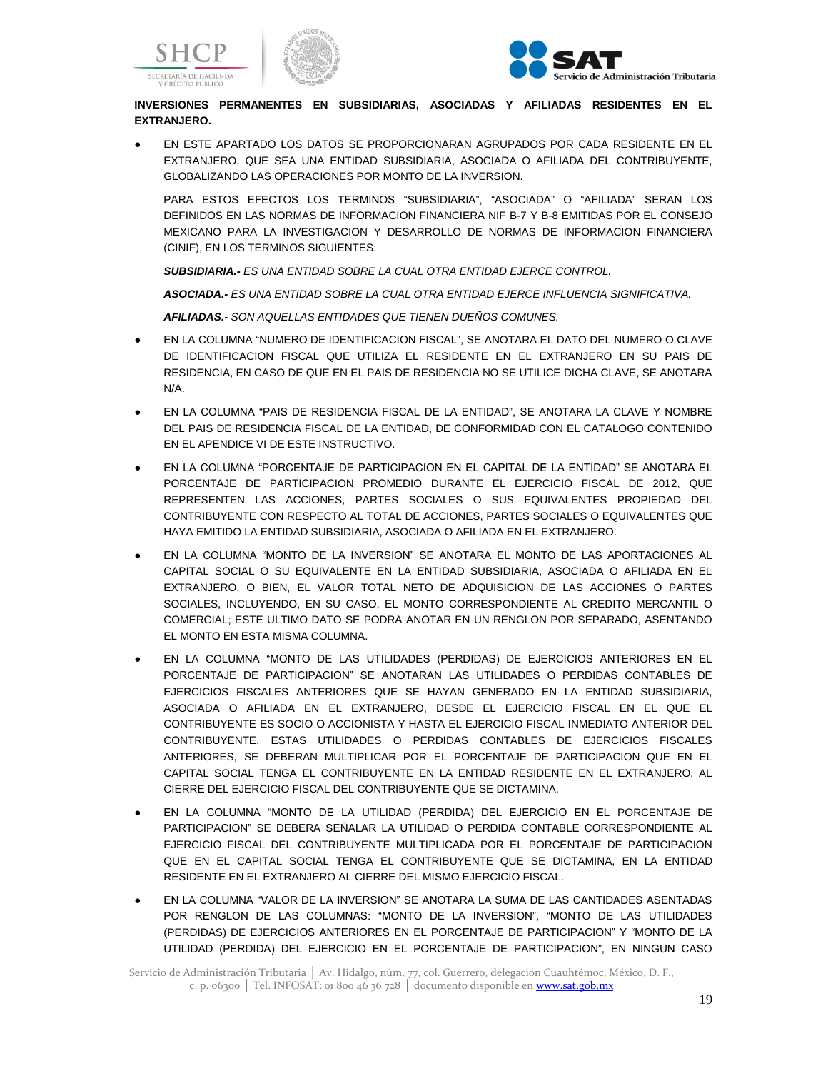



# **INVERSIONES PERMANENTES EN SUBSIDIARIAS, ASOCIADAS Y AFILIADAS RESIDENTES EN EL EXTRANJERO.**

EN ESTE APARTADO LOS DATOS SE PROPORCIONARAN AGRUPADOS POR CADA RESIDENTE EN EL EXTRANJERO, QUE SEA UNA ENTIDAD SUBSIDIARIA, ASOCIADA O AFILIADA DEL CONTRIBUYENTE, GLOBALIZANDO LAS OPERACIONES POR MONTO DE LA INVERSION.

PARA ESTOS EFECTOS LOS TERMINOS "SUBSIDIARIA", "ASOCIADA" O "AFILIADA" SERAN LOS DEFINIDOS EN LAS NORMAS DE INFORMACION FINANCIERA NIF B-7 Y B-8 EMITIDAS POR EL CONSEJO MEXICANO PARA LA INVESTIGACION Y DESARROLLO DE NORMAS DE INFORMACION FINANCIERA (CINIF), EN LOS TERMINOS SIGUIENTES:

*SUBSIDIARIA.- ES UNA ENTIDAD SOBRE LA CUAL OTRA ENTIDAD EJERCE CONTROL.*

*ASOCIADA.- ES UNA ENTIDAD SOBRE LA CUAL OTRA ENTIDAD EJERCE INFLUENCIA SIGNIFICATIVA.*

*AFILIADAS.- SON AQUELLAS ENTIDADES QUE TIENEN DUEÑOS COMUNES.*

- EN LA COLUMNA "NUMERO DE IDENTIFICACION FISCAL", SE ANOTARA EL DATO DEL NUMERO O CLAVE DE IDENTIFICACION FISCAL QUE UTILIZA EL RESIDENTE EN EL EXTRANJERO EN SU PAIS DE RESIDENCIA, EN CASO DE QUE EN EL PAIS DE RESIDENCIA NO SE UTILICE DICHA CLAVE, SE ANOTARA N/A.
- EN LA COLUMNA "PAIS DE RESIDENCIA FISCAL DE LA ENTIDAD", SE ANOTARA LA CLAVE Y NOMBRE DEL PAIS DE RESIDENCIA FISCAL DE LA ENTIDAD, DE CONFORMIDAD CON EL CATALOGO CONTENIDO EN EL APENDICE VI DE ESTE INSTRUCTIVO.
- EN LA COLUMNA "PORCENTAJE DE PARTICIPACION EN EL CAPITAL DE LA ENTIDAD" SE ANOTARA EL PORCENTAJE DE PARTICIPACION PROMEDIO DURANTE EL EJERCICIO FISCAL DE 2012, QUE REPRESENTEN LAS ACCIONES, PARTES SOCIALES O SUS EQUIVALENTES PROPIEDAD DEL CONTRIBUYENTE CON RESPECTO AL TOTAL DE ACCIONES, PARTES SOCIALES O EQUIVALENTES QUE HAYA EMITIDO LA ENTIDAD SUBSIDIARIA, ASOCIADA O AFILIADA EN EL EXTRANJERO.
- EN LA COLUMNA "MONTO DE LA INVERSION" SE ANOTARA EL MONTO DE LAS APORTACIONES AL CAPITAL SOCIAL O SU EQUIVALENTE EN LA ENTIDAD SUBSIDIARIA, ASOCIADA O AFILIADA EN EL EXTRANJERO. O BIEN, EL VALOR TOTAL NETO DE ADQUISICION DE LAS ACCIONES O PARTES SOCIALES, INCLUYENDO, EN SU CASO, EL MONTO CORRESPONDIENTE AL CREDITO MERCANTIL O COMERCIAL; ESTE ULTIMO DATO SE PODRA ANOTAR EN UN RENGLON POR SEPARADO, ASENTANDO EL MONTO EN ESTA MISMA COLUMNA.
- EN LA COLUMNA "MONTO DE LAS UTILIDADES (PERDIDAS) DE EJERCICIOS ANTERIORES EN EL PORCENTAJE DE PARTICIPACION" SE ANOTARAN LAS UTILIDADES O PERDIDAS CONTABLES DE EJERCICIOS FISCALES ANTERIORES QUE SE HAYAN GENERADO EN LA ENTIDAD SUBSIDIARIA, ASOCIADA O AFILIADA EN EL EXTRANJERO, DESDE EL EJERCICIO FISCAL EN EL QUE EL CONTRIBUYENTE ES SOCIO O ACCIONISTA Y HASTA EL EJERCICIO FISCAL INMEDIATO ANTERIOR DEL CONTRIBUYENTE, ESTAS UTILIDADES O PERDIDAS CONTABLES DE EJERCICIOS FISCALES ANTERIORES, SE DEBERAN MULTIPLICAR POR EL PORCENTAJE DE PARTICIPACION QUE EN EL CAPITAL SOCIAL TENGA EL CONTRIBUYENTE EN LA ENTIDAD RESIDENTE EN EL EXTRANJERO, AL CIERRE DEL EJERCICIO FISCAL DEL CONTRIBUYENTE QUE SE DICTAMINA.
- EN LA COLUMNA "MONTO DE LA UTILIDAD (PERDIDA) DEL EJERCICIO EN EL PORCENTAJE DE PARTICIPACION" SE DEBERA SEÑALAR LA UTILIDAD O PERDIDA CONTABLE CORRESPONDIENTE AL EJERCICIO FISCAL DEL CONTRIBUYENTE MULTIPLICADA POR EL PORCENTAJE DE PARTICIPACION QUE EN EL CAPITAL SOCIAL TENGA EL CONTRIBUYENTE QUE SE DICTAMINA, EN LA ENTIDAD RESIDENTE EN EL EXTRANJERO AL CIERRE DEL MISMO EJERCICIO FISCAL.
- EN LA COLUMNA "VALOR DE LA INVERSION" SE ANOTARA LA SUMA DE LAS CANTIDADES ASENTADAS POR RENGLON DE LAS COLUMNAS: "MONTO DE LA INVERSION", "MONTO DE LAS UTILIDADES (PERDIDAS) DE EJERCICIOS ANTERIORES EN EL PORCENTAJE DE PARTICIPACION" Y "MONTO DE LA UTILIDAD (PERDIDA) DEL EJERCICIO EN EL PORCENTAJE DE PARTICIPACION", EN NINGUN CASO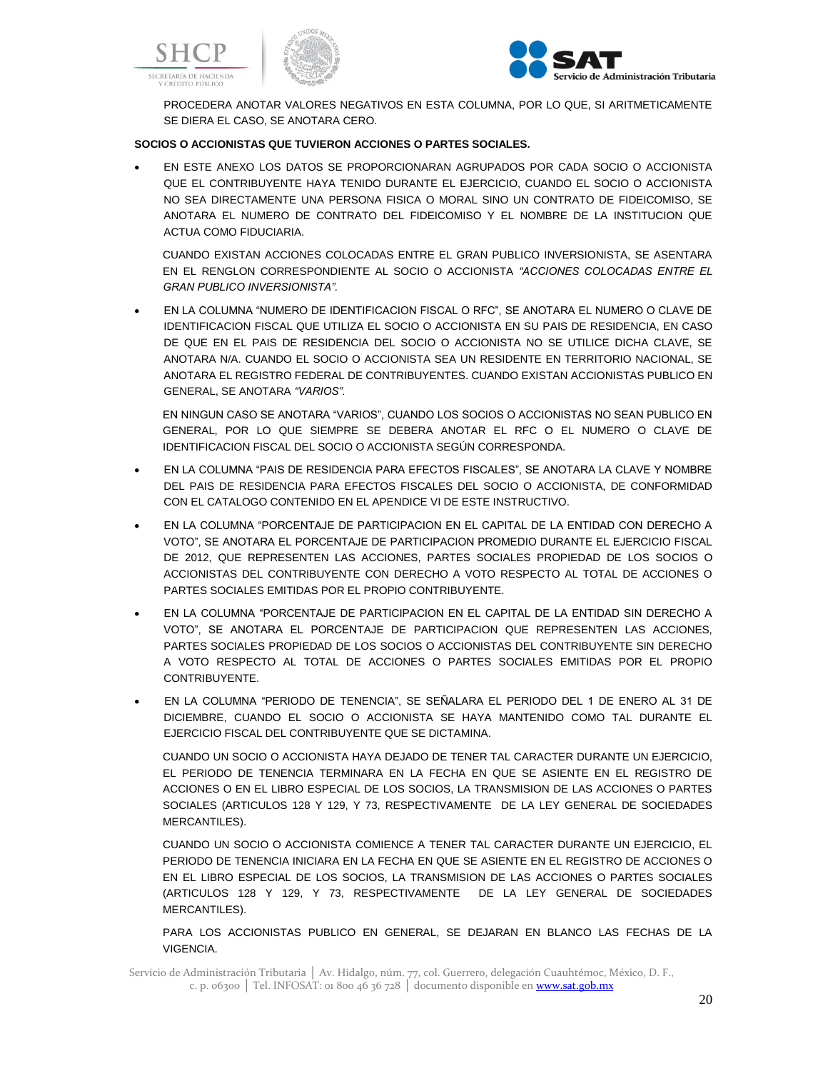



PROCEDERA ANOTAR VALORES NEGATIVOS EN ESTA COLUMNA, POR LO QUE, SI ARITMETICAMENTE SE DIERA EL CASO, SE ANOTARA CERO.

## **SOCIOS O ACCIONISTAS QUE TUVIERON ACCIONES O PARTES SOCIALES.**

 EN ESTE ANEXO LOS DATOS SE PROPORCIONARAN AGRUPADOS POR CADA SOCIO O ACCIONISTA QUE EL CONTRIBUYENTE HAYA TENIDO DURANTE EL EJERCICIO, CUANDO EL SOCIO O ACCIONISTA NO SEA DIRECTAMENTE UNA PERSONA FISICA O MORAL SINO UN CONTRATO DE FIDEICOMISO, SE ANOTARA EL NUMERO DE CONTRATO DEL FIDEICOMISO Y EL NOMBRE DE LA INSTITUCION QUE ACTUA COMO FIDUCIARIA.

CUANDO EXISTAN ACCIONES COLOCADAS ENTRE EL GRAN PUBLICO INVERSIONISTA, SE ASENTARA EN EL RENGLON CORRESPONDIENTE AL SOCIO O ACCIONISTA *"ACCIONES COLOCADAS ENTRE EL GRAN PUBLICO INVERSIONISTA".*

 EN LA COLUMNA "NUMERO DE IDENTIFICACION FISCAL O RFC", SE ANOTARA EL NUMERO O CLAVE DE IDENTIFICACION FISCAL QUE UTILIZA EL SOCIO O ACCIONISTA EN SU PAIS DE RESIDENCIA, EN CASO DE QUE EN EL PAIS DE RESIDENCIA DEL SOCIO O ACCIONISTA NO SE UTILICE DICHA CLAVE, SE ANOTARA N/A. CUANDO EL SOCIO O ACCIONISTA SEA UN RESIDENTE EN TERRITORIO NACIONAL, SE ANOTARA EL REGISTRO FEDERAL DE CONTRIBUYENTES. CUANDO EXISTAN ACCIONISTAS PUBLICO EN GENERAL, SE ANOTARA *"VARIOS".*

EN NINGUN CASO SE ANOTARA "VARIOS", CUANDO LOS SOCIOS O ACCIONISTAS NO SEAN PUBLICO EN GENERAL, POR LO QUE SIEMPRE SE DEBERA ANOTAR EL RFC O EL NUMERO O CLAVE DE IDENTIFICACION FISCAL DEL SOCIO O ACCIONISTA SEGÚN CORRESPONDA.

- EN LA COLUMNA "PAIS DE RESIDENCIA PARA EFECTOS FISCALES", SE ANOTARA LA CLAVE Y NOMBRE DEL PAIS DE RESIDENCIA PARA EFECTOS FISCALES DEL SOCIO O ACCIONISTA, DE CONFORMIDAD CON EL CATALOGO CONTENIDO EN EL APENDICE VI DE ESTE INSTRUCTIVO.
- EN LA COLUMNA "PORCENTAJE DE PARTICIPACION EN EL CAPITAL DE LA ENTIDAD CON DERECHO A VOTO", SE ANOTARA EL PORCENTAJE DE PARTICIPACION PROMEDIO DURANTE EL EJERCICIO FISCAL DE 2012, QUE REPRESENTEN LAS ACCIONES, PARTES SOCIALES PROPIEDAD DE LOS SOCIOS O ACCIONISTAS DEL CONTRIBUYENTE CON DERECHO A VOTO RESPECTO AL TOTAL DE ACCIONES O PARTES SOCIALES EMITIDAS POR EL PROPIO CONTRIBUYENTE.
- EN LA COLUMNA "PORCENTAJE DE PARTICIPACION EN EL CAPITAL DE LA ENTIDAD SIN DERECHO A VOTO", SE ANOTARA EL PORCENTAJE DE PARTICIPACION QUE REPRESENTEN LAS ACCIONES, PARTES SOCIALES PROPIEDAD DE LOS SOCIOS O ACCIONISTAS DEL CONTRIBUYENTE SIN DERECHO A VOTO RESPECTO AL TOTAL DE ACCIONES O PARTES SOCIALES EMITIDAS POR EL PROPIO CONTRIBUYENTE.
- EN LA COLUMNA "PERIODO DE TENENCIA", SE SEÑALARA EL PERIODO DEL 1 DE ENERO AL 31 DE DICIEMBRE, CUANDO EL SOCIO O ACCIONISTA SE HAYA MANTENIDO COMO TAL DURANTE EL EJERCICIO FISCAL DEL CONTRIBUYENTE QUE SE DICTAMINA.

CUANDO UN SOCIO O ACCIONISTA HAYA DEJADO DE TENER TAL CARACTER DURANTE UN EJERCICIO, EL PERIODO DE TENENCIA TERMINARA EN LA FECHA EN QUE SE ASIENTE EN EL REGISTRO DE ACCIONES O EN EL LIBRO ESPECIAL DE LOS SOCIOS, LA TRANSMISION DE LAS ACCIONES O PARTES SOCIALES (ARTICULOS 128 Y 129, Y 73, RESPECTIVAMENTE DE LA LEY GENERAL DE SOCIEDADES MERCANTILES).

CUANDO UN SOCIO O ACCIONISTA COMIENCE A TENER TAL CARACTER DURANTE UN EJERCICIO, EL PERIODO DE TENENCIA INICIARA EN LA FECHA EN QUE SE ASIENTE EN EL REGISTRO DE ACCIONES O EN EL LIBRO ESPECIAL DE LOS SOCIOS, LA TRANSMISION DE LAS ACCIONES O PARTES SOCIALES (ARTICULOS 128 Y 129, Y 73, RESPECTIVAMENTE DE LA LEY GENERAL DE SOCIEDADES MERCANTILES).

PARA LOS ACCIONISTAS PUBLICO EN GENERAL, SE DEJARAN EN BLANCO LAS FECHAS DE LA VIGENCIA.

Servicio de Administración Tributaria │ Av. Hidalgo, núm. 77, col. Guerrero, delegación Cuauhtémoc, México, D. F., c. p. 06300 | Tel. INFOSAT: 01 800 46 36 728 | documento disponible en www.sat.gob.mx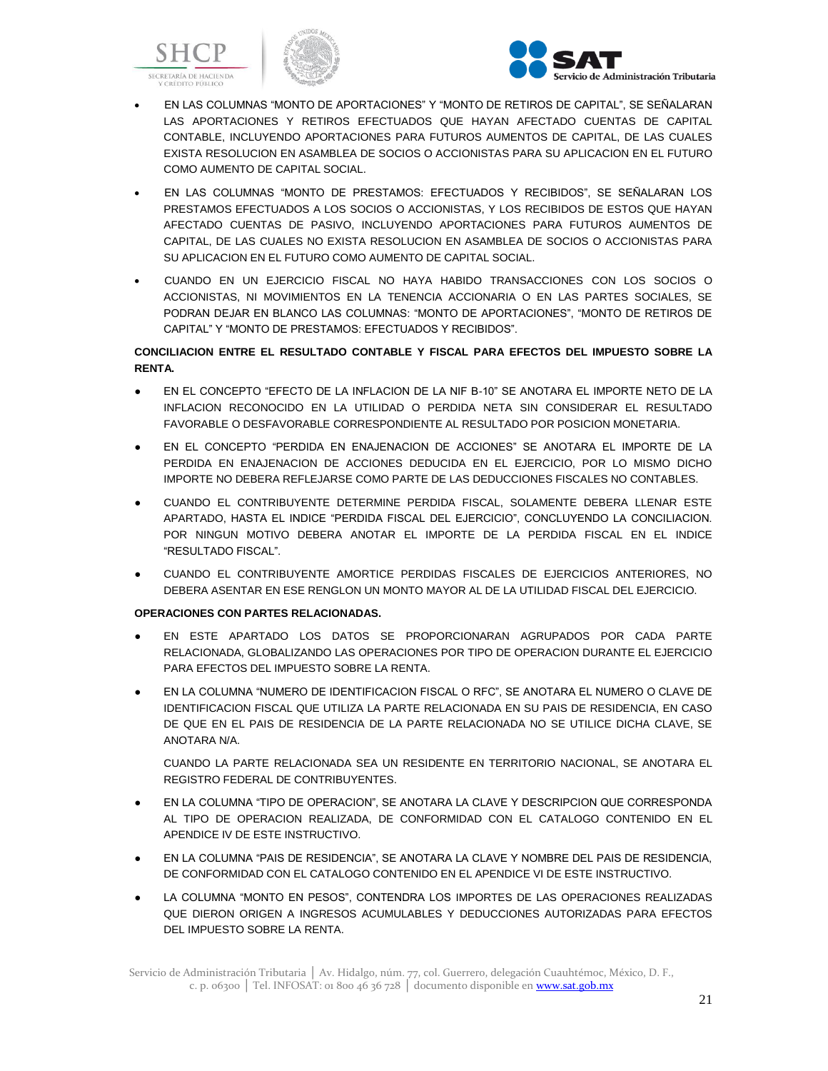





- EN LAS COLUMNAS "MONTO DE APORTACIONES" Y "MONTO DE RETIROS DE CAPITAL", SE SEÑALARAN LAS APORTACIONES Y RETIROS EFECTUADOS QUE HAYAN AFECTADO CUENTAS DE CAPITAL CONTABLE, INCLUYENDO APORTACIONES PARA FUTUROS AUMENTOS DE CAPITAL, DE LAS CUALES EXISTA RESOLUCION EN ASAMBLEA DE SOCIOS O ACCIONISTAS PARA SU APLICACION EN EL FUTURO COMO AUMENTO DE CAPITAL SOCIAL.
- EN LAS COLUMNAS "MONTO DE PRESTAMOS: EFECTUADOS Y RECIBIDOS", SE SEÑALARAN LOS PRESTAMOS EFECTUADOS A LOS SOCIOS O ACCIONISTAS, Y LOS RECIBIDOS DE ESTOS QUE HAYAN AFECTADO CUENTAS DE PASIVO, INCLUYENDO APORTACIONES PARA FUTUROS AUMENTOS DE CAPITAL, DE LAS CUALES NO EXISTA RESOLUCION EN ASAMBLEA DE SOCIOS O ACCIONISTAS PARA SU APLICACION EN EL FUTURO COMO AUMENTO DE CAPITAL SOCIAL.
- CUANDO EN UN EJERCICIO FISCAL NO HAYA HABIDO TRANSACCIONES CON LOS SOCIOS O ACCIONISTAS, NI MOVIMIENTOS EN LA TENENCIA ACCIONARIA O EN LAS PARTES SOCIALES, SE PODRAN DEJAR EN BLANCO LAS COLUMNAS: "MONTO DE APORTACIONES", "MONTO DE RETIROS DE CAPITAL" Y "MONTO DE PRESTAMOS: EFECTUADOS Y RECIBIDOS".

# **CONCILIACION ENTRE EL RESULTADO CONTABLE Y FISCAL PARA EFECTOS DEL IMPUESTO SOBRE LA RENTA.**

- EN EL CONCEPTO "EFECTO DE LA INFLACION DE LA NIF B-10" SE ANOTARA EL IMPORTE NETO DE LA INFLACION RECONOCIDO EN LA UTILIDAD O PERDIDA NETA SIN CONSIDERAR EL RESULTADO FAVORABLE O DESFAVORABLE CORRESPONDIENTE AL RESULTADO POR POSICION MONETARIA.
- EN EL CONCEPTO "PERDIDA EN ENAJENACION DE ACCIONES" SE ANOTARA EL IMPORTE DE LA PERDIDA EN ENAJENACION DE ACCIONES DEDUCIDA EN EL EJERCICIO, POR LO MISMO DICHO IMPORTE NO DEBERA REFLEJARSE COMO PARTE DE LAS DEDUCCIONES FISCALES NO CONTABLES.
- CUANDO EL CONTRIBUYENTE DETERMINE PERDIDA FISCAL, SOLAMENTE DEBERA LLENAR ESTE APARTADO, HASTA EL INDICE "PERDIDA FISCAL DEL EJERCICIO", CONCLUYENDO LA CONCILIACION. POR NINGUN MOTIVO DEBERA ANOTAR EL IMPORTE DE LA PERDIDA FISCAL EN EL INDICE "RESULTADO FISCAL".
- CUANDO EL CONTRIBUYENTE AMORTICE PERDIDAS FISCALES DE EJERCICIOS ANTERIORES, NO DEBERA ASENTAR EN ESE RENGLON UN MONTO MAYOR AL DE LA UTILIDAD FISCAL DEL EJERCICIO.

# **OPERACIONES CON PARTES RELACIONADAS.**

- EN ESTE APARTADO LOS DATOS SE PROPORCIONARAN AGRUPADOS POR CADA PARTE RELACIONADA, GLOBALIZANDO LAS OPERACIONES POR TIPO DE OPERACION DURANTE EL EJERCICIO PARA EFECTOS DEL IMPUESTO SOBRE LA RENTA.
- EN LA COLUMNA "NUMERO DE IDENTIFICACION FISCAL O RFC", SE ANOTARA EL NUMERO O CLAVE DE IDENTIFICACION FISCAL QUE UTILIZA LA PARTE RELACIONADA EN SU PAIS DE RESIDENCIA, EN CASO DE QUE EN EL PAIS DE RESIDENCIA DE LA PARTE RELACIONADA NO SE UTILICE DICHA CLAVE, SE ANOTARA N/A.

CUANDO LA PARTE RELACIONADA SEA UN RESIDENTE EN TERRITORIO NACIONAL, SE ANOTARA EL REGISTRO FEDERAL DE CONTRIBUYENTES.

- EN LA COLUMNA "TIPO DE OPERACION", SE ANOTARA LA CLAVE Y DESCRIPCION QUE CORRESPONDA AL TIPO DE OPERACION REALIZADA, DE CONFORMIDAD CON EL CATALOGO CONTENIDO EN EL APENDICE IV DE ESTE INSTRUCTIVO.
- EN LA COLUMNA "PAIS DE RESIDENCIA", SE ANOTARA LA CLAVE Y NOMBRE DEL PAIS DE RESIDENCIA, DE CONFORMIDAD CON EL CATALOGO CONTENIDO EN EL APENDICE VI DE ESTE INSTRUCTIVO.
- LA COLUMNA "MONTO EN PESOS", CONTENDRA LOS IMPORTES DE LAS OPERACIONES REALIZADAS QUE DIERON ORIGEN A INGRESOS ACUMULABLES Y DEDUCCIONES AUTORIZADAS PARA EFECTOS DEL IMPUESTO SOBRE LA RENTA.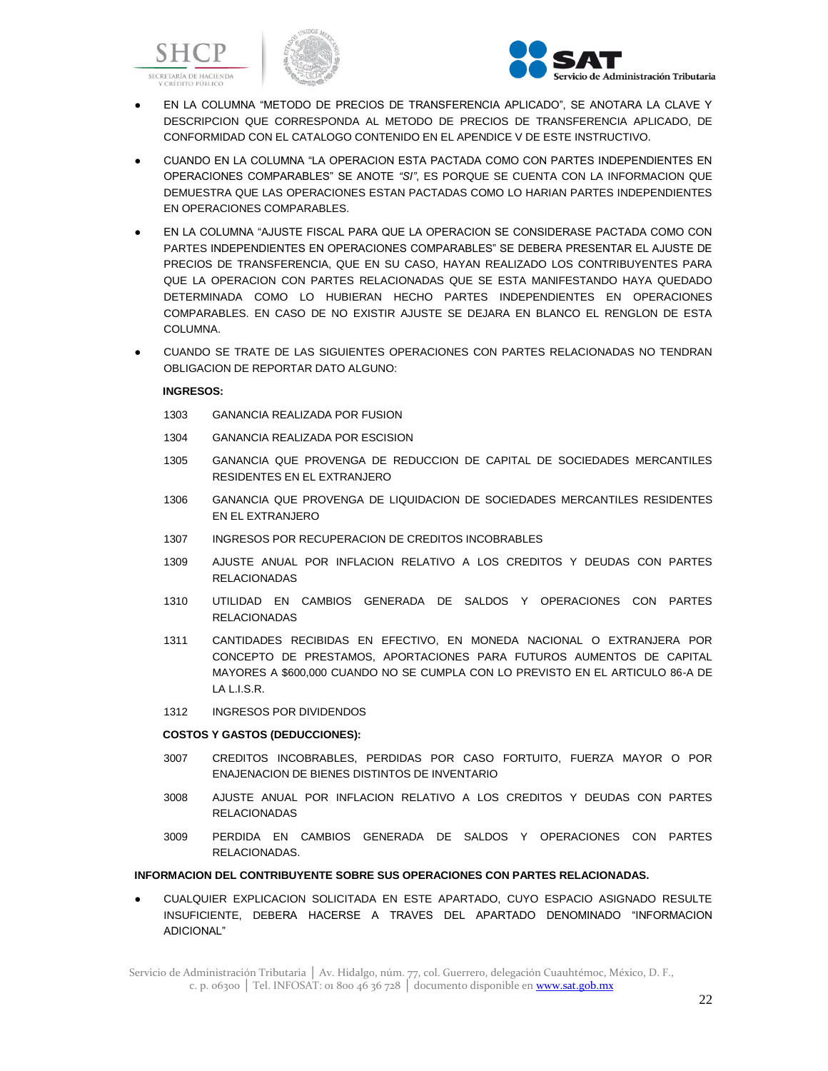





- EN LA COLUMNA "METODO DE PRECIOS DE TRANSFERENCIA APLICADO", SE ANOTARA LA CLAVE Y DESCRIPCION QUE CORRESPONDA AL METODO DE PRECIOS DE TRANSFERENCIA APLICADO, DE CONFORMIDAD CON EL CATALOGO CONTENIDO EN EL APENDICE V DE ESTE INSTRUCTIVO.
- CUANDO EN LA COLUMNA "LA OPERACION ESTA PACTADA COMO CON PARTES INDEPENDIENTES EN OPERACIONES COMPARABLES" SE ANOTE *"SI"*, ES PORQUE SE CUENTA CON LA INFORMACION QUE DEMUESTRA QUE LAS OPERACIONES ESTAN PACTADAS COMO LO HARIAN PARTES INDEPENDIENTES EN OPERACIONES COMPARABLES.
- EN LA COLUMNA "AJUSTE FISCAL PARA QUE LA OPERACION SE CONSIDERASE PACTADA COMO CON PARTES INDEPENDIENTES EN OPERACIONES COMPARABLES" SE DEBERA PRESENTAR EL AJUSTE DE PRECIOS DE TRANSFERENCIA, QUE EN SU CASO, HAYAN REALIZADO LOS CONTRIBUYENTES PARA QUE LA OPERACION CON PARTES RELACIONADAS QUE SE ESTA MANIFESTANDO HAYA QUEDADO DETERMINADA COMO LO HUBIERAN HECHO PARTES INDEPENDIENTES EN OPERACIONES COMPARABLES. EN CASO DE NO EXISTIR AJUSTE SE DEJARA EN BLANCO EL RENGLON DE ESTA COLUMNA.
- CUANDO SE TRATE DE LAS SIGUIENTES OPERACIONES CON PARTES RELACIONADAS NO TENDRAN OBLIGACION DE REPORTAR DATO ALGUNO:

#### **INGRESOS:**

- 1303 GANANCIA REALIZADA POR FUSION
- 1304 GANANCIA REALIZADA POR ESCISION
- 1305 GANANCIA QUE PROVENGA DE REDUCCION DE CAPITAL DE SOCIEDADES MERCANTILES RESIDENTES EN EL EXTRANJERO
- 1306 GANANCIA QUE PROVENGA DE LIQUIDACION DE SOCIEDADES MERCANTILES RESIDENTES EN EL EXTRANJERO
- 1307 INGRESOS POR RECUPERACION DE CREDITOS INCOBRABLES
- 1309 AJUSTE ANUAL POR INFLACION RELATIVO A LOS CREDITOS Y DEUDAS CON PARTES RELACIONADAS
- 1310 UTILIDAD EN CAMBIOS GENERADA DE SALDOS Y OPERACIONES CON PARTES RELACIONADAS
- 1311 CANTIDADES RECIBIDAS EN EFECTIVO, EN MONEDA NACIONAL O EXTRANJERA POR CONCEPTO DE PRESTAMOS, APORTACIONES PARA FUTUROS AUMENTOS DE CAPITAL MAYORES A \$600,000 CUANDO NO SE CUMPLA CON LO PREVISTO EN EL ARTICULO 86-A DE LA L.I.S.R.
- 1312 INGRESOS POR DIVIDENDOS

#### **COSTOS Y GASTOS (DEDUCCIONES):**

- 3007 CREDITOS INCOBRABLES, PERDIDAS POR CASO FORTUITO, FUERZA MAYOR O POR ENAJENACION DE BIENES DISTINTOS DE INVENTARIO
- 3008 AJUSTE ANUAL POR INFLACION RELATIVO A LOS CREDITOS Y DEUDAS CON PARTES RELACIONADAS
- 3009 PERDIDA EN CAMBIOS GENERADA DE SALDOS Y OPERACIONES CON PARTES RELACIONADAS.

#### **INFORMACION DEL CONTRIBUYENTE SOBRE SUS OPERACIONES CON PARTES RELACIONADAS.**

CUALQUIER EXPLICACION SOLICITADA EN ESTE APARTADO, CUYO ESPACIO ASIGNADO RESULTE INSUFICIENTE, DEBERA HACERSE A TRAVES DEL APARTADO DENOMINADO "INFORMACION ADICIONAL"

Servicio de Administración Tributaria │ Av. Hidalgo, núm. 77, col. Guerrero, delegación Cuauhtémoc, México, D. F., c. p. 06300 | Tel. INFOSAT: 01 800 46 36 728 | documento disponible en www.sat.gob.mx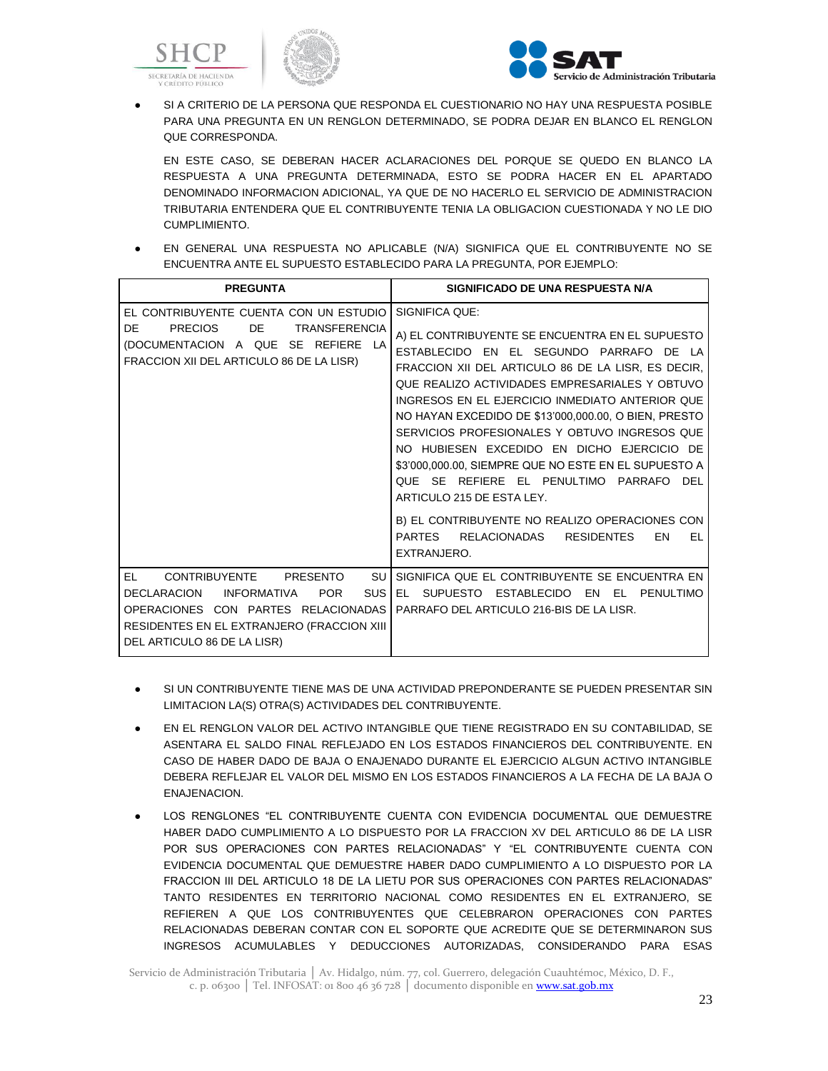





SI A CRITERIO DE LA PERSONA QUE RESPONDA EL CUESTIONARIO NO HAY UNA RESPUESTA POSIBLE PARA UNA PREGUNTA EN UN RENGLON DETERMINADO, SE PODRA DEJAR EN BLANCO EL RENGLON QUE CORRESPONDA.

EN ESTE CASO, SE DEBERAN HACER ACLARACIONES DEL PORQUE SE QUEDO EN BLANCO LA RESPUESTA A UNA PREGUNTA DETERMINADA, ESTO SE PODRA HACER EN EL APARTADO DENOMINADO INFORMACION ADICIONAL, YA QUE DE NO HACERLO EL SERVICIO DE ADMINISTRACION TRIBUTARIA ENTENDERA QUE EL CONTRIBUYENTE TENIA LA OBLIGACION CUESTIONADA Y NO LE DIO CUMPLIMIENTO.

EN GENERAL UNA RESPUESTA NO APLICABLE (N/A) SIGNIFICA QUE EL CONTRIBUYENTE NO SE ENCUENTRA ANTE EL SUPUESTO ESTABLECIDO PARA LA PREGUNTA, POR EJEMPLO:

| <b>PREGUNTA</b>                                                                                                                                                                                                                           | SIGNIFICADO DE UNA RESPUESTA N/A                                                                                                                                                                                                                                                                                                                                                                                                                                                                                                                                                                                                                                                               |
|-------------------------------------------------------------------------------------------------------------------------------------------------------------------------------------------------------------------------------------------|------------------------------------------------------------------------------------------------------------------------------------------------------------------------------------------------------------------------------------------------------------------------------------------------------------------------------------------------------------------------------------------------------------------------------------------------------------------------------------------------------------------------------------------------------------------------------------------------------------------------------------------------------------------------------------------------|
| EL CONTRIBUYENTE CUENTA CON UN ESTUDIO<br>DE<br><b>PRECIOS</b><br>DE<br><b>TRANSFERENCIA</b><br>(DOCUMENTACION A QUE SE REFIERE LA<br>FRACCION XII DEL ARTICULO 86 DE LA LISR)                                                            | SIGNIFICA QUE:<br>A) EL CONTRIBUYENTE SE ENCUENTRA EN EL SUPUESTO<br>ESTABLECIDO EN EL SEGUNDO PARRAFO DE<br>FRACCION XII DEL ARTICULO 86 DE LA LISR, ES DECIR,<br>QUE REALIZO ACTIVIDADES EMPRESARIALES Y OBTUVO<br>INGRESOS EN EL EJERCICIO INMEDIATO ANTERIOR QUE<br>NO HAYAN EXCEDIDO DE \$13'000,000.00, O BIEN, PRESTO<br>SERVICIOS PROFESIONALES Y OBTUVO INGRESOS QUE<br>NO HUBIESEN EXCEDIDO EN DICHO EJERCICIO DE<br>\$3'000,000.00, SIEMPRE QUE NO ESTE EN EL SUPUESTO A<br>QUE SE REFIERE EL PENULTIMO PARRAFO DEL<br>ARTICULO 215 DE ESTA LEY.<br>B) EL CONTRIBUYENTE NO REALIZO OPERACIONES CON<br><b>PARTES</b><br>RELACIONADAS<br><b>RESIDENTES</b><br>FN<br>EL<br>EXTRANJERO. |
| EL.<br>SU<br><b>CONTRIBUYENTE</b><br>PRESENTO<br><b>SUS</b><br><b>DECLARACION</b><br><b>INFORMATIVA</b><br><b>POR</b><br>OPERACIONES CON PARTES RELACIONADAS<br>RESIDENTES EN EL EXTRANJERO (FRACCION XIII<br>DEL ARTICULO 86 DE LA LISR) | SIGNIFICA QUE EL CONTRIBUYENTE SE ENCUENTRA EN<br>EL SUPUESTO ESTABLECIDO<br>EN<br>- FL<br>PENULTIMO<br>PARRAFO DEL ARTICULO 216-BIS DE LA LISR.                                                                                                                                                                                                                                                                                                                                                                                                                                                                                                                                               |

- SI UN CONTRIBUYENTE TIENE MAS DE UNA ACTIVIDAD PREPONDERANTE SE PUEDEN PRESENTAR SIN LIMITACION LA(S) OTRA(S) ACTIVIDADES DEL CONTRIBUYENTE.
- EN EL RENGLON VALOR DEL ACTIVO INTANGIBLE QUE TIENE REGISTRADO EN SU CONTABILIDAD, SE ASENTARA EL SALDO FINAL REFLEJADO EN LOS ESTADOS FINANCIEROS DEL CONTRIBUYENTE. EN CASO DE HABER DADO DE BAJA O ENAJENADO DURANTE EL EJERCICIO ALGUN ACTIVO INTANGIBLE DEBERA REFLEJAR EL VALOR DEL MISMO EN LOS ESTADOS FINANCIEROS A LA FECHA DE LA BAJA O ENAJENACION.
- LOS RENGLONES "EL CONTRIBUYENTE CUENTA CON EVIDENCIA DOCUMENTAL QUE DEMUESTRE HABER DADO CUMPLIMIENTO A LO DISPUESTO POR LA FRACCION XV DEL ARTICULO 86 DE LA LISR POR SUS OPERACIONES CON PARTES RELACIONADAS" Y "EL CONTRIBUYENTE CUENTA CON EVIDENCIA DOCUMENTAL QUE DEMUESTRE HABER DADO CUMPLIMIENTO A LO DISPUESTO POR LA FRACCION III DEL ARTICULO 18 DE LA LIETU POR SUS OPERACIONES CON PARTES RELACIONADAS" TANTO RESIDENTES EN TERRITORIO NACIONAL COMO RESIDENTES EN EL EXTRANJERO, SE REFIEREN A QUE LOS CONTRIBUYENTES QUE CELEBRARON OPERACIONES CON PARTES RELACIONADAS DEBERAN CONTAR CON EL SOPORTE QUE ACREDITE QUE SE DETERMINARON SUS INGRESOS ACUMULABLES Y DEDUCCIONES AUTORIZADAS, CONSIDERANDO PARA ESAS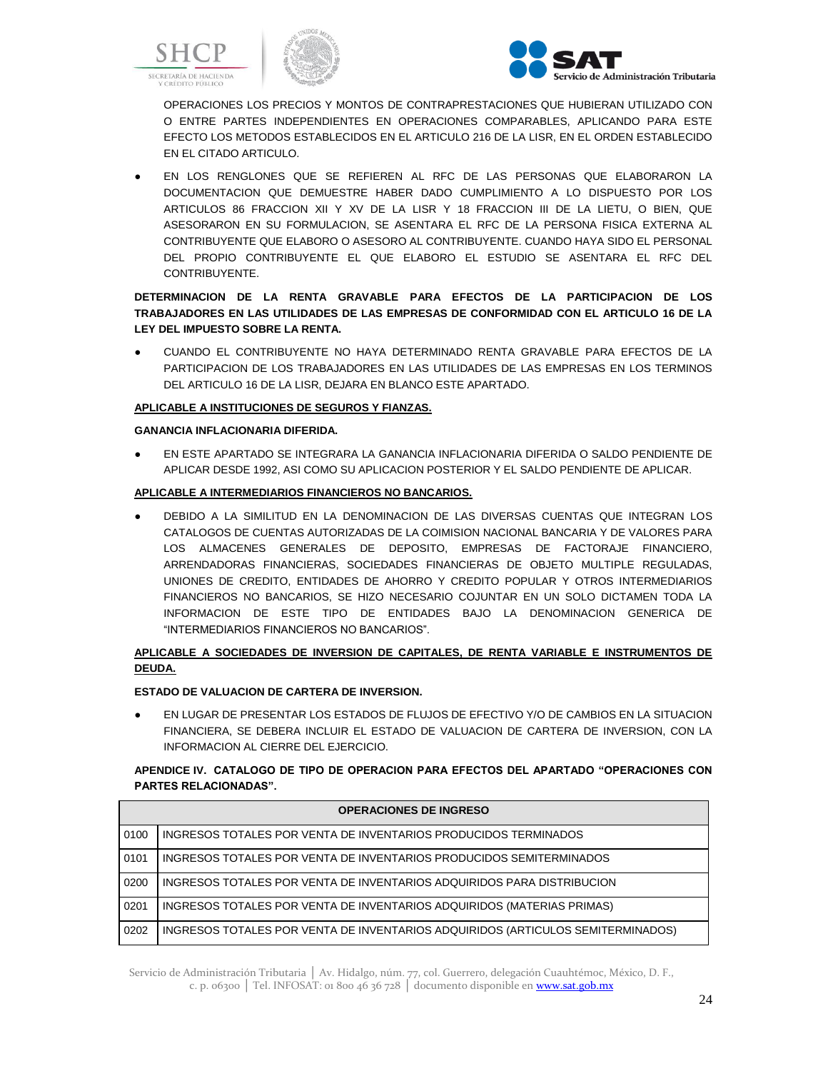





OPERACIONES LOS PRECIOS Y MONTOS DE CONTRAPRESTACIONES QUE HUBIERAN UTILIZADO CON O ENTRE PARTES INDEPENDIENTES EN OPERACIONES COMPARABLES, APLICANDO PARA ESTE EFECTO LOS METODOS ESTABLECIDOS EN EL ARTICULO 216 DE LA LISR, EN EL ORDEN ESTABLECIDO EN EL CITADO ARTICULO.

● EN LOS RENGLONES QUE SE REFIEREN AL RFC DE LAS PERSONAS QUE ELABORARON LA DOCUMENTACION QUE DEMUESTRE HABER DADO CUMPLIMIENTO A LO DISPUESTO POR LOS ARTICULOS 86 FRACCION XII Y XV DE LA LISR Y 18 FRACCION III DE LA LIETU, O BIEN, QUE ASESORARON EN SU FORMULACION, SE ASENTARA EL RFC DE LA PERSONA FISICA EXTERNA AL CONTRIBUYENTE QUE ELABORO O ASESORO AL CONTRIBUYENTE. CUANDO HAYA SIDO EL PERSONAL DEL PROPIO CONTRIBUYENTE EL QUE ELABORO EL ESTUDIO SE ASENTARA EL RFC DEL CONTRIBUYENTE.

# **DETERMINACION DE LA RENTA GRAVABLE PARA EFECTOS DE LA PARTICIPACION DE LOS TRABAJADORES EN LAS UTILIDADES DE LAS EMPRESAS DE CONFORMIDAD CON EL ARTICULO 16 DE LA LEY DEL IMPUESTO SOBRE LA RENTA.**

● CUANDO EL CONTRIBUYENTE NO HAYA DETERMINADO RENTA GRAVABLE PARA EFECTOS DE LA PARTICIPACION DE LOS TRABAJADORES EN LAS UTILIDADES DE LAS EMPRESAS EN LOS TERMINOS DEL ARTICULO 16 DE LA LISR, DEJARA EN BLANCO ESTE APARTADO.

# **APLICABLE A INSTITUCIONES DE SEGUROS Y FIANZAS.**

## **GANANCIA INFLACIONARIA DIFERIDA.**

EN ESTE APARTADO SE INTEGRARA LA GANANCIA INFLACIONARIA DIFERIDA O SALDO PENDIENTE DE APLICAR DESDE 1992, ASI COMO SU APLICACION POSTERIOR Y EL SALDO PENDIENTE DE APLICAR.

# **APLICABLE A INTERMEDIARIOS FINANCIEROS NO BANCARIOS.**

DEBIDO A LA SIMILITUD EN LA DENOMINACION DE LAS DIVERSAS CUENTAS QUE INTEGRAN LOS CATALOGOS DE CUENTAS AUTORIZADAS DE LA COIMISION NACIONAL BANCARIA Y DE VALORES PARA LOS ALMACENES GENERALES DE DEPOSITO, EMPRESAS DE FACTORAJE FINANCIERO, ARRENDADORAS FINANCIERAS, SOCIEDADES FINANCIERAS DE OBJETO MULTIPLE REGULADAS, UNIONES DE CREDITO, ENTIDADES DE AHORRO Y CREDITO POPULAR Y OTROS INTERMEDIARIOS FINANCIEROS NO BANCARIOS, SE HIZO NECESARIO COJUNTAR EN UN SOLO DICTAMEN TODA LA INFORMACION DE ESTE TIPO DE ENTIDADES BAJO LA DENOMINACION GENERICA DE "INTERMEDIARIOS FINANCIEROS NO BANCARIOS".

# **APLICABLE A SOCIEDADES DE INVERSION DE CAPITALES, DE RENTA VARIABLE E INSTRUMENTOS DE DEUDA.**

# **ESTADO DE VALUACION DE CARTERA DE INVERSION.**

EN LUGAR DE PRESENTAR LOS ESTADOS DE FLUJOS DE EFECTIVO Y/O DE CAMBIOS EN LA SITUACION FINANCIERA, SE DEBERA INCLUIR EL ESTADO DE VALUACION DE CARTERA DE INVERSION, CON LA INFORMACION AL CIERRE DEL EJERCICIO.

# **APENDICE IV. CATALOGO DE TIPO DE OPERACION PARA EFECTOS DEL APARTADO "OPERACIONES CON PARTES RELACIONADAS".**

|      | <b>OPERACIONES DE INGRESO</b>                                                   |
|------|---------------------------------------------------------------------------------|
| 0100 | INGRESOS TOTALES POR VENTA DE INVENTARIOS PRODUCIDOS TERMINADOS                 |
| 0101 | INGRESOS TOTALES POR VENTA DE INVENTARIOS PRODUCIDOS SEMITERMINADOS             |
| 0200 | INGRESOS TOTALES POR VENTA DE INVENTARIOS ADQUIRIDOS PARA DISTRIBUCION          |
| 0201 | INGRESOS TOTALES POR VENTA DE INVENTARIOS ADQUIRIDOS (MATERIAS PRIMAS)          |
| 0202 | INGRESOS TOTALES POR VENTA DE INVENTARIOS ADQUIRIDOS (ARTICULOS SEMITERMINADOS) |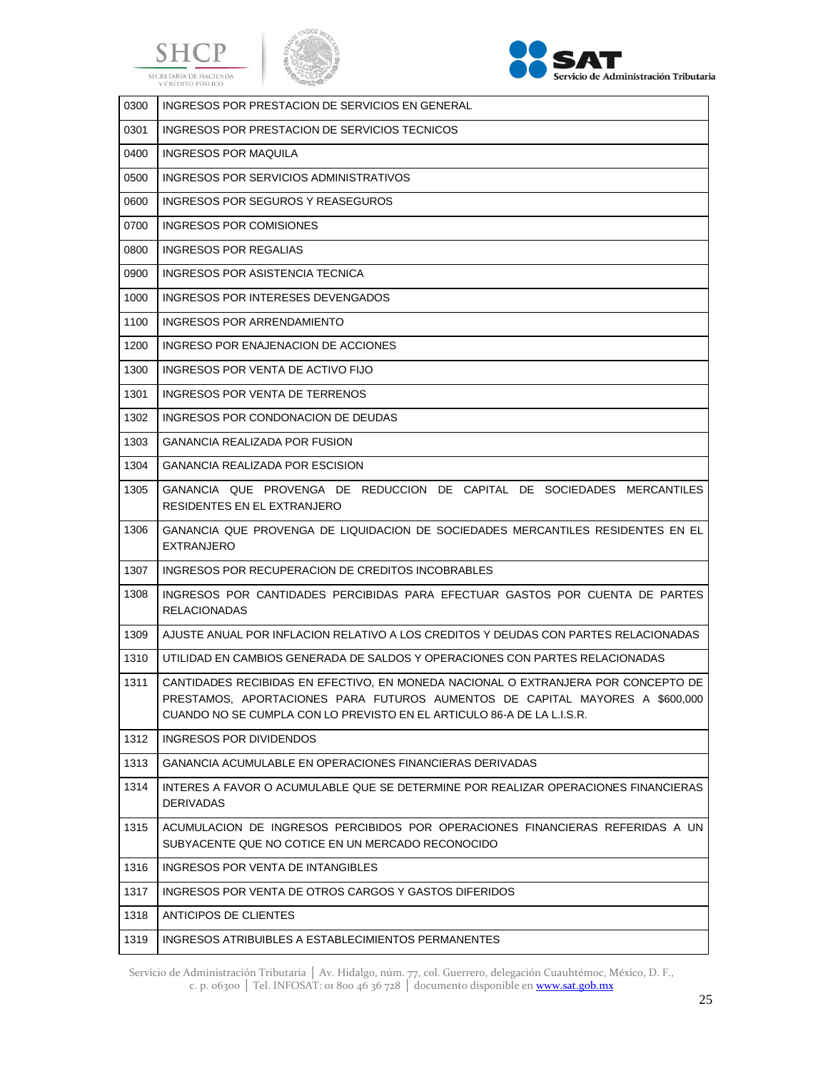





| 0300 | INGRESOS POR PRESTACION DE SERVICIOS EN GENERAL                                                                                                                                                                                             |
|------|---------------------------------------------------------------------------------------------------------------------------------------------------------------------------------------------------------------------------------------------|
| 0301 | INGRESOS POR PRESTACION DE SERVICIOS TECNICOS                                                                                                                                                                                               |
| 0400 | INGRESOS POR MAQUILA                                                                                                                                                                                                                        |
| 0500 | INGRESOS POR SERVICIOS ADMINISTRATIVOS                                                                                                                                                                                                      |
| 0600 | INGRESOS POR SEGUROS Y REASEGUROS                                                                                                                                                                                                           |
| 0700 | INGRESOS POR COMISIONES                                                                                                                                                                                                                     |
| 0800 | INGRESOS POR REGALIAS                                                                                                                                                                                                                       |
| 0900 | INGRESOS POR ASISTENCIA TECNICA                                                                                                                                                                                                             |
| 1000 | INGRESOS POR INTERESES DEVENGADOS                                                                                                                                                                                                           |
| 1100 | INGRESOS POR ARRENDAMIENTO                                                                                                                                                                                                                  |
| 1200 | INGRESO POR ENAJENACION DE ACCIONES                                                                                                                                                                                                         |
| 1300 | INGRESOS POR VENTA DE ACTIVO FIJO                                                                                                                                                                                                           |
| 1301 | INGRESOS POR VENTA DE TERRENOS                                                                                                                                                                                                              |
| 1302 | INGRESOS POR CONDONACION DE DEUDAS                                                                                                                                                                                                          |
| 1303 | <b>GANANCIA REALIZADA POR FUSION</b>                                                                                                                                                                                                        |
| 1304 | <b>GANANCIA REALIZADA POR ESCISION</b>                                                                                                                                                                                                      |
| 1305 | GANANCIA QUE PROVENGA DE REDUCCION DE CAPITAL DE SOCIEDADES MERCANTILES<br>RESIDENTES EN EL EXTRANJERO                                                                                                                                      |
| 1306 | GANANCIA QUE PROVENGA DE LIQUIDACION DE SOCIEDADES MERCANTILES RESIDENTES EN EL<br><b>EXTRANJERO</b>                                                                                                                                        |
| 1307 | INGRESOS POR RECUPERACION DE CREDITOS INCOBRABLES                                                                                                                                                                                           |
| 1308 | INGRESOS POR CANTIDADES PERCIBIDAS PARA EFECTUAR GASTOS POR CUENTA DE PARTES<br><b>RELACIONADAS</b>                                                                                                                                         |
| 1309 | AJUSTE ANUAL POR INFLACION RELATIVO A LOS CREDITOS Y DEUDAS CON PARTES RELACIONADAS                                                                                                                                                         |
| 1310 | UTILIDAD EN CAMBIOS GENERADA DE SALDOS Y OPERACIONES CON PARTES RELACIONADAS                                                                                                                                                                |
| 1311 | CANTIDADES RECIBIDAS EN EFECTIVO. EN MONEDA NACIONAL O EXTRANJERA POR CONCEPTO DE<br>PRESTAMOS, APORTACIONES PARA FUTUROS AUMENTOS DE CAPITAL MAYORES A \$600,000<br>CUANDO NO SE CUMPLA CON LO PREVISTO EN EL ARTICULO 86-A DE LA L.I.S.R. |
| 1312 | INGRESOS POR DIVIDENDOS                                                                                                                                                                                                                     |
| 1313 | GANANCIA ACUMULABLE EN OPERACIONES FINANCIERAS DERIVADAS                                                                                                                                                                                    |
| 1314 | INTERES A FAVOR O ACUMULABLE QUE SE DETERMINE POR REALIZAR OPERACIONES FINANCIERAS<br><b>DERIVADAS</b>                                                                                                                                      |
| 1315 | ACUMULACION DE INGRESOS PERCIBIDOS POR OPERACIONES FINANCIERAS REFERIDAS A UN<br>SUBYACENTE QUE NO COTICE EN UN MERCADO RECONOCIDO                                                                                                          |
| 1316 | INGRESOS POR VENTA DE INTANGIBLES                                                                                                                                                                                                           |
| 1317 | INGRESOS POR VENTA DE OTROS CARGOS Y GASTOS DIFERIDOS                                                                                                                                                                                       |
| 1318 | ANTICIPOS DE CLIENTES                                                                                                                                                                                                                       |
| 1319 | INGRESOS ATRIBUIBLES A ESTABLECIMIENTOS PERMANENTES                                                                                                                                                                                         |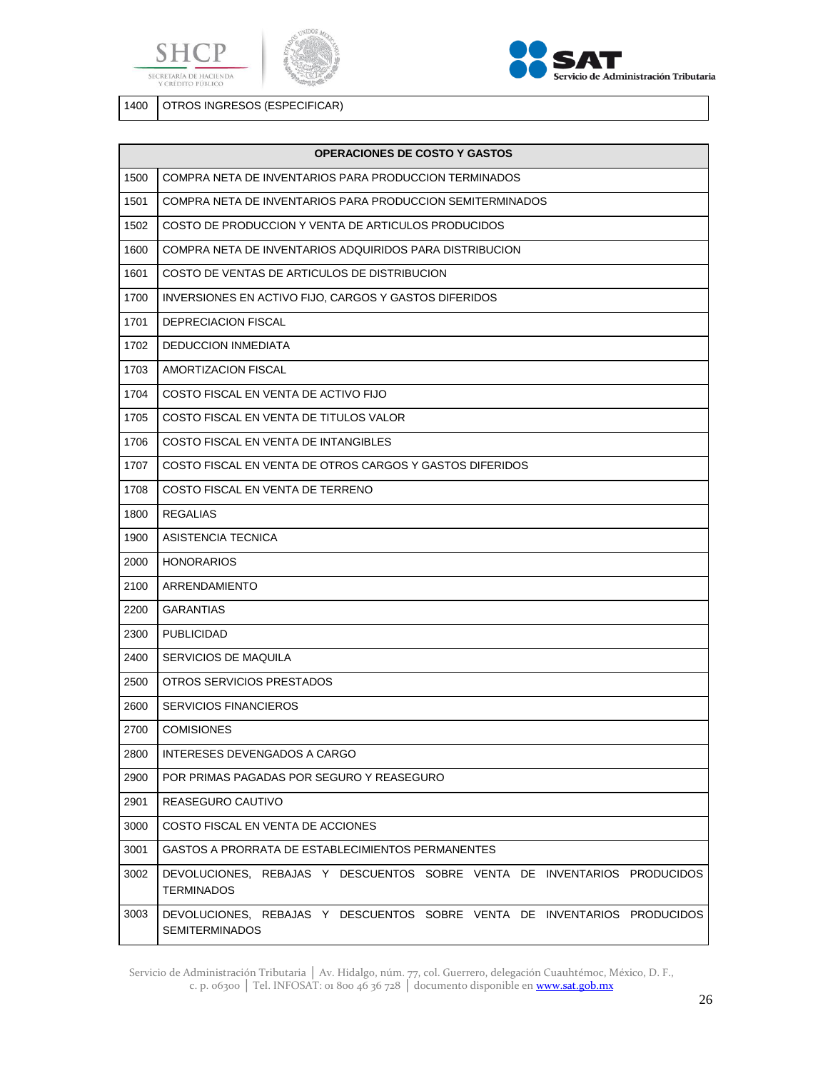





OTROS INGRESOS (ESPECIFICAR)

|      | <b>OPERACIONES DE COSTO Y GASTOS</b>                                                              |
|------|---------------------------------------------------------------------------------------------------|
| 1500 | COMPRA NETA DE INVENTARIOS PARA PRODUCCION TERMINADOS                                             |
| 1501 | COMPRA NETA DE INVENTARIOS PARA PRODUCCION SEMITERMINADOS                                         |
| 1502 | COSTO DE PRODUCCION Y VENTA DE ARTICULOS PRODUCIDOS                                               |
| 1600 | COMPRA NETA DE INVENTARIOS ADQUIRIDOS PARA DISTRIBUCION                                           |
| 1601 | COSTO DE VENTAS DE ARTICULOS DE DISTRIBUCION                                                      |
| 1700 | INVERSIONES EN ACTIVO FIJO, CARGOS Y GASTOS DIFERIDOS                                             |
| 1701 | DEPRECIACION FISCAL                                                                               |
| 1702 | <b>DEDUCCION INMEDIATA</b>                                                                        |
| 1703 | AMORTIZACION FISCAL                                                                               |
| 1704 | COSTO FISCAL EN VENTA DE ACTIVO FIJO                                                              |
| 1705 | COSTO FISCAL EN VENTA DE TITULOS VALOR                                                            |
| 1706 | COSTO FISCAL EN VENTA DE INTANGIBLES                                                              |
| 1707 | COSTO FISCAL EN VENTA DE OTROS CARGOS Y GASTOS DIFERIDOS                                          |
| 1708 | COSTO FISCAL EN VENTA DE TERRENO                                                                  |
| 1800 | <b>REGALIAS</b>                                                                                   |
| 1900 | ASISTENCIA TECNICA                                                                                |
| 2000 | <b>HONORARIOS</b>                                                                                 |
| 2100 | ARRENDAMIENTO                                                                                     |
| 2200 | <b>GARANTIAS</b>                                                                                  |
| 2300 | <b>PUBLICIDAD</b>                                                                                 |
| 2400 | SERVICIOS DE MAQUILA                                                                              |
| 2500 | OTROS SERVICIOS PRESTADOS                                                                         |
| 2600 | <b>SERVICIOS FINANCIEROS</b>                                                                      |
| 2700 | <b>COMISIONES</b>                                                                                 |
| 2800 | INTERESES DEVENGADOS A CARGO                                                                      |
| 2900 | POR PRIMAS PAGADAS POR SEGURO Y REASEGURO                                                         |
| 2901 | REASEGURO CAUTIVO                                                                                 |
| 3000 | COSTO FISCAL EN VENTA DE ACCIONES                                                                 |
| 3001 | <b>GASTOS A PRORRATA DE ESTABLECIMIENTOS PERMANENTES</b>                                          |
| 3002 | DEVOLUCIONES, REBAJAS Y DESCUENTOS SOBRE VENTA DE INVENTARIOS PRODUCIDOS<br><b>TERMINADOS</b>     |
| 3003 | DEVOLUCIONES, REBAJAS Y DESCUENTOS SOBRE VENTA DE INVENTARIOS PRODUCIDOS<br><b>SEMITERMINADOS</b> |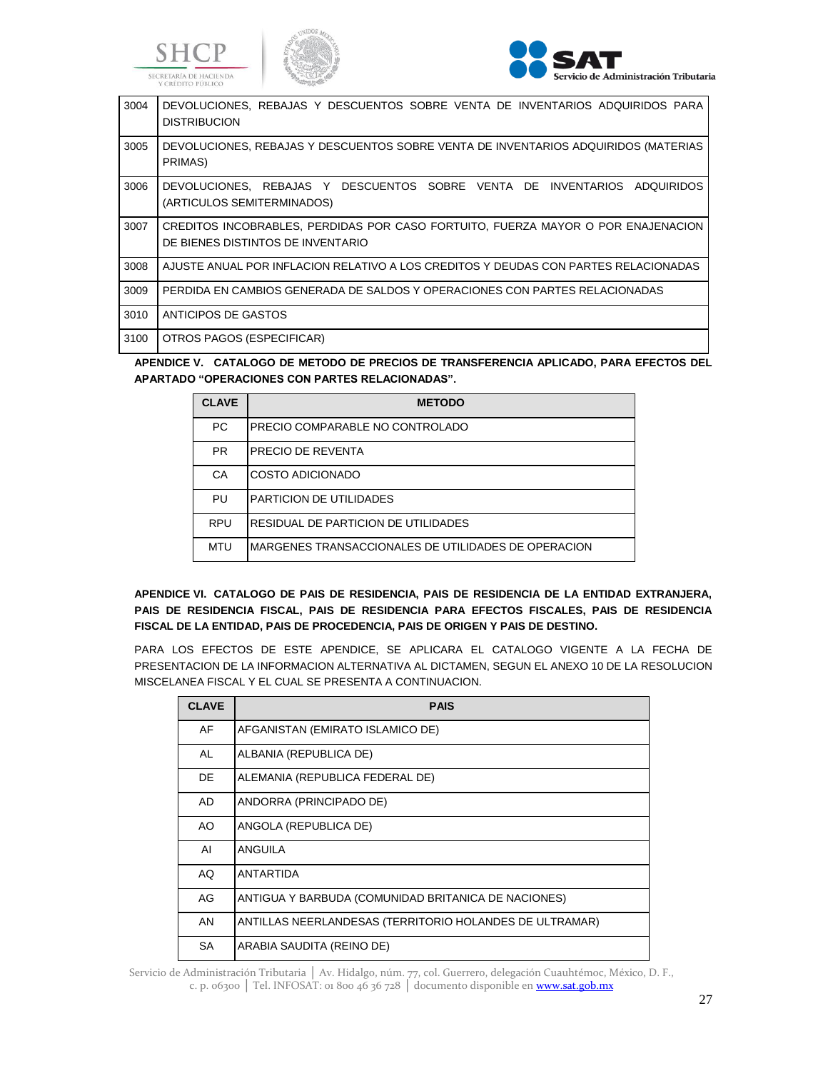





| 3004 | DEVOLUCIONES, REBAJAS Y DESCUENTOS SOBRE VENTA DE INVENTARIOS ADQUIRIDOS PARA<br><b>DISTRIBUCION</b>                  |
|------|-----------------------------------------------------------------------------------------------------------------------|
| 3005 | DEVOLUCIONES, REBAJAS Y DESCUENTOS SOBRE VENTA DE INVENTARIOS ADQUIRIDOS (MATERIAS<br>PRIMAS)                         |
| 3006 | DEVOLUCIONES, REBAJAS Y DESCUENTOS SOBRE VENTA DE INVENTARIOS ADQUIRIDOS<br>(ARTICULOS SEMITERMINADOS)                |
| 3007 | CREDITOS INCOBRABLES, PERDIDAS POR CASO FORTUITO, FUERZA MAYOR O POR ENAJENACION<br>DE BIENES DISTINTOS DE INVENTARIO |
| 3008 | AJUSTE ANUAL POR INFLACION RELATIVO A LOS CREDITOS Y DEUDAS CON PARTES RELACIONADAS                                   |
| 3009 | PERDIDA EN CAMBIOS GENERADA DE SALDOS Y OPERACIONES CON PARTES RELACIONADAS                                           |
| 3010 | ANTICIPOS DE GASTOS                                                                                                   |
| 3100 | OTROS PAGOS (ESPECIFICAR)                                                                                             |
|      | $\overline{a}$                                                                                                        |

**APENDICE V. CATALOGO DE METODO DE PRECIOS DE TRANSFERENCIA APLICADO, PARA EFECTOS DEL APARTADO "OPERACIONES CON PARTES RELACIONADAS".**

| <b>CLAVE</b> | <b>METODO</b>                                       |
|--------------|-----------------------------------------------------|
| <b>PC</b>    | PRECIO COMPARABLE NO CONTROLADO                     |
| <b>PR</b>    | PRECIO DE REVENTA                                   |
| CA           | COSTO ADICIONADO                                    |
| PU           | PARTICION DE UTILIDADES                             |
| <b>RPU</b>   | RESIDUAL DE PARTICION DE UTILIDADES                 |
| <b>MTU</b>   | MARGENES TRANSACCIONALES DE UTILIDADES DE OPERACION |

**APENDICE VI. CATALOGO DE PAIS DE RESIDENCIA, PAIS DE RESIDENCIA DE LA ENTIDAD EXTRANJERA, PAIS DE RESIDENCIA FISCAL, PAIS DE RESIDENCIA PARA EFECTOS FISCALES, PAIS DE RESIDENCIA FISCAL DE LA ENTIDAD, PAIS DE PROCEDENCIA, PAIS DE ORIGEN Y PAIS DE DESTINO.**

PARA LOS EFECTOS DE ESTE APENDICE, SE APLICARA EL CATALOGO VIGENTE A LA FECHA DE PRESENTACION DE LA INFORMACION ALTERNATIVA AL DICTAMEN, SEGUN EL ANEXO 10 DE LA RESOLUCION MISCELANEA FISCAL Y EL CUAL SE PRESENTA A CONTINUACION.

| <b>CLAVE</b> | <b>PAIS</b>                                             |
|--------------|---------------------------------------------------------|
| AF           | AFGANISTAN (EMIRATO ISLAMICO DE)                        |
| AL           | ALBANIA (REPUBLICA DE)                                  |
| <b>DE</b>    | ALEMANIA (REPUBLICA FEDERAL DE)                         |
| <b>AD</b>    | ANDORRA (PRINCIPADO DE)                                 |
| AO.          | ANGOLA (REPUBLICA DE)                                   |
| AI           | ANGUILA                                                 |
| AQ           | ANTARTIDA                                               |
| AG           | ANTIGUA Y BARBUDA (COMUNIDAD BRITANICA DE NACIONES)     |
| AN           | ANTILLAS NEERLANDESAS (TERRITORIO HOLANDES DE ULTRAMAR) |
| <b>SA</b>    | ARABIA SAUDITA (REINO DE)                               |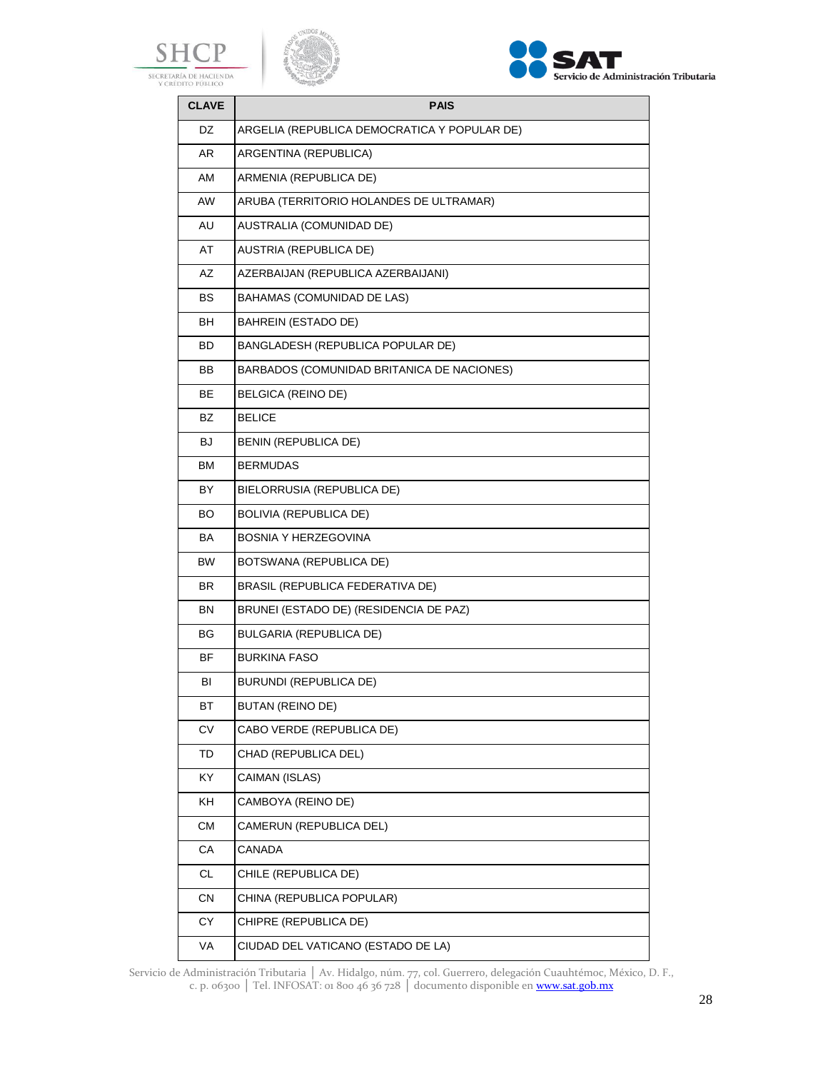





| <b>CLAVE</b> | <b>PAIS</b>                                  |
|--------------|----------------------------------------------|
| DZ.          | ARGELIA (REPUBLICA DEMOCRATICA Y POPULAR DE) |
| AR.          | ARGENTINA (REPUBLICA)                        |
| AM           | ARMENIA (REPUBLICA DE)                       |
| AW           | ARUBA (TERRITORIO HOLANDES DE ULTRAMAR)      |
| AU           | AUSTRALIA (COMUNIDAD DE)                     |
| AT           | AUSTRIA (REPUBLICA DE)                       |
| AZ           | AZERBAIJAN (REPUBLICA AZERBAIJANI)           |
| BS           | <b>BAHAMAS (COMUNIDAD DE LAS)</b>            |
| BH           | BAHREIN (ESTADO DE)                          |
| BD           | BANGLADESH (REPUBLICA POPULAR DE)            |
| <b>BB</b>    | BARBADOS (COMUNIDAD BRITANICA DE NACIONES)   |
| BE           | BELGICA (REINO DE)                           |
| BZ           | <b>BELICE</b>                                |
| BJ           | BENIN (REPUBLICA DE)                         |
| ВM           | BERMUDAS                                     |
| BY           | BIELORRUSIA (REPUBLICA DE)                   |
| BO.          | <b>BOLIVIA (REPUBLICA DE)</b>                |
| BA           | BOSNIA Y HERZEGOVINA                         |
| <b>BW</b>    | BOTSWANA (REPUBLICA DE)                      |
| BR.          | BRASIL (REPUBLICA FEDERATIVA DE)             |
| BN           | BRUNEI (ESTADO DE) (RESIDENCIA DE PAZ)       |
| BG           | BULGARIA (REPUBLICA DE)                      |
| <b>BF</b>    | <b>BURKINA FASO</b>                          |
| BI           | BURUNDI (REPUBLICA DE)                       |
| ВT           | BUTAN (REINO DE)                             |
| CV           | CABO VERDE (REPUBLICA DE)                    |
| TD           | CHAD (REPUBLICA DEL)                         |
| KY           | CAIMAN (ISLAS)                               |
| KH           | CAMBOYA (REINO DE)                           |
| СM           | CAMERUN (REPUBLICA DEL)                      |
| СA           | CANADA                                       |
| CL.          | CHILE (REPUBLICA DE)                         |
| СN           | CHINA (REPUBLICA POPULAR)                    |
| СY           | CHIPRE (REPUBLICA DE)                        |
| VA           | CIUDAD DEL VATICANO (ESTADO DE LA)           |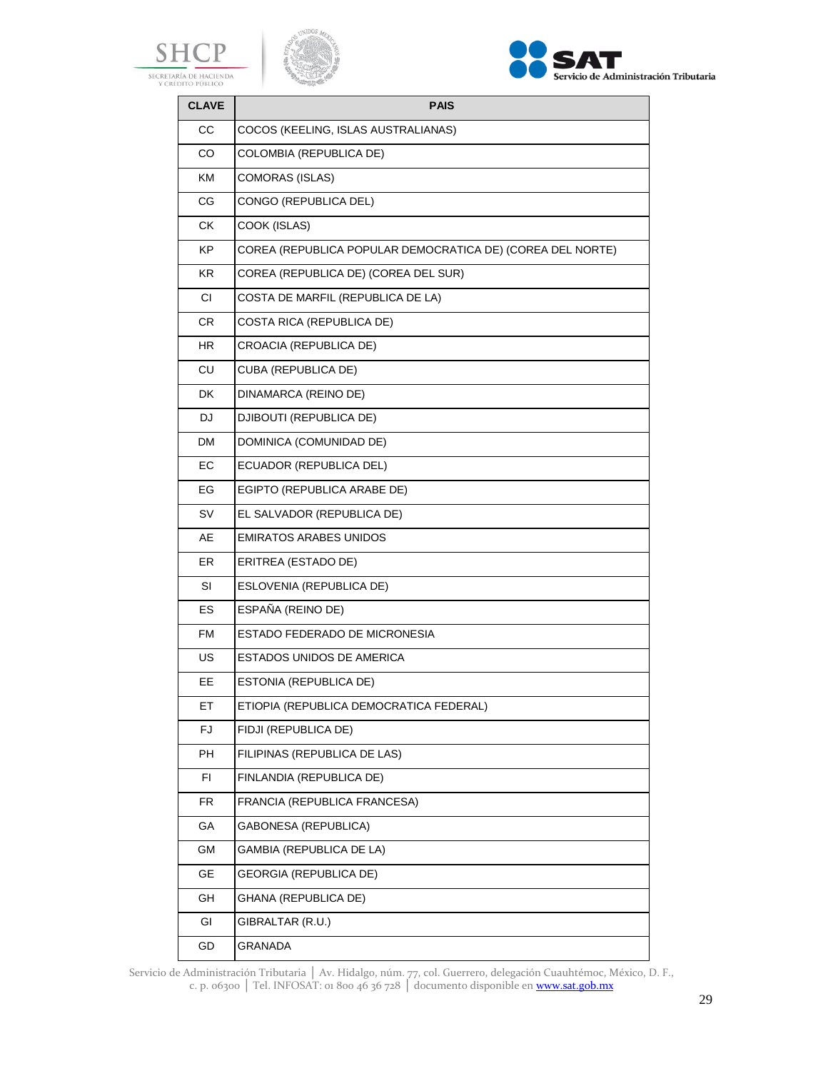





| <b>CLAVE</b> | <b>PAIS</b>                                                |  |
|--------------|------------------------------------------------------------|--|
| СC           | COCOS (KEELING, ISLAS AUSTRALIANAS)                        |  |
| CO           | COLOMBIA (REPUBLICA DE)                                    |  |
| KM           | COMORAS (ISLAS)                                            |  |
| CG           | CONGO (REPUBLICA DEL)                                      |  |
| CK.          | COOK (ISLAS)                                               |  |
| KP.          | COREA (REPUBLICA POPULAR DEMOCRATICA DE) (COREA DEL NORTE) |  |
| KR.          | COREA (REPUBLICA DE) (COREA DEL SUR)                       |  |
| <b>CI</b>    | COSTA DE MARFIL (REPUBLICA DE LA)                          |  |
| CR.          | COSTA RICA (REPUBLICA DE)                                  |  |
| HR           | <b>CROACIA (REPUBLICA DE)</b>                              |  |
| <b>CU</b>    | <b>CUBA (REPUBLICA DE)</b>                                 |  |
| <b>DK</b>    | DINAMARCA (REINO DE)                                       |  |
| DJ.          | DJIBOUTI (REPUBLICA DE)                                    |  |
| DM.          | DOMINICA (COMUNIDAD DE)                                    |  |
| EС           | ECUADOR (REPUBLICA DEL)                                    |  |
| EG           | EGIPTO (REPUBLICA ARABE DE)                                |  |
| <b>SV</b>    | EL SALVADOR (REPUBLICA DE)                                 |  |
| AE           | <b>EMIRATOS ARABES UNIDOS</b>                              |  |
| ER.          | ERITREA (ESTADO DE)                                        |  |
| SI           | ESLOVENIA (REPUBLICA DE)                                   |  |
| ES.          | ESPAÑA (REINO DE)                                          |  |
| <b>FM</b>    | ESTADO FEDERADO DE MICRONESIA                              |  |
| <b>US</b>    | ESTADOS UNIDOS DE AMERICA                                  |  |
| EE           | ESTONIA (REPUBLICA DE)                                     |  |
| ET           | ETIOPIA (REPUBLICA DEMOCRATICA FEDERAL)                    |  |
| FJ.          | FIDJI (REPUBLICA DE)                                       |  |
| PH           | FILIPINAS (REPUBLICA DE LAS)                               |  |
| FI           | FINLANDIA (REPUBLICA DE)                                   |  |
| <b>FR</b>    | FRANCIA (REPUBLICA FRANCESA)                               |  |
| GA           | <b>GABONESA (REPUBLICA)</b>                                |  |
| GM           | GAMBIA (REPUBLICA DE LA)                                   |  |
| GE           | <b>GEORGIA (REPUBLICA DE)</b>                              |  |
| GH           | GHANA (REPUBLICA DE)                                       |  |
| GI           | GIBRALTAR (R.U.)                                           |  |
| GD           | GRANADA                                                    |  |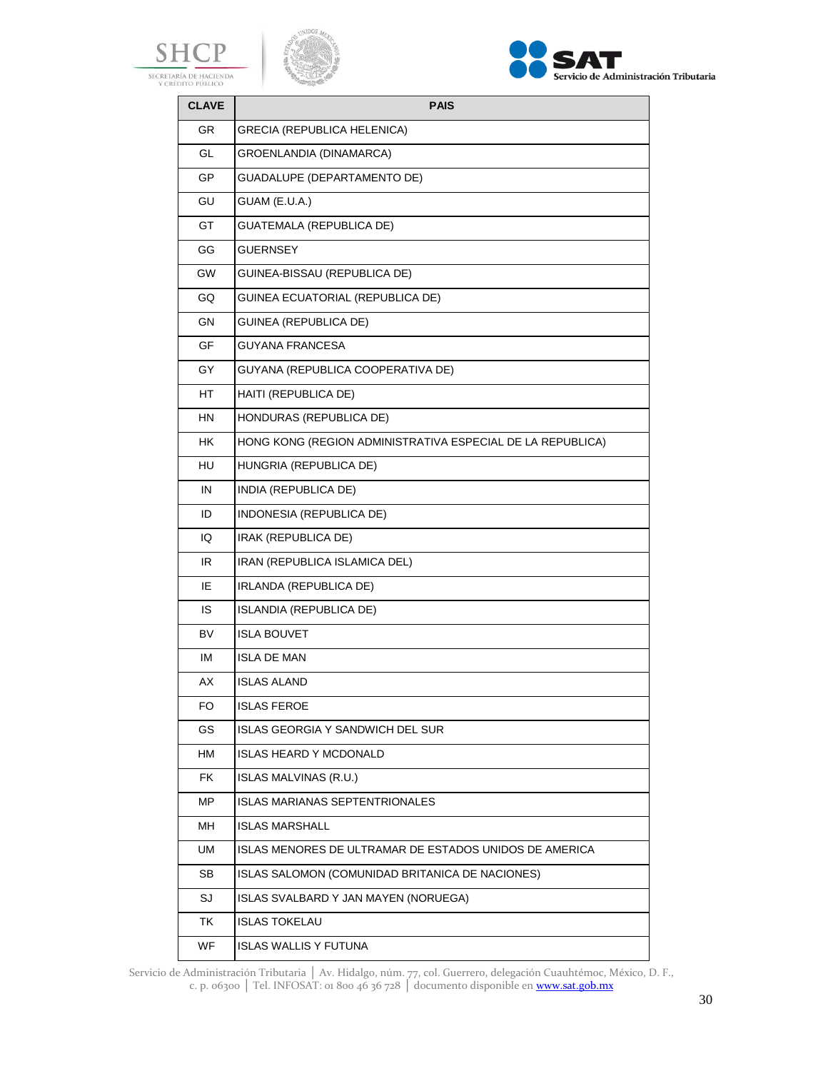





| <b>CLAVE</b> | <b>PAIS</b>                                                |  |
|--------------|------------------------------------------------------------|--|
| <b>GR</b>    | <b>GRECIA (REPUBLICA HELENICA)</b>                         |  |
| GL           | GROENLANDIA (DINAMARCA)                                    |  |
| <b>GP</b>    | GUADALUPE (DEPARTAMENTO DE)                                |  |
| GU           | GUAM (E.U.A.)                                              |  |
| GT           | GUATEMALA (REPUBLICA DE)                                   |  |
| GG           | <b>GUERNSEY</b>                                            |  |
| GW           | GUINEA-BISSAU (REPUBLICA DE)                               |  |
| GQ           | GUINEA ECUATORIAL (REPUBLICA DE)                           |  |
| GN           | GUINEA (REPUBLICA DE)                                      |  |
| GF           | GUYANA FRANCESA                                            |  |
| GY           | GUYANA (REPUBLICA COOPERATIVA DE)                          |  |
| HT           | HAITI (REPUBLICA DE)                                       |  |
| ΗN           | HONDURAS (REPUBLICA DE)                                    |  |
| HК           | HONG KONG (REGION ADMINISTRATIVA ESPECIAL DE LA REPUBLICA) |  |
| HU           | HUNGRIA (REPUBLICA DE)                                     |  |
| IN           | INDIA (REPUBLICA DE)                                       |  |
| ID           | INDONESIA (REPUBLICA DE)                                   |  |
| IQ           | IRAK (REPUBLICA DE)                                        |  |
| IR           | IRAN (REPUBLICA ISLAMICA DEL)                              |  |
| IE           | IRLANDA (REPUBLICA DE)                                     |  |
| IS           | ISLANDIA (REPUBLICA DE)                                    |  |
| <b>BV</b>    | ISLA BOUVET                                                |  |
| IM           | ISLA DE MAN                                                |  |
| AX           | ISLAS ALAND                                                |  |
| FO           | ISLAS FEROE                                                |  |
| GS           | <b>ISLAS GEORGIA Y SANDWICH DEL SUR</b>                    |  |
| НM           | ISLAS HEARD Y MCDONALD                                     |  |
| FK           | ISLAS MALVINAS (R.U.)                                      |  |
| МP           | ISLAS MARIANAS SEPTENTRIONALES                             |  |
| MН           | <b>ISLAS MARSHALL</b>                                      |  |
| UM           | ISLAS MENORES DE ULTRAMAR DE ESTADOS UNIDOS DE AMERICA     |  |
| SB           | ISLAS SALOMON (COMUNIDAD BRITANICA DE NACIONES)            |  |
| SJ           | ISLAS SVALBARD Y JAN MAYEN (NORUEGA)                       |  |
| TK           | <b>ISLAS TOKELAU</b>                                       |  |
| WF.          | ISLAS WALLIS Y FUTUNA                                      |  |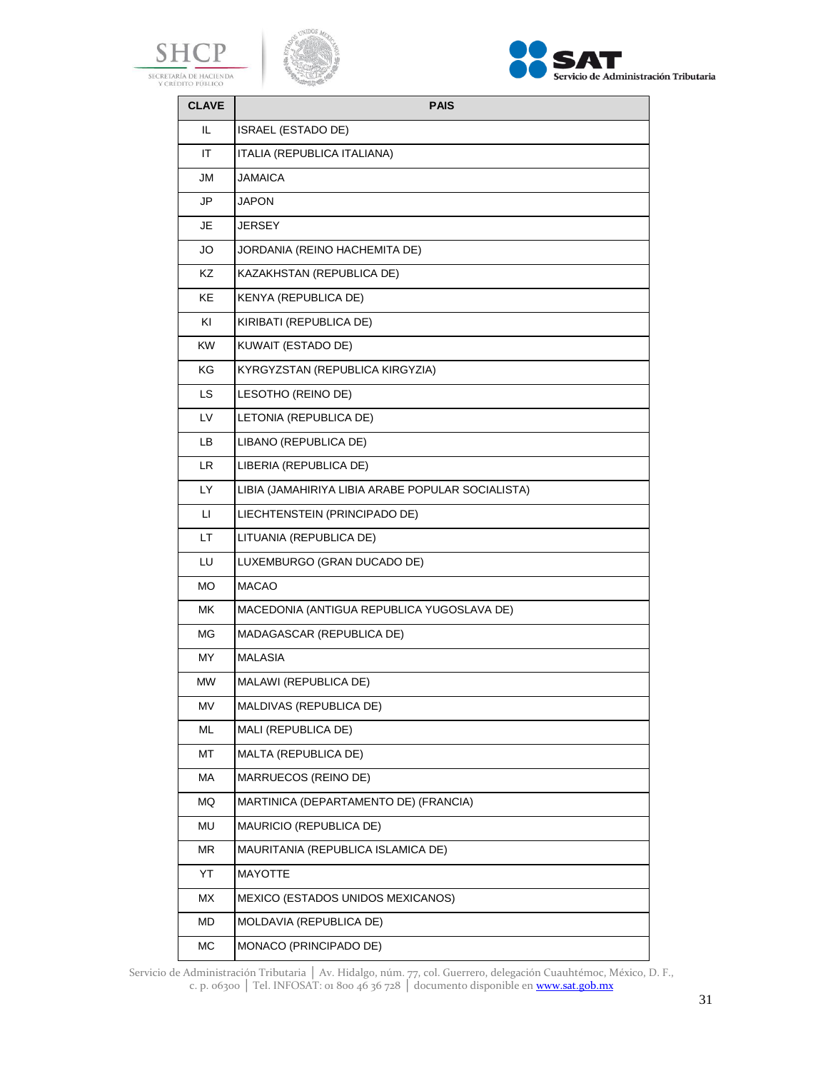





| <b>CLAVE</b> | <b>PAIS</b>                                       |  |
|--------------|---------------------------------------------------|--|
| IL           | <b>ISRAEL (ESTADO DE)</b>                         |  |
| ΙT           | ITALIA (REPUBLICA ITALIANA)                       |  |
| JM           | JAMAICA                                           |  |
| JP           | JAPON                                             |  |
| JE           | JERSEY                                            |  |
| JO           | JORDANIA (REINO HACHEMITA DE)                     |  |
| ΚZ           | KAZAKHSTAN (REPUBLICA DE)                         |  |
| KE.          | KENYA (REPUBLICA DE)                              |  |
| KI           | KIRIBATI (REPUBLICA DE)                           |  |
| <b>KW</b>    | KUWAIT (ESTADO DE)                                |  |
| ΚG           | KYRGYZSTAN (REPUBLICA KIRGYZIA)                   |  |
| LS.          | LESOTHO (REINO DE)                                |  |
| LV           | LETONIA (REPUBLICA DE)                            |  |
| LB.          | LIBANO (REPUBLICA DE)                             |  |
| LR.          | LIBERIA (REPUBLICA DE)                            |  |
| LY.          | LIBIA (JAMAHIRIYA LIBIA ARABE POPULAR SOCIALISTA) |  |
| П            | LIECHTENSTEIN (PRINCIPADO DE)                     |  |
| LT.          | LITUANIA (REPUBLICA DE)                           |  |
| LU           | LUXEMBURGO (GRAN DUCADO DE)                       |  |
| MO.          | <b>MACAO</b>                                      |  |
| МK           | MACEDONIA (ANTIGUA REPUBLICA YUGOSLAVA DE)        |  |
| MG           | MADAGASCAR (REPUBLICA DE)                         |  |
| <b>MY</b>    | <b>MALASIA</b>                                    |  |
| МW           | MALAWI (REPUBLICA DE)                             |  |
| MV           | MALDIVAS (REPUBLICA DE)                           |  |
| ML           | MALI (REPUBLICA DE)                               |  |
| МT           | MALTA (REPUBLICA DE)                              |  |
| МA           | MARRUECOS (REINO DE)                              |  |
| MQ           | MARTINICA (DEPARTAMENTO DE) (FRANCIA)             |  |
| MU           | MAURICIO (REPUBLICA DE)                           |  |
| MR           | MAURITANIA (REPUBLICA ISLAMICA DE)                |  |
| YT           | MAYOTTE                                           |  |
| MX           | MEXICO (ESTADOS UNIDOS MEXICANOS)                 |  |
| MD           | MOLDAVIA (REPUBLICA DE)                           |  |
| МC           | MONACO (PRINCIPADO DE)                            |  |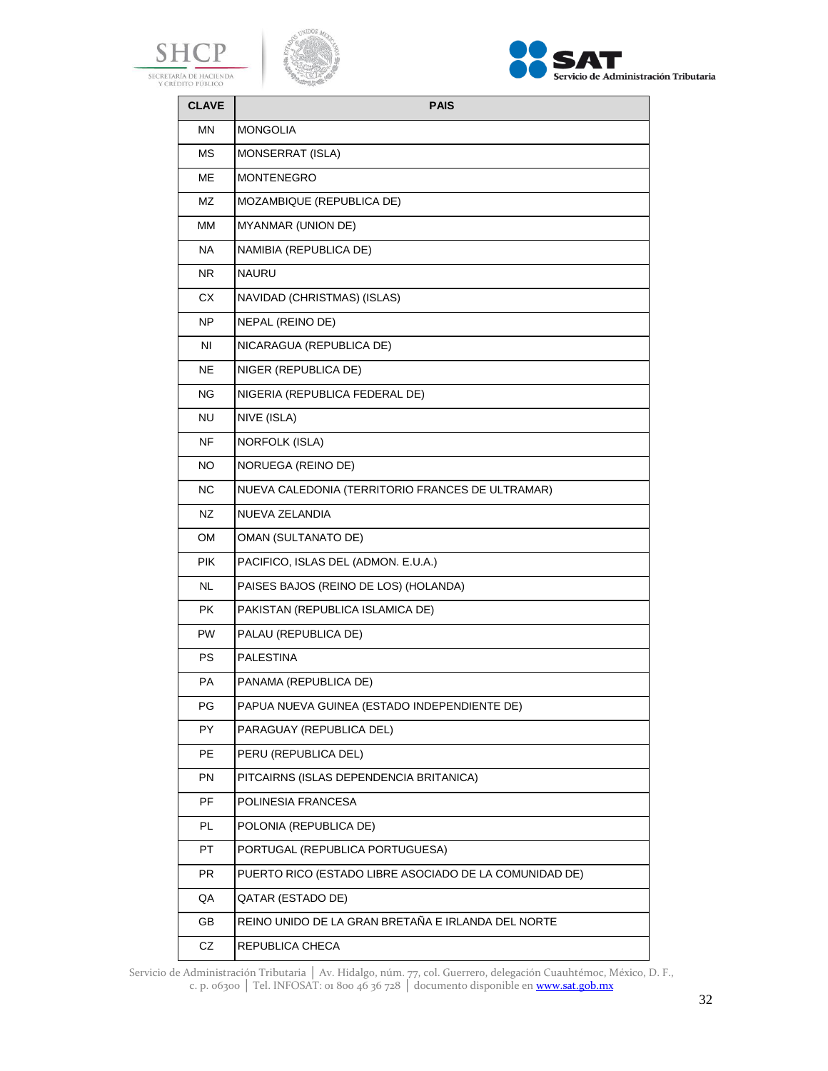





| <b>CLAVE</b> | <b>PAIS</b>                                            |  |
|--------------|--------------------------------------------------------|--|
| ΜN           | <b>MONGOLIA</b>                                        |  |
| <b>MS</b>    | MONSERRAT (ISLA)                                       |  |
| ME           | <b>MONTENEGRO</b>                                      |  |
| MZ           | MOZAMBIQUE (REPUBLICA DE)                              |  |
| MМ           | <b>MYANMAR (UNION DE)</b>                              |  |
| NA.          | NAMIBIA (REPUBLICA DE)                                 |  |
| NR.          | <b>NAURU</b>                                           |  |
| <b>CX</b>    | NAVIDAD (CHRISTMAS) (ISLAS)                            |  |
| NP           | NEPAL (REINO DE)                                       |  |
| ΝI           | NICARAGUA (REPUBLICA DE)                               |  |
| NE           | NIGER (REPUBLICA DE)                                   |  |
| ΝG           | NIGERIA (REPUBLICA FEDERAL DE)                         |  |
| NU           | NIVE (ISLA)                                            |  |
| <b>NF</b>    | <b>NORFOLK (ISLA)</b>                                  |  |
| NO           | NORUEGA (REINO DE)                                     |  |
| NС           | NUEVA CALEDONIA (TERRITORIO FRANCES DE ULTRAMAR)       |  |
| NZ           | NUEVA ZELANDIA                                         |  |
| OM           | <b>OMAN (SULTANATO DE)</b>                             |  |
| PIK          | PACIFICO, ISLAS DEL (ADMON. E.U.A.)                    |  |
| <b>NL</b>    | PAISES BAJOS (REINO DE LOS) (HOLANDA)                  |  |
| PK           | PAKISTAN (REPUBLICA ISLAMICA DE)                       |  |
| <b>PW</b>    | PALAU (REPUBLICA DE)                                   |  |
| PS           | PALESTINA                                              |  |
| <b>PA</b>    | PANAMA (REPUBLICA DE)                                  |  |
| РG           | PAPUA NUEVA GUINEA (ESTADO INDEPENDIENTE DE)           |  |
| PY           | PARAGUAY (REPUBLICA DEL)                               |  |
| PE           | PERU (REPUBLICA DEL)                                   |  |
| PN           | PITCAIRNS (ISLAS DEPENDENCIA BRITANICA)                |  |
| PF           | POLINESIA FRANCESA                                     |  |
| PL           | POLONIA (REPUBLICA DE)                                 |  |
| PT           | PORTUGAL (REPUBLICA PORTUGUESA)                        |  |
| PR           | PUERTO RICO (ESTADO LIBRE ASOCIADO DE LA COMUNIDAD DE) |  |
| QA           | QATAR (ESTADO DE)                                      |  |
| GB           | REINO UNIDO DE LA GRAN BRETAÑA E IRLANDA DEL NORTE     |  |
| CZ           | REPUBLICA CHECA                                        |  |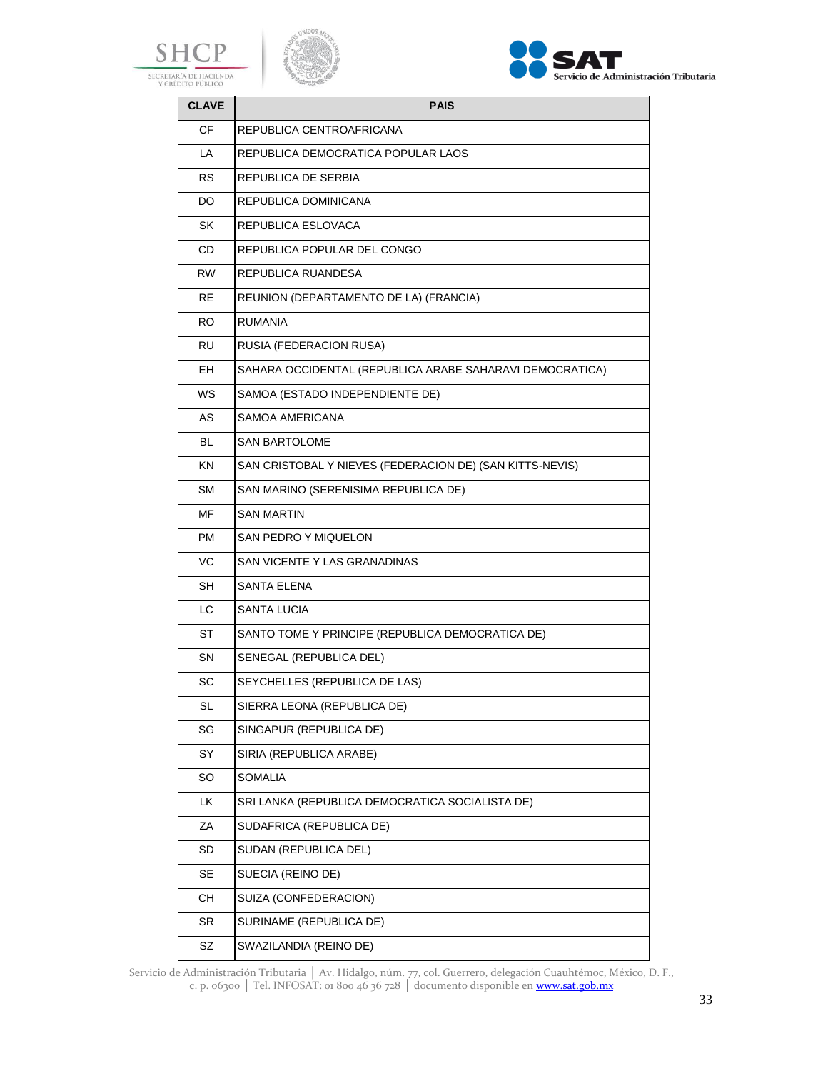





| <b>CLAVE</b> | <b>PAIS</b>                                              |  |
|--------------|----------------------------------------------------------|--|
| СF           | REPUBLICA CENTROAFRICANA                                 |  |
| LA           | REPUBLICA DEMOCRATICA POPULAR LAOS                       |  |
| <b>RS</b>    | REPUBLICA DE SERBIA                                      |  |
| DO           | REPUBLICA DOMINICANA                                     |  |
| <b>SK</b>    | REPUBLICA ESLOVACA                                       |  |
| CD           | REPUBLICA POPULAR DEL CONGO                              |  |
| <b>RW</b>    | REPUBLICA RUANDESA                                       |  |
| <b>RE</b>    | REUNION (DEPARTAMENTO DE LA) (FRANCIA)                   |  |
| RO.          | <b>RUMANIA</b>                                           |  |
| <b>RU</b>    | RUSIA (FEDERACION RUSA)                                  |  |
| EH           | SAHARA OCCIDENTAL (REPUBLICA ARABE SAHARAVI DEMOCRATICA) |  |
| WS           | SAMOA (ESTADO INDEPENDIENTE DE)                          |  |
| AS           | <b>SAMOA AMERICANA</b>                                   |  |
| BL           | <b>SAN BARTOLOME</b>                                     |  |
| KN.          | SAN CRISTOBAL Y NIEVES (FEDERACION DE) (SAN KITTS-NEVIS) |  |
| <b>SM</b>    | SAN MARINO (SERENISIMA REPUBLICA DE)                     |  |
| MF           | <b>SAN MARTIN</b>                                        |  |
| <b>PM</b>    | <b>SAN PEDRO Y MIQUELON</b>                              |  |
| VC           | SAN VICENTE Y LAS GRANADINAS                             |  |
| SH           | <b>SANTA ELENA</b>                                       |  |
| LC           | <b>SANTA LUCIA</b>                                       |  |
| ST           | SANTO TOME Y PRINCIPE (REPUBLICA DEMOCRATICA DE)         |  |
| SΝ           | SENEGAL (REPUBLICA DEL)                                  |  |
| SC           | SEYCHELLES (REPUBLICA DE LAS)                            |  |
| SL           | SIERRA LEONA (REPUBLICA DE)                              |  |
| SG           | SINGAPUR (REPUBLICA DE)                                  |  |
| SY           | SIRIA (REPUBLICA ARABE)                                  |  |
| <b>SO</b>    | <b>SOMALIA</b>                                           |  |
| LK           | SRI LANKA (REPUBLICA DEMOCRATICA SOCIALISTA DE)          |  |
| ΖA           | SUDAFRICA (REPUBLICA DE)                                 |  |
| SD           | SUDAN (REPUBLICA DEL)                                    |  |
| SE           | SUECIA (REINO DE)                                        |  |
| CН           | SUIZA (CONFEDERACION)                                    |  |
| SR           | SURINAME (REPUBLICA DE)                                  |  |
| SZ           | SWAZILANDIA (REINO DE)                                   |  |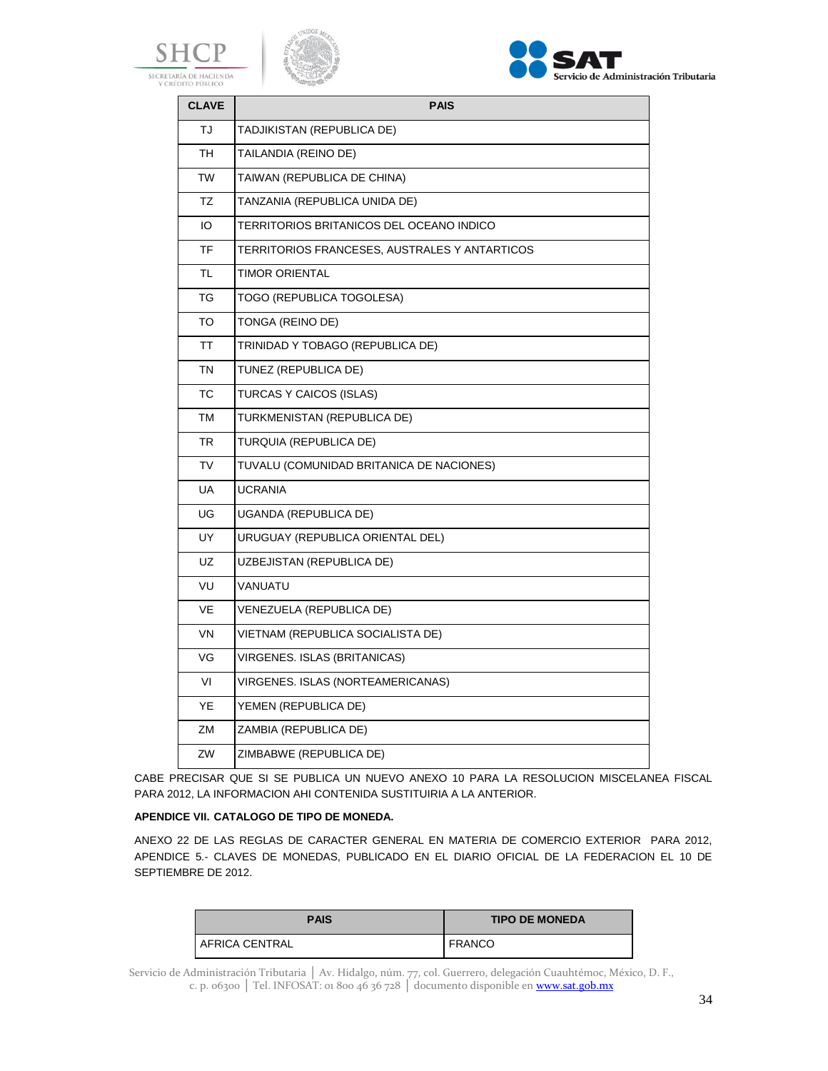





| <b>CLAVE</b> | <b>PAIS</b>                                   |  |
|--------------|-----------------------------------------------|--|
| TJ.          | TADJIKISTAN (REPUBLICA DE)                    |  |
| TН           | TAILANDIA (REINO DE)                          |  |
| TW           | TAIWAN (REPUBLICA DE CHINA)                   |  |
| <b>TZ</b>    | TANZANIA (REPUBLICA UNIDA DE)                 |  |
| IO           | TERRITORIOS BRITANICOS DEL OCEANO INDICO      |  |
| TF           | TERRITORIOS FRANCESES, AUSTRALES Y ANTARTICOS |  |
| TL           | <b>TIMOR ORIENTAL</b>                         |  |
| TG           | TOGO (REPUBLICA TOGOLESA)                     |  |
| TO           | TONGA (REINO DE)                              |  |
| ΤT           | TRINIDAD Y TOBAGO (REPUBLICA DE)              |  |
| <b>TN</b>    | TUNEZ (REPUBLICA DE)                          |  |
| <b>TC</b>    | TURCAS Y CAICOS (ISLAS)                       |  |
| TM           | TURKMENISTAN (REPUBLICA DE)                   |  |
| TR           | TURQUIA (REPUBLICA DE)                        |  |
| TV           | TUVALU (COMUNIDAD BRITANICA DE NACIONES)      |  |
| <b>UA</b>    | <b>UCRANIA</b>                                |  |
| UG           | UGANDA (REPUBLICA DE)                         |  |
| UY           | URUGUAY (REPUBLICA ORIENTAL DEL)              |  |
| UZ           | UZBEJISTAN (REPUBLICA DE)                     |  |
| VU           | VANUATU                                       |  |
| VE           | VENEZUELA (REPUBLICA DE)                      |  |
| VN           | VIETNAM (REPUBLICA SOCIALISTA DE)             |  |
| VG           | VIRGENES. ISLAS (BRITANICAS)                  |  |
| VI           | VIRGENES. ISLAS (NORTEAMERICANAS)             |  |
| YE           | YEMEN (REPUBLICA DE)                          |  |
| ΖM           | ZAMBIA (REPUBLICA DE)                         |  |
| ZW           | ZIMBABWE (REPUBLICA DE)                       |  |

CABE PRECISAR QUE SI SE PUBLICA UN NUEVO ANEXO 10 PARA LA RESOLUCION MISCELANEA FISCAL PARA 2012, LA INFORMACION AHI CONTENIDA SUSTITUIRIA A LA ANTERIOR.

#### **APENDICE VII. CATALOGO DE TIPO DE MONEDA.**

ANEXO 22 DE LAS REGLAS DE CARACTER GENERAL EN MATERIA DE COMERCIO EXTERIOR PARA 2012, APENDICE 5.- CLAVES DE MONEDAS, PUBLICADO EN EL DIARIO OFICIAL DE LA FEDERACION EL 10 DE SEPTIEMBRE DE 2012.

| <b>PAIS</b>      | <b>TIPO DE MONEDA</b> |
|------------------|-----------------------|
| I AFRICA CENTRAL | <b>FRANCO</b>         |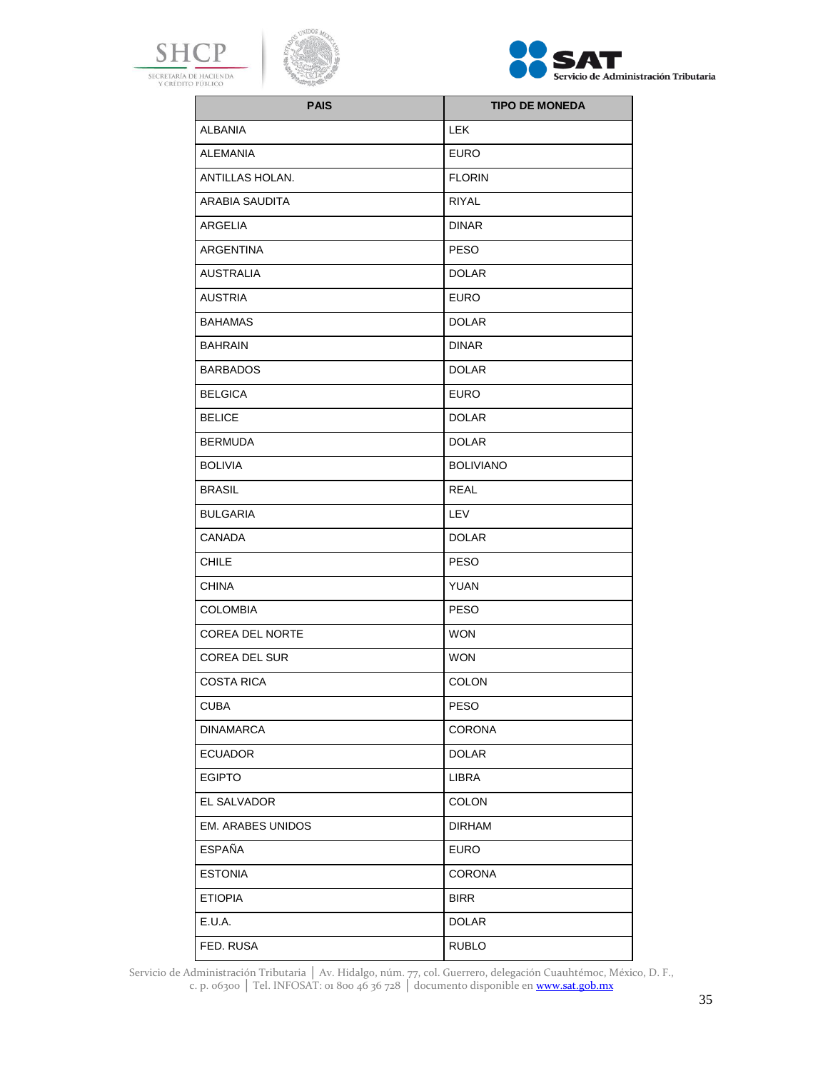





| <b>PAIS</b>              | <b>TIPO DE MONEDA</b> |
|--------------------------|-----------------------|
| <b>ALBANIA</b>           | <b>LEK</b>            |
| <b>ALEMANIA</b>          | <b>EURO</b>           |
| ANTILLAS HOLAN.          | <b>FLORIN</b>         |
| <b>ARABIA SAUDITA</b>    | <b>RIYAL</b>          |
| ARGELIA                  | <b>DINAR</b>          |
| ARGENTINA                | <b>PESO</b>           |
| AUSTRALIA                | <b>DOLAR</b>          |
| AUSTRIA                  | <b>EURO</b>           |
| <b>BAHAMAS</b>           | <b>DOLAR</b>          |
| <b>BAHRAIN</b>           | <b>DINAR</b>          |
| <b>BARBADOS</b>          | <b>DOLAR</b>          |
| <b>BELGICA</b>           | <b>EURO</b>           |
| <b>BELICE</b>            | <b>DOLAR</b>          |
| <b>BERMUDA</b>           | <b>DOLAR</b>          |
| <b>BOLIVIA</b>           | <b>BOLIVIANO</b>      |
| <b>BRASIL</b>            | <b>REAL</b>           |
| <b>BULGARIA</b>          | LEV                   |
| CANADA                   | <b>DOLAR</b>          |
| <b>CHILE</b>             | <b>PESO</b>           |
| <b>CHINA</b>             | YUAN                  |
| <b>COLOMBIA</b>          | <b>PESO</b>           |
| <b>COREA DEL NORTE</b>   | <b>WON</b>            |
| <b>COREA DEL SUR</b>     | <b>WON</b>            |
| <b>COSTA RICA</b>        | <b>COLON</b>          |
| <b>CUBA</b>              | <b>PESO</b>           |
| <b>DINAMARCA</b>         | <b>CORONA</b>         |
| <b>ECUADOR</b>           | <b>DOLAR</b>          |
| <b>EGIPTO</b>            | LIBRA                 |
| <b>EL SALVADOR</b>       | COLON                 |
| <b>EM. ARABES UNIDOS</b> | <b>DIRHAM</b>         |
| <b>ESPAÑA</b>            | EURO                  |
| <b>ESTONIA</b>           | <b>CORONA</b>         |
| <b>ETIOPIA</b>           | <b>BIRR</b>           |
| E.U.A.                   | <b>DOLAR</b>          |
| FED. RUSA                | <b>RUBLO</b>          |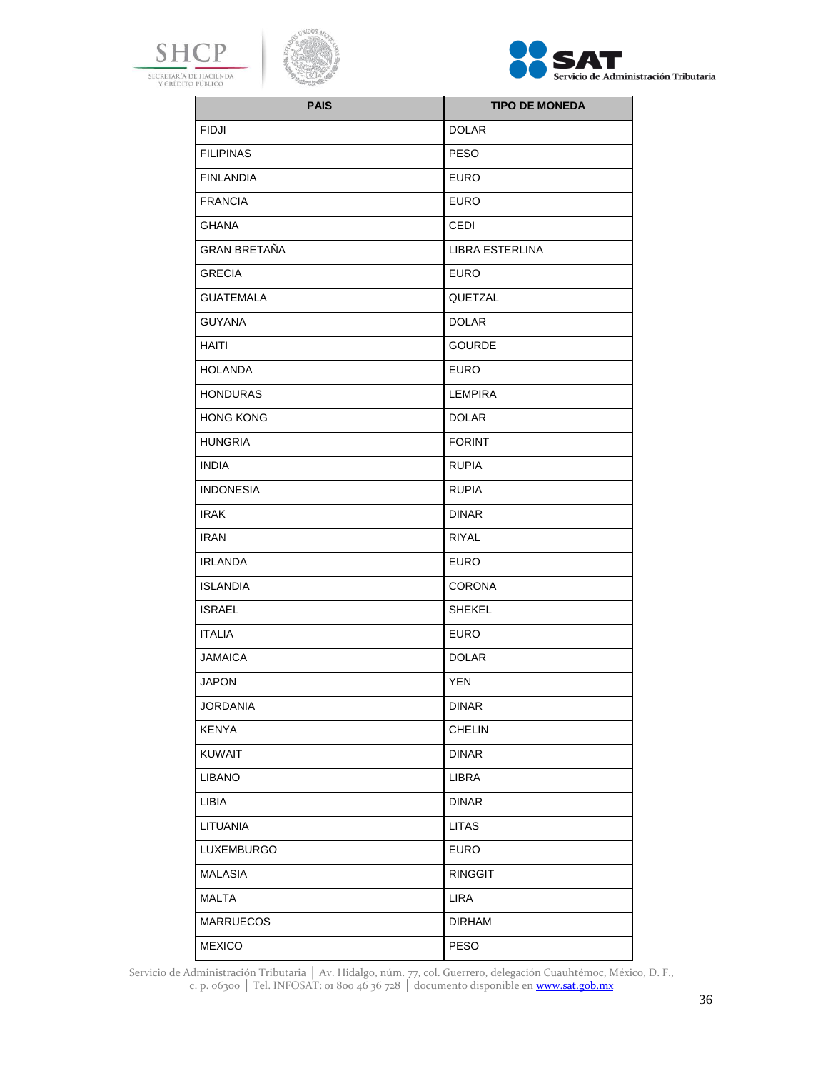





| <b>PAIS</b>         | <b>TIPO DE MONEDA</b> |
|---------------------|-----------------------|
| <b>FIDJI</b>        | <b>DOLAR</b>          |
| <b>FILIPINAS</b>    | <b>PESO</b>           |
| <b>FINLANDIA</b>    | <b>EURO</b>           |
| <b>FRANCIA</b>      | <b>EURO</b>           |
| <b>GHANA</b>        | <b>CEDI</b>           |
| <b>GRAN BRETAÑA</b> | LIBRA ESTERLINA       |
| <b>GRECIA</b>       | <b>EURO</b>           |
| <b>GUATEMALA</b>    | QUETZAL               |
| <b>GUYANA</b>       | <b>DOLAR</b>          |
| HAITI               | <b>GOURDE</b>         |
| <b>HOLANDA</b>      | <b>EURO</b>           |
| <b>HONDURAS</b>     | <b>LEMPIRA</b>        |
| <b>HONG KONG</b>    | <b>DOLAR</b>          |
| <b>HUNGRIA</b>      | <b>FORINT</b>         |
| INDIA               | <b>RUPIA</b>          |
| <b>INDONESIA</b>    | <b>RUPIA</b>          |
| IRAK                | <b>DINAR</b>          |
| IRAN                | <b>RIYAL</b>          |
| <b>IRLANDA</b>      | <b>EURO</b>           |
| <b>ISLANDIA</b>     | <b>CORONA</b>         |
| <b>ISRAEL</b>       | <b>SHEKEL</b>         |
| <b>ITALIA</b>       | <b>EURO</b>           |
| <b>JAMAICA</b>      | <b>DOLAR</b>          |
| <b>JAPON</b>        | YEN                   |
| <b>JORDANIA</b>     | <b>DINAR</b>          |
| <b>KENYA</b>        | <b>CHELIN</b>         |
| <b>KUWAIT</b>       | <b>DINAR</b>          |
| <b>LIBANO</b>       | LIBRA                 |
| LIBIA               | <b>DINAR</b>          |
| LITUANIA            | <b>LITAS</b>          |
| LUXEMBURGO          | <b>EURO</b>           |
| <b>MALASIA</b>      | <b>RINGGIT</b>        |
| <b>MALTA</b>        | <b>LIRA</b>           |
| <b>MARRUECOS</b>    | <b>DIRHAM</b>         |
| <b>MEXICO</b>       | PESO                  |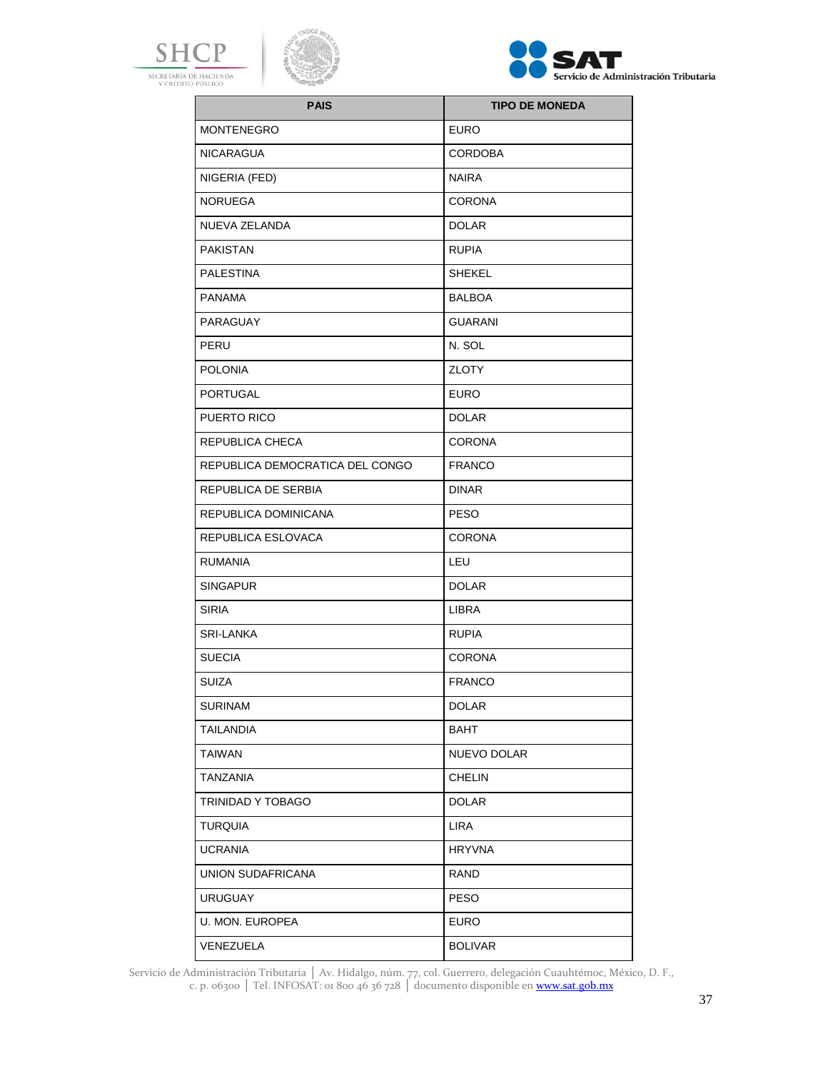





| <b>PAIS</b>                     | <b>TIPO DE MONEDA</b> |
|---------------------------------|-----------------------|
| <b>MONTENEGRO</b>               | <b>EURO</b>           |
| <b>NICARAGUA</b>                | <b>CORDOBA</b>        |
| NIGERIA (FED)                   | <b>NAIRA</b>          |
| <b>NORUEGA</b>                  | <b>CORONA</b>         |
| NUEVA ZELANDA                   | <b>DOLAR</b>          |
| <b>PAKISTAN</b>                 | <b>RUPIA</b>          |
| <b>PALESTINA</b>                | <b>SHEKEL</b>         |
| <b>PANAMA</b>                   | <b>BALBOA</b>         |
| PARAGUAY                        | <b>GUARANI</b>        |
| PERU                            | N. SOL                |
| <b>POLONIA</b>                  | <b>ZLOTY</b>          |
| PORTUGAL                        | EURO                  |
| PUERTO RICO                     | <b>DOLAR</b>          |
| <b>REPUBLICA CHECA</b>          | <b>CORONA</b>         |
| REPUBLICA DEMOCRATICA DEL CONGO | <b>FRANCO</b>         |
| REPUBLICA DE SERBIA             | <b>DINAR</b>          |
| REPUBLICA DOMINICANA            | <b>PESO</b>           |
| REPUBLICA ESLOVACA              | <b>CORONA</b>         |
| <b>RUMANIA</b>                  | LEU                   |
| <b>SINGAPUR</b>                 | <b>DOLAR</b>          |
| <b>SIRIA</b>                    | <b>LIBRA</b>          |
| <b>SRI-LANKA</b>                | <b>RUPIA</b>          |
| <b>SUECIA</b>                   | <b>CORONA</b>         |
| <b>SUIZA</b>                    | <b>FRANCO</b>         |
| <b>SURINAM</b>                  | <b>DOLAR</b>          |
| <b>TAILANDIA</b>                | BAHT                  |
| <b>TAIWAN</b>                   | NUEVO DOLAR           |
| <b>TANZANIA</b>                 | <b>CHELIN</b>         |
| TRINIDAD Y TOBAGO               | <b>DOLAR</b>          |
| <b>TURQUIA</b>                  | <b>LIRA</b>           |
| <b>UCRANIA</b>                  | <b>HRYVNA</b>         |
| UNION SUDAFRICANA               | <b>RAND</b>           |
| <b>URUGUAY</b>                  | <b>PESO</b>           |
| U. MON. EUROPEA                 | <b>EURO</b>           |
| VENEZUELA                       | <b>BOLIVAR</b>        |